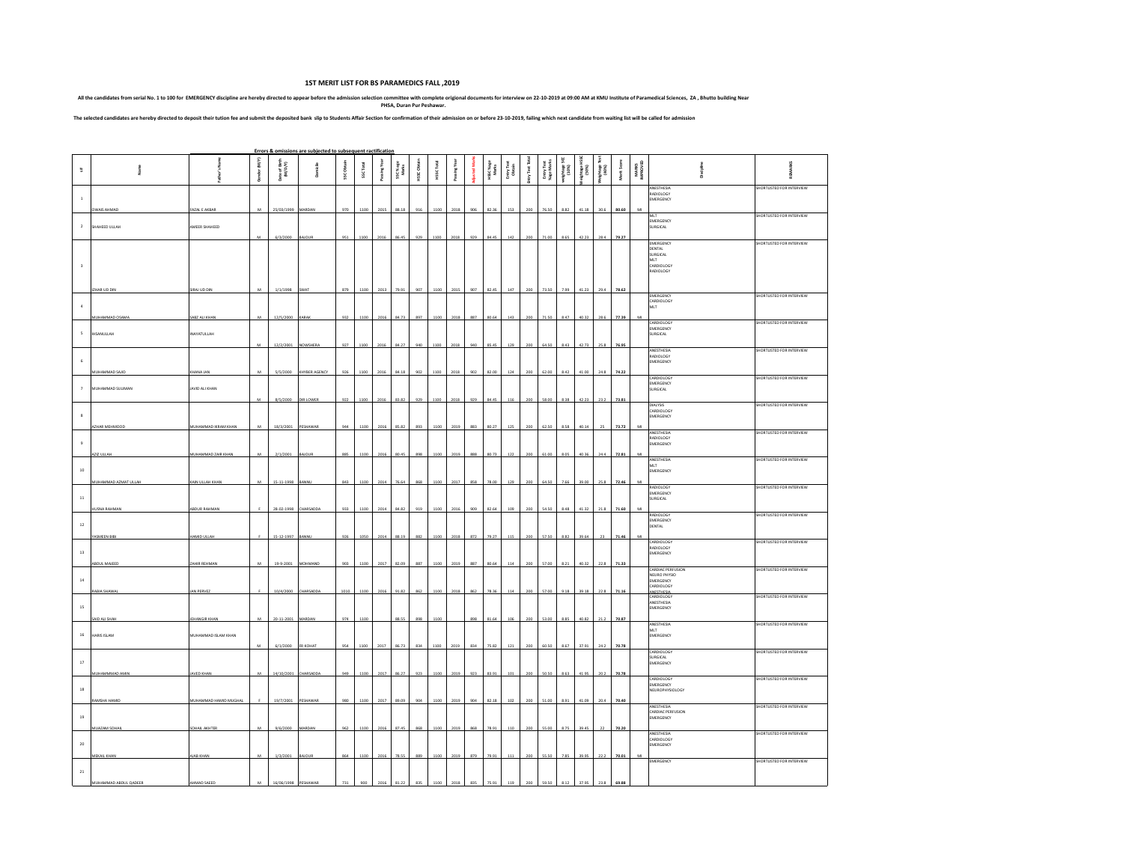## **1ST MERIT LIST FOR BS PARAMEDICS FALL ,2019**

All the candidates from serial No. 1 to 100 for EMERGENCY discipline are hereby directed to appear before the admission selection oromittle with complete origional documents for interview on 22-10-2019 at 09:00 AM at KMU I

The selected candidates are hereby directed to deposit their tution fee and submit the deposited bank slip to Students Affair Section for confirmation of their admission on or before 23-10-2019, failing which next candidat

|                     |                                     |                                       |                |                          | Errors & omissions are subjected to subsequent ractification |            |           |              |                    |             |            |              |     |                    |                     |                   |                         |                     |                 |                     |              |                          |                                                              |                           |
|---------------------|-------------------------------------|---------------------------------------|----------------|--------------------------|--------------------------------------------------------------|------------|-----------|--------------|--------------------|-------------|------------|--------------|-----|--------------------|---------------------|-------------------|-------------------------|---------------------|-----------------|---------------------|--------------|--------------------------|--------------------------------------------------------------|---------------------------|
| $\mathfrak{A}$      |                                     |                                       | Gender (M/F)   | Date of Birth<br>(M/D/Y) | Domicile                                                     | SSC Obtain | SSC Total | Passing Year | SSC % age<br>Marks | HSSC Obtain | HSSC Total | Passing Year |     | HSSC %age<br>Marks | EntryTest<br>Obtain | <b>Intry Test</b> | Entry Test<br>%age Mark | weightage:<br>(10%) | isos)<br>(1906) | ghtage <sup>1</sup> | Merit Score  | <b>MARKS</b><br>IMPROVED |                                                              | ww<br>g                   |
| $\overline{1}$      |                                     |                                       |                |                          |                                                              |            |           |              |                    |             |            |              |     |                    |                     |                   |                         |                     |                 |                     |              |                          | ANESTHESIA<br>RADIOLOGY<br>MERGENCY                          | SHORTLISTED FOR INTERVIEW |
| $\overline{2}$      | <b>OWAIS AHMAD</b><br>SHAHEED ULLAH | <b>FAZAL E AKBAR</b><br>MMEER SHAHEED | $\overline{M}$ | 25/03/1999               | MARDAN                                                       | 970        | 1100      | 2015         | 88.18              | 916         | 1100       | 2018         | 906 | 82.36              | 153                 | 200               | 76.50                   | 8.82                | 41.18           | 30.6                | 80.60        | M                        | MI T<br>EMERGENCY<br>SURGICAL                                | SHORTLISTED FOR INTERVIEW |
|                     |                                     |                                       |                | 6/3/2000                 |                                                              | 951        | 1100      |              | 86.45              | 929         | 1100       | 2018         | 929 | 84.45              | 142                 | 200               | 71.00                   | 8.65                |                 | 28.4                | 79.27        |                          | EMERGENCY<br>DENTAL                                          | SHORTLISTED FOR INTERVIEW |
|                     |                                     |                                       |                |                          |                                                              |            |           |              |                    |             |            |              |     |                    |                     |                   |                         |                     |                 |                     |              |                          | SURGICAL<br>MLT<br>CARDIOLOGY<br>RADIOLOGY                   |                           |
|                     | ZHAR UD DIN                         | <b>JRAJ UD DIN</b>                    | M              | 1/1/1998                 | SWAT                                                         | 879        | 1100      | 2013         | 79.91              | 907         | 1100       | 2015         | 907 | 82.45              | 147                 | 200               | 73.50                   | 7.99                | 41.23           | 794                 | 78.62        |                          | EMERGENCY                                                    | SHORTLISTED FOR INTERVIEW |
| $\Delta$            | MUHAMMAD OSAMA                      | ABZ ALI KHAN                          | м              | 12/5/2000                | KARAK                                                        | 932        | 1100      | 2016         | 84.73              | 897         | 1100       | 2018         | 887 | 80.64              | 143                 | 200               | 71.50                   | 8.47                | 40.32           | 28.6                | 77.39        | M                        | CARDIOLOGY<br>MLT                                            |                           |
| $\sf s$             | <b>IHSANULLAH</b>                   | <b>INAYATULLAH</b>                    |                |                          |                                                              |            |           |              |                    |             |            |              |     |                    |                     |                   |                         |                     |                 |                     |              |                          | CARDIOLOG'<br>EMERGENCY<br><b>SURGICAL</b>                   | SHORTLISTED FOR INTERVIEW |
| 6                   |                                     |                                       | $\overline{M}$ | 12/2/2001                | NOWSHER                                                      | 927        | 1100      | 201          | 84.27              | 940         | 1100       | 2018         | aan | 85.45              | 125                 | 2OC               | 64.50                   | 8.43                |                 |                     | 76.95        |                          | <b>ANESTHESIA</b><br>RADIOLOGY<br>EMERGENCY                  | SHORTLISTED FOR INTERVIEW |
|                     | MUHAMMAD SAJID                      | <b>HANA JAN</b>                       | M              | 5/5/2000                 | KHYBER AGENCY                                                | 926        | 1100      | 2016         | 84.18              | 902         | 1100       | 2018         | 902 | 82.00              | 124                 | 200               | 62.00                   | 8.42                | 41.00           | 24.8                | 74.22        |                          | CARDIOLOG'<br>EMERGENCY                                      | SHORTLISTED FOR INTERVIEW |
| $\scriptstyle\rm 7$ | MUHAMMAD SULIMAN                    | JAVID ALI KHAN                        | M              | 8/5/2000                 | DIR LOWER                                                    | 922        |           |              | 83.82              | 929         | 1100       | 2018         | 929 | 84.45              |                     |                   | 58.00                   |                     |                 |                     | 73.81        |                          | SURGICAL<br>DIALYSIS                                         | SHORTLISTED FOR INTERVIEW |
|                     | AZHAR MEHMOOD                       | MUHAMMAD IKRAM KHAN                   | M              | 18/3/2001                | PESHAWAR                                                     | 944        | 1100      | 2016         | 85.82              | 893         | 1100       | 2019         | 883 | 80.27              | 121                 |                   | 62.50                   | 8.58                | 40.1            |                     | 73.77        |                          | CARDIOLOGY<br>EMERGENCY                                      |                           |
| $\overline{9}$      |                                     |                                       |                |                          |                                                              |            |           |              |                    |             |            |              |     |                    |                     |                   |                         |                     |                 |                     |              |                          | ANESTHESIA<br>RADIOLOGY<br>MERGENCY                          | SHORTLISTED FOR INTERVIEW |
| $10\,$              | <b>ZIZ ULLAH</b>                    | MUHAMMAD ZAIR KHAN                    | M              | 2/1/2001                 | <b>BAJOUR</b>                                                | 885        | 1100      | 2016         | 80.45              | 898         | 1100       | 2019         | 888 | 80.73              | 122                 |                   | 61.00                   | 8.05                |                 |                     | 72.81        |                          | ANESTHESIA<br>MLT<br>EMERGENCY                               | SHORTLISTED FOR INTERVIEW |
|                     | <b>NUHAMMAD AZMAT ULLAH</b>         | KAIN ULLAH KHAN                       |                | 15-11-1998               | BANNL                                                        | 843        | 110       | 201          | 76.6               | 868         | 1100       | 201          |     | 78.0               |                     |                   | 64.5                    |                     |                 |                     |              |                          | RADIOLOGY<br>EMERGENCY                                       | SHORTLISTED FOR INTERVIEW |
| $11\,$              | <b>USNA RAHMA</b>                   | <b>BDUR RAHMAN</b>                    |                | 28-02-1998               | CHARSADDA                                                    | 933        | 1100      | 2014         | 84.82              | 919         | 1100       | 2016         | 909 | 82.64              | 109                 | 200               | 54.50                   | 8.48                | 41.32           | 21.8                | 71.60        |                          | <b>SURGICAL</b><br>RADIOLOGY                                 | SHORTLISTED FOR INTERVIEW |
| $12\,$              | ASMEEN BIBI                         | HAMID ULLAH                           |                | 15-12-1997               | BANNU                                                        | 926        | 1050      | 2014         | 88.19              | 882         | 1100       | 2018         | 872 | 79.27              | 115                 | 200               | 57.50                   | 8.82                | 39.64           |                     | 71.46        | M                        | MERGENCY<br><b>DENTAL</b>                                    |                           |
| $13\,$              |                                     | ZAHIR REHMAN                          | M              | 19-9-2001                |                                                              |            |           |              |                    |             |            |              |     |                    |                     |                   |                         |                     |                 |                     |              |                          | <b>LARDIOLOGY</b><br>RADIOLOGY<br>EMERGENCY                  | SHORTLISTED FOR INTERVIEW |
| $14\,$              | ABDUL MAJEED                        |                                       |                |                          | MOHMAND                                                      | 903        | 1100      | 2017         | 82.09              | 887         | 1100       | 2019         | 887 | 80.64              | 11 <sub>2</sub>     | 200               | 57.00                   | 8.21                | 40.32           | 22.8                | 71.33        |                          | CARDIAC PERFUSION<br>NEURO PHYSIO<br>EMERGENCY<br>CARDIOLOGY | SHORTLISTED FOR INTERVIEW |
| 15                  | RABIA SHAWAL                        | <b>IAN PERVEZ</b>                     |                | 10/4/2000                | CHARSADDA                                                    | 1010       | 1100      |              | 2016 91.82         | 862         | 1100       | 2018         | 862 | 78.36              | 114                 | 200               | 57.00                   | 9.18                | 39.18           | 22.8                | 71.16        |                          | ANESTHESIA<br><b>CARDIOLOGY</b><br>ANESTHESIA<br>EMERGENCY   | SHORTLISTED FOR INTERVIEW |
|                     | AID ALI SHAH                        | <b>EHANGIR KHAN</b>                   | M              | 20-11-2001               | <b>MARDAI</b>                                                | 974        | 1100      |              | 88.55              | 898         | 1100       |              | 898 | 81.64              | 106                 | 200               | 53.00                   | 8.85                | 40.82           | 21.2                | 70.87        |                          | ANESTHESIA<br><b>MLT</b>                                     | SHORTLISTED FOR INTERVIEW |
| 16                  | <b>HARIS ISLAM</b>                  | MUHAMMAD ISLAM KHAN                   |                | 6/1/2000                 | FR KOHAT                                                     | 954        | 1100      | 2017         | 86.73              | 834         | 1100       | 2019         | 834 | 75.82              | 121                 | 200               | 60.50                   | 8.67                | 37.91           | 24.2                | 70.78        |                          | EMERGENCY<br>CARDIOLOG'                                      | SHORTLISTED FOR INTERVIEW |
| $17\,$              | <b>NUHAMMMAD AMIN</b>               | <b>IAVED KHAN</b>                     | M              | 14/10/2001               | CHARSADDA                                                    | 949        | 1100      | 2017         | 86.27              | 923         | 1100       | 2019         | 923 | 83.91              | 101                 | 200               | 50.50                   | 8.63                | 41.95           | 20.2                | 70.78        |                          | <b>SURGICAL</b><br><b>EMERGENCY</b>                          |                           |
| $18\,$              |                                     |                                       |                |                          |                                                              |            |           |              |                    |             |            |              |     |                    |                     |                   |                         |                     |                 |                     |              |                          | CARDIOLOGY<br>EMERGENCY<br><b>NEUROPHYSIOLOGY</b>            | SHORTLISTED FOR INTERVIEW |
| $19\,$              | AMSHA HAMID                         | MUHAMMAD HAMID MUGHA                  |                | 19/7/2001                | PESHAWAP                                                     | 980        | 1100      | 2017         | 89.09              | 904         | 1100       | 2019         | 904 | 82.18              | 102                 | 200               | 51.00                   | RQ                  |                 |                     | 70.40        |                          | ANESTHESIA<br>CARDIAC PERFUSION<br>EMERGENCY                 | SHORTLISTED FOR INTERVIEW |
|                     | <b>MUAZAM SOHAL</b>                 | SOHAIL AKHTER                         |                | 9/6/2000                 | <b>VIARDA!</b>                                               | 962        | 1100      | 2016         | 87.45              | 868         | 1100       | 2019         | 868 | 78.91              | 110                 |                   | 55.01                   |                     |                 |                     | 70.20        |                          | ANESTHESIA<br>CARDIOLOGY                                     | SHORTLISTED FOR INTERVIEW |
| 20                  | <b>MEKAIL KHAM</b>                  | <b>JAB KHAI</b>                       |                | 1/3/2001                 |                                                              |            |           |              |                    | 889         | 1100       | 201          | 879 | 79.91              |                     |                   |                         |                     |                 |                     | 70.0         |                          | EMERGENCY<br>EMERGENCY                                       | SHORTLISTED FOR INTERVIEW |
| $\bf{21}$           | MUHAMMAD ABDUL QADEER               | <b>HMAD SAFED</b>                     |                | 16/06/1998               | PESHAM                                                       |            |           |              | 31.22              | 835         |            |              |     |                    |                     |                   |                         |                     |                 |                     | <b>88.PA</b> |                          |                                                              |                           |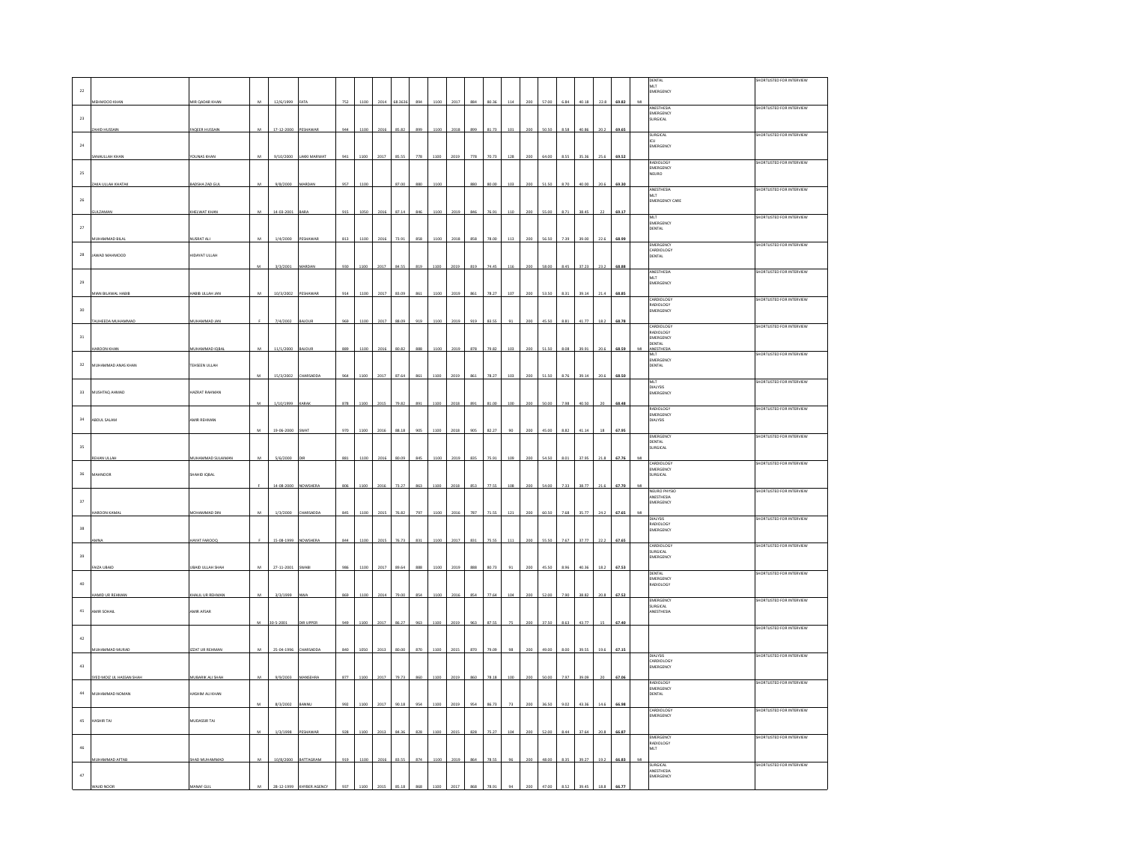| $\mathbf{22}$ |                          |                           |                |             |                     |     |      |      |         |                |      |      |     |       |                 |     |       |      |       |      |       |   | DENTAL<br>MLT<br>EMERGENCY                   | HORTLISTED FOR INTERVIEW  |
|---------------|--------------------------|---------------------------|----------------|-------------|---------------------|-----|------|------|---------|----------------|------|------|-----|-------|-----------------|-----|-------|------|-------|------|-------|---|----------------------------------------------|---------------------------|
|               | <b>MEHMOOD KHAN</b>      | MIR QADAR KHAM            | $\mathbf{M}$   | 12/6/1999   | AT)                 | 752 | 1100 | 2014 | 68.3636 | 894            | 1100 | 2017 | 884 | 80.36 | 114             | 200 | 57.00 | 6.84 | 40.18 | 22.8 | 69.82 | M |                                              |                           |
| $\bf{23}$     |                          |                           |                |             |                     |     |      |      |         |                |      |      |     |       |                 |     |       |      |       |      |       |   | ANESTHESIA<br>EMERGENCY<br>SURGICAL          | SHORTLISTED FOR INTERVIEW |
|               | <b>ID HUSSAI</b>         | AQEER HUSSAI              |                | 17-12-2000  |                     | 944 | 110  |      | 85.82   | 899            | 1100 | 2018 | 899 | 81.73 |                 |     | 50.50 |      |       |      | 69.65 |   |                                              |                           |
| 24            |                          |                           |                |             |                     |     |      |      |         |                |      |      |     |       |                 |     |       |      |       |      |       |   | SURGICAL<br>ICU<br>EMERGENCY                 | SHORTLISTED FOR INTERVIEW |
|               | MAULLAH KHAM             | <b><i>FOUNAS KHAN</i></b> | M              | 9/10/2000   | <b>LAKKI MARWAT</b> | 941 | 1100 | 2017 | 85.55   | 778            | 1100 | 2019 | 778 | 70.73 | 128             | 200 | 64.00 | 8.55 | 35.36 | 25.6 | 69.52 |   |                                              |                           |
| $\bf 25$      |                          |                           |                |             |                     |     |      |      |         |                |      |      |     |       |                 |     |       |      |       |      |       |   | RADIOLOGY<br>EMERGENCY<br>NEURO              | SHORTLISTED FOR INTERVIEW |
|               | AKA ULLAH KHATAK         | BADSHA ZAD GUL            |                | 9/8/2000    | MARDAN              | 957 | 1100 |      | 87.00   | 880            | 1100 |      | 880 | 80.00 |                 | 200 | 51.50 | R 70 | o.or  |      | 69.30 |   |                                              |                           |
| $26\,$        |                          |                           |                |             |                     |     |      |      |         |                |      |      |     |       |                 |     |       |      |       |      |       |   | ANESTHESIA<br>MLT<br><b>EMERGENCY CARE</b>   | SHORTLISTED FOR INTERVIEW |
|               | ULZAMA                   | KHELWAT KHAI              |                | 14-03-2001  | <b>BARA</b>         | 919 |      |      | 87.1    | 846            | 1100 | 2019 |     | 76.9  |                 |     | 55.0  |      |       |      | 69.17 |   |                                              |                           |
| $\bf 27$      |                          |                           |                |             |                     |     |      |      |         |                |      |      |     |       |                 |     |       |      |       |      |       |   | MLT<br>EMERGENCY<br>DENTAL                   | SHORTLISTED FOR INTERVIEW |
|               | <b>MUHAMMAD BILA</b>     | <b>JUSRAT ALI</b>         | s.             | 1/4/2000    | PESHAWAR            | 813 | 1100 | 2016 | 73.91   | R <sub>S</sub> | 1100 | 2018 | 858 | 78.00 |                 |     | 56.50 | 720  | 200   |      | 68.99 |   |                                              |                           |
| 28            | JAWAD MAHMOOD            | HIDAYAT ULLAH             |                |             |                     |     |      |      |         |                |      |      |     |       |                 |     |       |      |       |      |       |   | EMERGENCY<br>CARDIOLOGY<br><b>DENTAL</b>     | SHORTLISTED FOR INTERVIEV |
|               |                          |                           |                | 3/3/2001    | ARDA                | 930 | 100  | 201  | 84.55   | 819            | 1100 | 2019 |     | (4.4) |                 |     |       |      |       |      | 68.8  |   |                                              |                           |
| $_{\rm 29}$   |                          |                           |                |             |                     |     |      |      |         |                |      |      |     |       |                 |     |       |      |       |      |       |   | ANESTHESIA<br>MLT                            | SHORTLISTED FOR INTERVIEW |
|               | MIAN BILAWAL HABIE       | HABIB ULLAH JAN           | $\overline{M}$ | 10/3/2002   | PESHAWA             | 914 | 1100 |      | 83.05   | 861            | 1100 | 2019 | 861 | 78.27 |                 |     | 53.50 |      |       |      | 68.85 |   | <b>EMERGENCY</b>                             |                           |
| 30            |                          |                           |                |             |                     |     |      |      |         |                |      |      |     |       |                 |     |       |      |       |      |       |   | CARDIOLOGY<br>RADIOLOGY                      | SHORTLISTED FOR INTERVIEW |
|               | <b>HEEDA MUHAMM</b>      | <b>IUHAMMAD JAN</b>       |                | 7/4/2002    |                     | 969 | 1100 | 2017 | 88.09   | 919            | 1100 | 2019 | 919 | 83.55 |                 |     | 45.50 | 8.8  |       |      | 68.78 |   | EMERGENCY                                    |                           |
|               |                          |                           |                |             |                     |     |      |      |         |                |      |      |     |       |                 |     |       |      |       |      |       |   | CARDIOLOGY<br>RADIOLOGY                      | SHORTLISTED FOR INTERVIEW |
| $_{\rm 31}$   | ROON KHAN                | <b>MUHAMMAD IQBA</b>      | M              | 11/1/2000   |                     | 889 |      |      |         | 888            | 1100 |      | 878 | 79.82 |                 |     | 15    |      |       |      | 68.59 |   | EMERGENCY<br><b>DENTAL</b><br><b>NESTHES</b> |                           |
|               |                          |                           |                |             |                     |     |      |      |         |                |      |      |     |       |                 |     |       |      |       |      |       |   | MLT<br>MLT<br>EMERGENCY                      | SHORTLISTED FOR INTERVIEW |
| $_{32}$       | MUHAMMAD ANAS KHAN       | TEHSEEN ULLAH             |                | 15/3/2002   | HARSADD             |     |      |      |         |                |      |      |     |       |                 |     |       |      |       |      | 68.50 |   | <b>DENTAL</b>                                |                           |
|               |                          |                           |                |             |                     |     |      |      |         |                |      |      |     |       |                 |     |       |      |       |      |       |   | MLT<br>DIALYSIS<br>EMERGENCY                 | SHORTLISTED FOR INTERVIEW |
| $_{\rm 33}$   | <b>MUSHTAQ AHMAD</b>     | AZRAT RAHMAN              |                | 1/10/1999   |                     | 878 |      | 201  | 79.82   | 893            | 1100 | 2018 |     | 81.0  |                 |     | 50.0  |      |       |      | 68.48 |   |                                              |                           |
|               |                          |                           |                |             |                     |     |      |      |         |                |      |      |     |       |                 |     |       |      |       |      |       |   | RADIOLOGY<br>EMERGENCY                       | SHORTLISTED FOR INTERVIEW |
| $_{34}$       | ABDUL SALAM              | AMIR REHMAN               |                | 19-06-200   |                     |     |      |      |         |                |      |      |     |       |                 |     |       |      |       |      | 67.9  |   | DIALYSIS                                     |                           |
|               |                          |                           |                |             |                     |     |      |      |         |                |      |      |     |       |                 |     |       |      |       |      |       |   | EMERGENCY<br><b>DENTAL</b>                   | SHORTLISTED FOR INTERVIEW |
| 35            | EHAN ULLAI               | MUHAMMAD SULAIMAN         | M              | 5/6/2000    |                     | 881 | 1100 | 2016 | 80.09   | 845            | 1100 | 2019 | 835 | 75.91 | 109             | 200 | 54.50 | 8.01 | 37.95 | 21.8 | 67.76 | M | URGICAL                                      |                           |
|               |                          |                           |                |             |                     |     |      |      |         |                |      |      |     |       |                 |     |       |      |       |      |       |   | CARDIOLOGY<br>EMERGENCY                      | SHORTLISTED FOR INTERVIEW |
| $_{\rm 36}$   | HNOOR                    | HAHID IQBAL               |                |             |                     |     |      |      |         |                |      |      |     |       |                 |     |       |      |       |      |       |   | <b>URGICAL</b>                               |                           |
|               |                          |                           |                | 14-08-2000  | <b>IOWSHEI</b>      |     | 1100 | 2016 | 73.27   | 863            | 1100 | 2018 | 853 | 77.55 |                 |     | 54.01 | 7.33 | 8.77  |      |       |   | NEURO PHYSIC<br><b>ANESTHESIA</b>            | SHORTLISTED FOR INTERVIEW |
| 37            |                          |                           |                | 1/3/2000    |                     |     |      |      | 76.8    | 797            | 1100 |      | 787 |       |                 |     | 60.5  |      |       |      |       |   | EMERGENCY                                    |                           |
|               | <b>JON KAMA</b>          | MOHAMMAD DIN              |                |             | <b>HARSAL</b>       |     | 110  |      |         |                |      | 2016 |     |       |                 |     |       |      |       |      |       |   | <b>DIALYSIS</b><br>RADIOLOGY<br>EMERGENCY    | SHORTLISTED FOR INTERVIEW |
| $_{38}$       |                          |                           |                |             |                     |     |      |      |         |                |      |      |     |       |                 |     |       |      |       |      |       |   |                                              |                           |
|               |                          | AYAT FAROOQ               |                | 15-08-1999  | NOWSHERA            | 844 | 1100 | 2015 | 76.73   | 831            | 1100 | 2017 | 831 | 75.55 | 111             | 200 | 55.50 | 7.67 | 37.77 | 22.2 | 67.65 |   | ARDIOLOG'<br>SURGICAL                        | SHORTLISTED FOR INTERVIEW |
| 39            |                          |                           |                |             |                     |     |      |      |         |                |      |      |     |       |                 |     |       |      |       |      |       |   | <b>EMERGENCY</b>                             |                           |
|               | AIZA UBAIE               | UBAID ULLAH SHAH          |                | 27-11-2001  |                     |     |      | 2017 | 89.64   | 888            | 1100 | 2019 | 888 | 80.73 |                 |     | 15.50 |      |       |      | 67.53 |   | <b>DENTAL</b><br>EMERGENCY                   | SHORTLISTED FOR INTERVIEW |
| 40            |                          |                           |                |             |                     | 869 | 1100 |      | 79.00   | gea            | 1100 |      |     | 77.64 |                 |     | 52.00 | 7.90 |       |      | 67.52 |   | RADIOLOGY                                    |                           |
|               | <b>HAMID UR REHMAL</b>   | CHALIL UR REHMAL          |                | 3/3/1999    |                     |     |      |      |         |                |      | 2016 |     |       |                 |     |       |      |       |      |       |   | <b>MERGENC</b><br><b>URGICAL</b>             | SHORTLISTED FOR INTERVIEV |
| $41\,$        | AMIR SOHAIL              | <b>AMIR AFSAR</b>         |                | $0.5 - 200$ | DIR UPPEI           |     |      | 201  |         | 963            | 1100 | 2019 |     |       |                 |     | 37.50 | 8.63 |       |      | 67.4  |   | MESTHESIA                                    |                           |
|               |                          |                           |                |             |                     |     | 110  |      | 86.27   |                |      |      |     |       |                 |     |       |      |       |      |       |   |                                              | SHORTLISTED FOR INTERVIEW |
| $42\,$        | MUHAMMAD MURAD           | <b>ZZAT UR REHMAN</b>     | M              | 25-04-1996  | CHARSADD            | 840 | 1050 | 2013 | 80.00   | 870            | 1100 | 2015 | 870 | 79.09 |                 | 20C | 49.00 | 800  | 39.55 | 196  | 67.15 |   |                                              |                           |
|               |                          |                           |                |             |                     |     |      |      |         |                |      |      |     |       |                 |     |       |      |       |      |       |   | DIALYSIS<br>CARDIOLOGY                       | SHORTLISTED FOR INTERVIEW |
| $43\,$        |                          |                           |                |             |                     |     |      |      |         |                |      |      |     |       |                 |     |       |      |       |      |       |   | EMERGENCY                                    |                           |
|               | SYED MOIZ UL HASSAN SHAH | .<br>Mubarik ali shar     |                | 9/9/2003    | ANSER               |     | 100  | 2017 |         | 860            | 1100 | 2019 |     | 78.18 |                 |     |       |      |       |      |       |   | RADIOLOGY<br>EMERGENCY                       | SHORTLISTED FOR INTERVIEW |
| 44            | <b>NUHAMMAD NOMAN</b>    | ASHIM ALI KHAN            |                |             |                     |     |      |      |         |                |      |      |     |       |                 |     |       |      |       |      |       |   | ENTAL                                        |                           |
|               |                          |                           | $\overline{M}$ | 8/3/2002    |                     |     | 1100 | 2017 | 90.18   | 954            | 1100 | 2019 | 954 | 86.73 |                 |     | 36.50 | 90   |       |      | 66.98 |   | CARDIOLOGY<br>MERGENCY                       | SHORTLISTED FOR INTERVIEW |
| $45\,$        | HASHIR TAJ               | MUDASSIR TAJ              |                |             |                     |     |      |      |         |                |      |      |     |       |                 |     |       |      |       |      |       |   |                                              |                           |
|               |                          |                           | $\overline{M}$ | 1/3/1998    | ESHAWAR             | 928 | 1100 | 2013 | 84.36   | 828            | 1100 | 2015 | 828 | 75.27 | 10 <sup>4</sup> | 200 | 52.00 | 8.44 | 37.64 | 20.8 | 66.87 |   | EMERGENCY<br>RADIOLOGY                       | SHORTLISTED FOR INTERVIEW |
| 46            |                          |                           |                |             |                     |     |      |      |         |                |      |      |     |       |                 |     |       |      |       |      |       |   | MLT <sup>.</sup>                             |                           |
|               | <b>IUHAMMAD AFTAB</b>    | HAD MUHAMMAD              | M              | 10/8/2000   | BATTAGRAM           | 919 |      |      | 83.55   | 874            | 1100 | 2019 |     | 78.55 |                 |     |       |      |       |      | 66.83 | M | SURGICAL<br>ANESTHESIA                       | SHORTLISTED FOR INTERVIEW |
| $47\,$        |                          |                           |                |             |                     |     |      |      |         |                |      |      |     |       |                 |     |       |      |       |      |       |   | EMERGENCY                                    |                           |
|               |                          |                           |                |             |                     |     |      |      |         |                |      |      |     |       |                 |     |       |      |       |      |       |   |                                              |                           |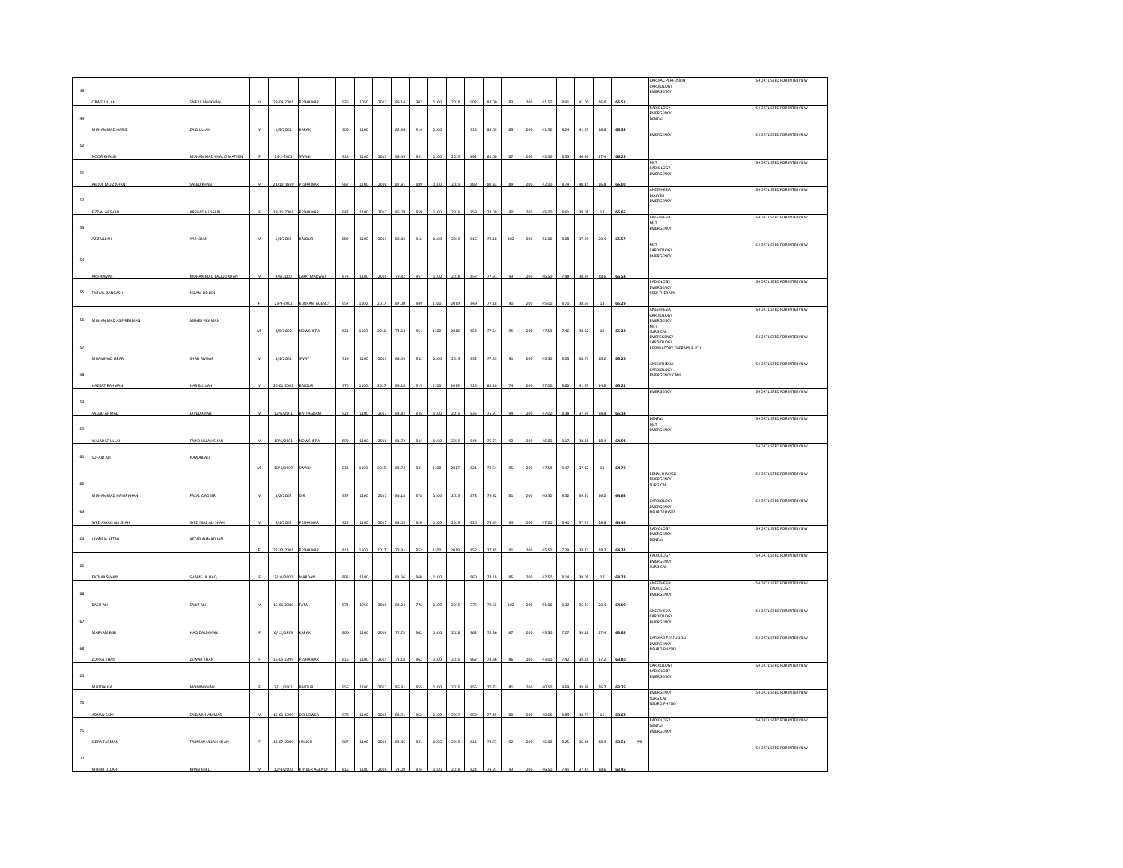|                      |                       |                            |                |                      |               |     |      |      |       |     |      |      |     |       |    |     |       |      |       |      |       | CARDIAC PERFUSION<br>CARDIOLOGY                   | HORTLISTED FOR INTERVIEW         |
|----------------------|-----------------------|----------------------------|----------------|----------------------|---------------|-----|------|------|-------|-----|------|------|-----|-------|----|-----|-------|------|-------|------|-------|---------------------------------------------------|----------------------------------|
| 48                   |                       |                            |                |                      |               |     |      |      |       |     |      |      |     |       |    |     |       |      |       |      |       | MERGENCY                                          |                                  |
|                      | <b>BAID ULLAH</b>     | AIF ULLAH KHAM             | $\overline{M}$ | 29-04-2001           |               | 936 | 1050 | 2017 | 89.14 | 902 | 1100 | 2019 | 902 | 82.00 | 83 |     | 41.50 | 8.91 |       |      |       | RADIOLOGY                                         | SHORTLISTED FOR INTERVIEW        |
| 49                   |                       |                            |                |                      |               |     |      |      |       |     |      |      |     |       |    |     |       |      |       |      |       | EMERGENCY<br><b>JENTAL</b>                        |                                  |
|                      | MUHAMMAD HARIS        | ZAID ULLAH                 | M              | 1/5/2001             | CARA          | 906 | 1100 |      | 82.36 | 914 | 1100 |      | 914 | 83.09 | 83 | 200 | 41.50 | 8.24 | 41.55 | 16.6 | 66.38 |                                                   |                                  |
|                      |                       |                            |                |                      |               |     |      |      |       |     |      |      |     |       |    |     |       |      |       |      |       | EMERGENCY                                         | SHORTLISTED FOR INTERVIEW        |
| 50                   |                       |                            |                |                      |               |     |      |      |       |     |      |      |     |       |    |     |       |      |       |      |       |                                                   |                                  |
|                      | NOOR KHALID           | MUHAMMAD KHALID MATEEN     |                | 24-2-2001            | WAB           | 918 | 1100 | 201  | 83.4  | 893 | 110  | 201  | 891 | 81.00 |    |     | 43.50 | 8.35 | 40.5  | 17.  | 66.25 |                                                   |                                  |
|                      |                       |                            |                |                      |               |     |      |      |       |     |      |      |     |       |    |     |       |      |       |      |       | MLT<br>RADIOLOGY<br>EMERGENCY                     | SHORTLISTED FOR INTERVIEW        |
| ${\sf s}_1$          |                       |                            |                |                      |               |     |      |      |       |     |      |      |     |       |    |     |       |      |       |      |       |                                                   |                                  |
|                      | BDUL MOIZ KHA         | AEED KHAN                  |                | 28/10/1999           |               | 967 |      |      |       |     |      |      | 889 | 60.8  |    |     |       |      |       |      |       |                                                   |                                  |
|                      |                       |                            |                |                      |               |     |      |      |       |     |      |      |     |       |    |     |       |      |       |      |       | ANESTHESIA<br><b>PIPE IAIO</b>                    | HORTLISTED FOR INTERVIEW         |
| 52                   |                       |                            |                |                      |               |     |      |      |       |     |      |      |     |       |    |     |       |      |       |      |       | EMERGENCY                                         |                                  |
|                      | <b>ZZAH ARSHAD</b>    | <b>ARSHAD HUSSAI</b>       |                | $18 - 11 - 2001$     | PESHAWAR      | 947 | 1100 | 2017 |       | 859 | 1100 | 2019 | 859 | 78.09 |    | 200 | 45.00 | 8.61 | 39.05 |      | 65.65 | ANESTHESIA                                        | HORTLISTED FOR INTERVIEW         |
| 53                   |                       |                            |                |                      |               |     |      |      |       |     |      |      |     |       |    |     |       |      |       |      |       | MLT<br>EMERGENCY                                  |                                  |
|                      | <b>AZIZ ULLAH</b>     | AR KHAN                    |                | 5/1/2002             | AJOUR         | 889 | 110  | 201  | 80.82 | 816 | 1100 |      | 816 | 74.18 |    | 200 |       | 8.08 | 37.09 | 20.4 | 65.57 |                                                   |                                  |
|                      |                       |                            |                |                      |               |     |      |      |       |     |      |      |     |       |    |     |       |      |       |      |       | MIT.                                              | SHORTLISTED FOR INTERVIEW        |
| 54                   |                       |                            |                |                      |               |     |      |      |       |     |      |      |     |       |    |     |       |      |       |      |       | CARDIOLOGY<br>EMERGENCY                           |                                  |
|                      |                       |                            |                |                      |               |     |      |      |       |     |      |      |     |       |    |     |       |      |       |      |       |                                                   |                                  |
|                      | ARIF KAMAL            | <b>MUHAMMAD YAQUB KHAN</b> |                | 9/9/2000             | LAKKI MARWAT  | 878 | 110  | 201  | 79.82 | 857 | 110  |      | 857 | 77.91 |    | 200 | 46.50 | 7.98 | 38.95 | 18.6 | 65.54 |                                                   |                                  |
|                      |                       |                            |                |                      |               |     |      |      |       |     |      |      |     |       |    |     |       |      |       |      |       | RADIOLOGY<br>EMERGENCY                            | SHORTLISTED FOR INTERVIEW        |
| 55                   | ARYAL BANGASH         | NIZAM UD DIN               |                |                      |               |     |      |      |       |     |      |      |     |       |    |     |       |      |       |      |       | <b>RESP THERAPY</b>                               |                                  |
|                      |                       |                            |                | 25-9-2001            | KURRAM AGENCY | 957 | 1100 | 2017 | 87.00 | 849 | 1100 | 2019 | 849 | 77.18 |    | 200 | 45.00 | 8.70 | 38.59 |      | 65.29 | ANESTHESIA                                        | SHORTLISTED FOR INTERVIEW        |
|                      |                       |                            |                |                      |               |     |      |      |       |     |      |      |     |       |    |     |       |      |       |      |       | CARDIOLOGY<br>EMERGENCY                           |                                  |
| 56                   | MUHAMMAD ASIF REHMAN  | MEHER REHMAN               |                |                      |               |     |      |      |       |     |      |      |     |       |    |     |       |      |       |      |       | MIT                                               |                                  |
|                      |                       |                            |                | 3/9/2000             | NOWSHERA      |     |      |      |       |     |      |      |     |       |    |     |       |      |       |      | 65.21 | URGICA<br>EMEREGENCY                              | SHORTLISTED FOR INTERVIEW        |
| $57\,$               |                       |                            |                |                      |               |     |      |      |       |     |      |      |     |       |    |     |       |      |       |      |       | CARDIOLOGY<br>RESPIRATORY THERAPY & ICU           |                                  |
|                      | <b>ILIAMMAD ISRAE</b> | HAH AMBAI                  |                | 5/1/200              | <b>WAT</b>    | 919 |      |      | 925   |     |      |      |     |       |    |     |       |      |       |      |       |                                                   |                                  |
|                      |                       |                            |                |                      |               |     |      |      |       |     |      |      |     |       |    |     |       |      |       |      |       | ANESHTHESIA                                       | HORTLISTED FOR INTERVIEW         |
| $58$                 |                       |                            |                |                      |               |     |      |      |       |     |      |      |     |       |    |     |       |      |       |      |       | CARDIOLOGY<br><b>EMERGENCY CARE</b>               |                                  |
|                      | AZRAT RAHMA           | ABIBULLAR                  |                | 20-01-200            | <b>IUOUA</b>  |     |      |      |       |     |      |      |     |       |    |     |       |      |       |      |       |                                                   |                                  |
|                      |                       |                            |                |                      |               |     |      |      |       |     |      |      |     |       |    |     |       |      |       |      |       | EMERGENCY                                         | SHORTLISTED FOR INTERVIEW        |
| 59                   |                       |                            |                |                      |               |     |      |      |       |     |      |      |     |       |    |     |       |      |       |      |       |                                                   |                                  |
|                      | AJJAD AHMA            | <b>AVED KHAM</b>           |                | 12/6/200             | BATTAGRA      | 92  |      |      |       |     |      |      |     |       |    |     |       |      |       | 18.  | 65.14 | <b>DENTAL</b>                                     | SHORTLISTED FOR INTERVIEW        |
|                      |                       |                            |                |                      |               |     |      |      |       |     |      |      |     |       |    |     |       |      |       |      |       | MLT<br>MLT<br>EMERGENCY                           |                                  |
| 60                   |                       |                            |                |                      |               |     |      |      |       |     |      |      |     |       |    |     |       |      |       |      |       |                                                   |                                  |
|                      | AHAT III I            | <b>ARID LILLAH SH</b>      | M              | 10/6/200             |               |     |      |      |       |     |      |      |     |       |    |     |       |      |       |      | 64.9  |                                                   | <b>SHORTLISTED FOR INTERVIEW</b> |
| 61                   | SUFAID ALI            | NAWAB ALI                  |                |                      |               |     |      |      |       |     |      |      |     |       |    |     |       |      |       |      |       |                                                   |                                  |
|                      |                       |                            | M              | 10/4/1999            | <b>SWABI</b>  | 932 | 1100 | 201  | 84.77 | 821 | 1100 |      | 821 | 74.64 |    | 200 | 47.50 | 8.47 | 37.37 |      | 64.79 |                                                   |                                  |
|                      |                       |                            |                |                      |               |     |      |      |       |     |      |      |     |       |    |     |       |      |       |      |       | RENAL DIALYSIS                                    | SHORTLISTED FOR INTERVIEW        |
| $62\,$               |                       |                            |                |                      |               |     |      |      |       |     |      |      |     |       |    |     |       |      |       |      |       | EMERGENCY<br>SURGICAL                             |                                  |
|                      | MUHAMMAD HANIF KHAN   | AZAL QADEER                | M              | 5/2/2002             |               | 937 | 1100 | 2017 | 85.18 | 878 | 1100 | 2019 | 878 | 79.82 |    | 200 | 40.50 | 8.52 | 39.91 | 16.2 | 64.63 |                                                   |                                  |
|                      |                       |                            |                |                      |               |     |      |      |       |     |      |      |     |       |    |     |       |      |       |      |       | CARDIOLOGY<br>EMERGENCY                           | SHORTLISTED FOR INTERVIEW        |
| 63                   |                       |                            |                |                      |               |     |      |      |       |     |      |      |     |       |    |     |       |      |       |      |       | NEUROPHYSIO                                       |                                  |
|                      | SYED AWAIS ALL SHAR   | <b>YED NIAZ ALL SHAH</b>   | M              | 9/1/2002             | PESHAWA       | 925 | 1100 | 201  |       | 820 | 1100 | 201  | 820 | 74.55 |    | 200 | 47.00 | 8.41 |       | 18.  | 64.48 | RADIOLOGY                                         | SHORTLISTED FOR INTERVIEW        |
|                      |                       |                            |                |                      |               |     |      |      |       |     |      |      |     |       |    |     |       |      |       |      |       | EMERGENCY                                         |                                  |
| 64                   | AVAIRIA AFTAB         | FTAB AHMAD JAN             |                |                      |               |     |      |      |       |     |      |      |     |       |    |     |       |      |       | 10   |       | <b>DENTAL</b>                                     |                                  |
|                      |                       |                            |                | 22-12-2001           |               | 813 | 1100 | 2017 | 73.91 | 852 | 1100 | 2019 | 852 | 77.45 |    |     | 45.50 | 7.39 | 38.73 |      |       | RADIOLOGY                                         | SHORTLISTED FOR INTERVIEW        |
| 65                   |                       |                            |                |                      |               |     |      |      |       |     |      |      |     |       |    |     |       |      |       |      |       | EMERGENCY<br>URGICAL                              |                                  |
|                      | FATIMA SHAMS          | HAMS UL HAQ                |                | 2/10/2000            | <b>MARDAN</b> | 895 | 1100 |      | 81.36 | 860 | 1100 |      | 860 | 78.18 | 85 | 200 | 42.50 | 8.14 | 39.05 |      | 64.23 |                                                   |                                  |
|                      |                       |                            |                |                      |               |     |      |      |       |     |      |      |     |       |    |     |       |      |       |      |       | <b>ANESTHESIA</b><br>RADIOLOGY                    | SHORTLISTED FOR INTERVIEW        |
| 66                   |                       |                            |                |                      |               |     |      |      |       |     |      |      |     |       |    |     |       |      |       |      |       | EMERGENCY                                         |                                  |
|                      | ASIT A                | ABIT AL                    | M              | 15-01-2000           | AT.           | 874 | 105  |      | 83.2  | 77  | 110  | 201  |     | 70.5  | 10 |     | 51.0  | 8.32 | 35.2  | 20.  | 64.0  | ANESTHESIA                                        |                                  |
|                      |                       |                            |                |                      |               |     |      |      |       |     |      |      |     |       |    |     |       |      |       |      |       | CARDIOLOGY                                        | SHORTLISTED FOR INTERVIEW        |
| $67\,$               |                       |                            |                |                      |               |     |      |      |       |     |      |      |     |       |    |     |       |      |       |      |       | EMERGENCY                                         |                                  |
|                      | ARYAM BI              | AQ DALI KHAN               |                | 6/12/1999            |               | 80  |      |      |       | 862 | 110  |      | 862 |       |    |     | 3.5   |      | 39.1  |      | 63.85 | CARDIAD PERFUSION                                 | SHORTLISTED FOR INTERVIEW        |
| 68                   |                       |                            |                |                      |               |     |      |      |       |     |      |      |     |       |    |     |       |      |       |      |       | EMERGENCY<br>NEURO PHYSIC                         |                                  |
|                      | <b>DHRA KHAN</b>      |                            |                | 15-05-1999           | PESHAWAR      | 816 | 1100 | 2015 | 74.18 | 862 | 1100 | 2019 | 862 | 78.36 | 86 | 200 | 43.00 | 7.42 | 39.18 | 17.2 | 63.80 |                                                   |                                  |
|                      |                       | ZEWAR KHAN                 |                |                      |               |     |      |      |       |     |      |      |     |       |    |     |       |      |       |      |       | CARDIOLOGY                                        | SHORTLISTED FOR INTERVIEW        |
| 69                   |                       |                            |                |                      |               |     |      |      |       |     |      |      |     |       |    |     |       |      |       |      |       | RADIOLOGY<br>EMERGENCY                            |                                  |
|                      | <b>IUZDALIFA</b>      | <b><i>MOMIN KHAN</i></b>   |                | 7/11/2001            | AJOUR         | 956 | 110  | 201  | 86.91 | 855 | 1100 |      | 855 | 77.73 |    | 200 | 40 SC | 8.69 | 38.86 | 16.7 | 63.75 |                                                   |                                  |
|                      |                       |                            |                |                      |               |     |      |      |       |     |      |      |     |       |    |     |       |      |       |      |       | EMERGENCY<br>SURGICAL                             | SHORTLISTED FOR INTERVIEW        |
| $70$                 |                       |                            |                |                      |               |     |      |      |       |     |      |      |     |       |    |     |       |      |       |      |       | NEURO PHYSIO                                      |                                  |
|                      | <b>DNAN SANI</b>      | AID MUHAMMAD               | м              | 15-01-1999 DIR LOWER |               | 978 | 1100 | 2015 | 88.91 | 852 | 1100 | 2017 | 852 | 77.45 |    | 200 | 40.00 | 8.89 | 38.73 |      | 63.62 |                                                   |                                  |
|                      |                       |                            |                |                      |               |     |      |      |       |     |      |      |     |       |    |     |       |      |       |      |       | RADIOLOGY<br><b>DENTAL</b><br>DENTAL<br>EMERGENCY | SHORTLISTED FOR INTERVIEW        |
| $71\,$               |                       |                            |                |                      |               |     |      |      |       |     |      |      |     |       |    |     |       |      |       |      |       |                                                   |                                  |
|                      | DRA FARMAN            | ARMAN ULLAH KHAN           |                | 13-07-2000           | <b>HANGL</b>  |     |      |      |       |     |      |      |     |       |    |     |       |      |       |      | 63.5  |                                                   | SHORTLISTED FOR INTERVIEW        |
| $\scriptstyle\rm 72$ |                       |                            |                |                      |               |     |      |      |       |     |      |      |     |       |    |     |       |      |       |      |       |                                                   |                                  |
|                      |                       |                            |                |                      |               |     |      |      |       |     |      |      |     |       |    |     |       |      |       |      |       |                                                   |                                  |
|                      | OHIB U                |                            |                |                      |               |     |      |      |       |     |      |      |     |       |    |     |       |      |       |      |       |                                                   |                                  |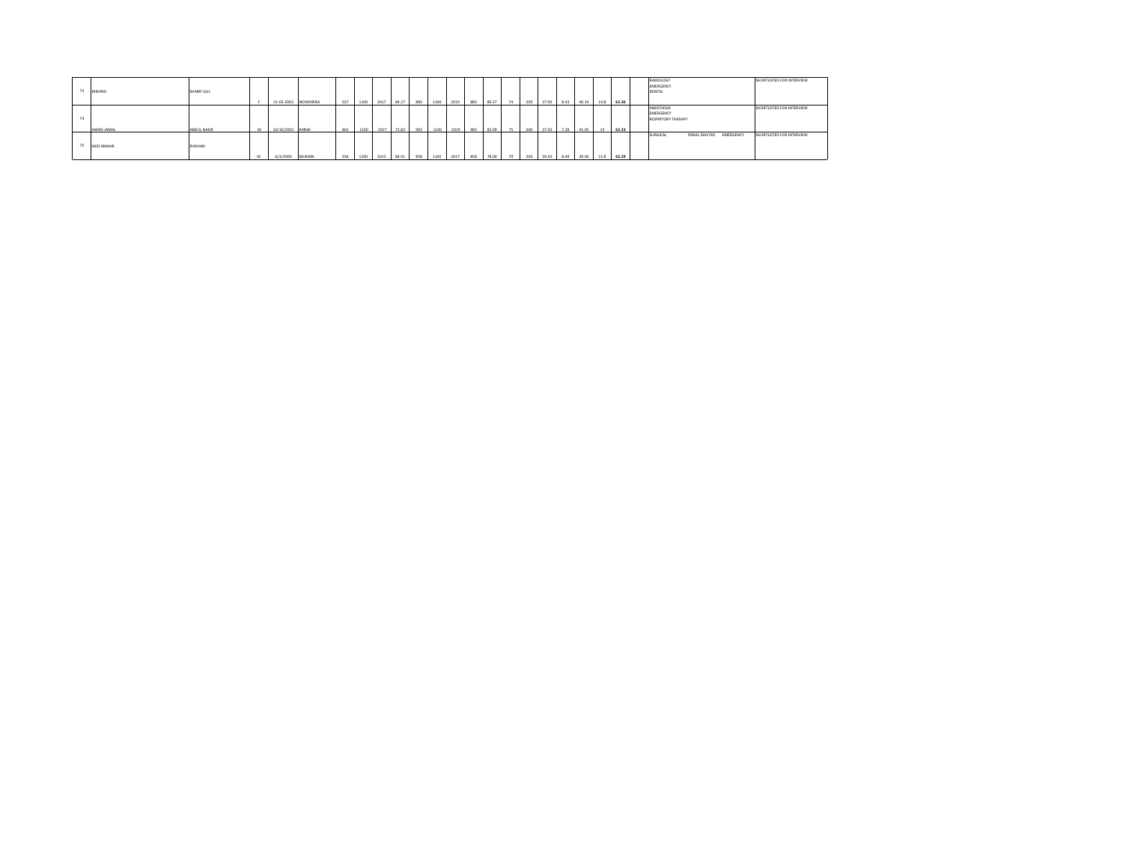| 73 | MEHRIN      | SHARIF GUL  |   | 31-03-2002 NOWSHERA |       | 927 | 1100 | 2017 | 84.27 | 883 | 1100 | 2019 | 883 | 80.27 | 74 | 200 | 37.00 | 8.43 | 40.14 | 14.8 | 63.36 | RADIOLOGY<br>EMERGENCY<br><b>DENTAL</b>              | SHORTLISTED FOR INTERVIEW |
|----|-------------|-------------|---|---------------------|-------|-----|------|------|-------|-----|------|------|-----|-------|----|-----|-------|------|-------|------|-------|------------------------------------------------------|---------------------------|
|    | AWAIS JAMAL | ABDUL NAISR |   | 10/10/2001          | KARAK | 801 | 1100 | 2017 | 72.82 | 903 | 1100 | 2019 | 903 | 82.09 | 75 | 200 | 3750  | 7.28 | 41.05 |      | 63.33 | ANESTHESIA<br>EMERGENCY<br><b>RESPIRTORY THERAPY</b> | SHORTLISTED FOR INTERVIEW |
| 75 | SAID ANWAR  | RUKHAN      | M | 6/2/2000            | MUMAN | 934 | 1100 | 2015 | 84.91 | 858 | 1100 | 2017 | 858 | 78.00 | 79 | 200 | 39.50 | 8.49 | 39.00 | 15.8 | 63.29 | RENAL DIALYSIS<br>EMERGENCY<br>SURGICAL              | SHORTLISTED FOR INTERVIEW |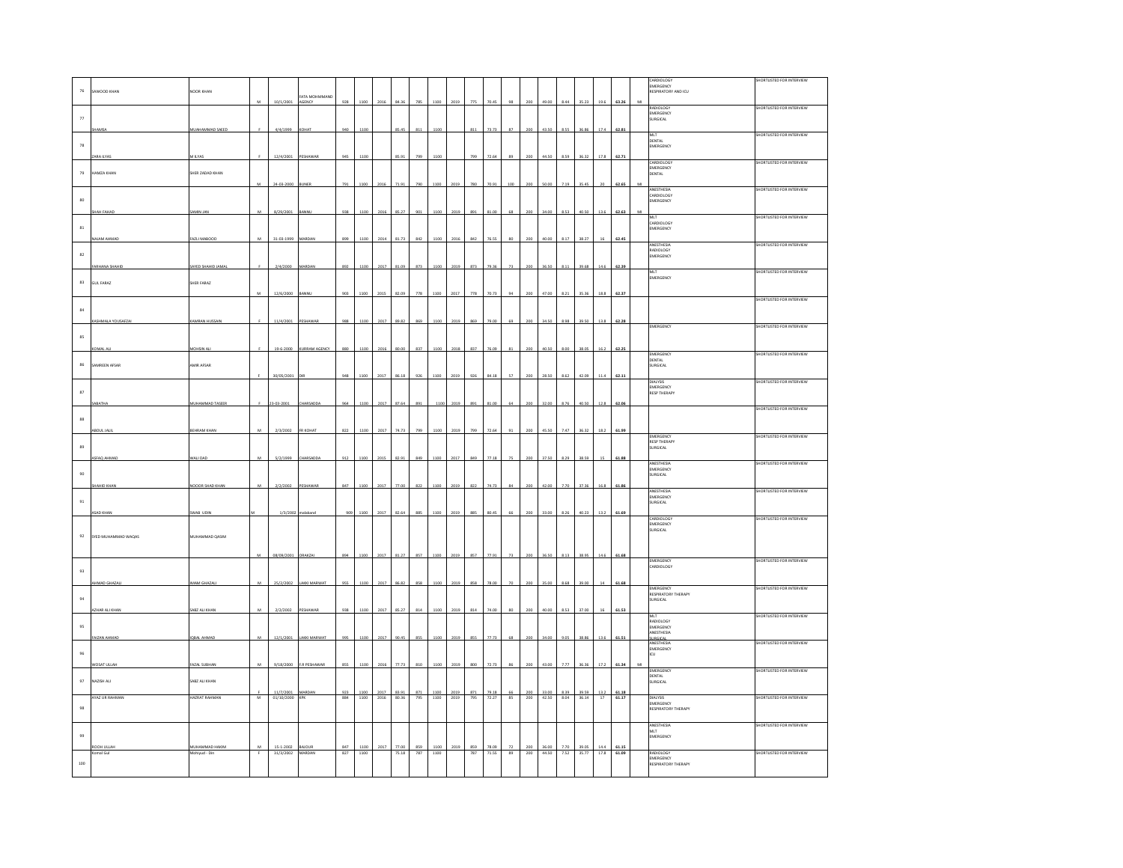| $76\,$             |             | AWOOD KHAN             | JOOR KHAN                      |   |                                           |                        |                   |              |                     |                |            |                     |              |            |                    |               |                 |                |                     |                     |              |                       |   | ARDIOLOGY<br>EMERGENCY<br><b>ESPIRATORY AND ICU</b> | <b>SHORTLISTED FOR INTERVIEW</b> |
|--------------------|-------------|------------------------|--------------------------------|---|-------------------------------------------|------------------------|-------------------|--------------|---------------------|----------------|------------|---------------------|--------------|------------|--------------------|---------------|-----------------|----------------|---------------------|---------------------|--------------|-----------------------|---|-----------------------------------------------------|----------------------------------|
|                    |             |                        |                                |   | 10/1/2001                                 | ATA MOHMMAND<br>AGENCY | 928               | 1100         | 2016                | 84.3           | 785        | 1100                | 2019         | 775        | 70.4               |               |                 | 49.00          | 8.44                | 35.23               | 19.6         | 63.26                 |   | RADIOLOGY                                           | SHORTLISTED FOR INTERVIEW        |
| $_{\rm 77}$        |             |                        |                                |   |                                           |                        |                   |              |                     |                |            |                     |              |            |                    |               |                 |                |                     |                     |              |                       |   | EMERGENCY<br>SURGICAL                               |                                  |
|                    |             |                        | MUAHAMMAD SAEED                |   | 4/4/1999                                  |                        | 94                |              |                     | 85,            | 81         |                     |              |            |                    |               |                 |                |                     |                     |              | 62.8                  |   | MLT                                                 | SHORTLISTED FOR INTERVIEW        |
| $\scriptstyle{78}$ |             |                        |                                |   |                                           |                        |                   |              |                     |                |            |                     |              |            |                    |               |                 |                |                     |                     |              |                       |   | -----<br>DENTAL<br>EMERGENCY                        |                                  |
|                    |             | RA II YA               | A ILYAS                        |   | 12/4/2001                                 |                        | 945               |              |                     | 85.91          | 796        |                     |              | 799        |                    |               |                 |                |                     |                     | 175          | 62.71                 |   |                                                     |                                  |
|                    | 79          | HAMZA KHAN             | SHER ZADAD KHAN                |   |                                           |                        |                   |              |                     |                |            |                     |              |            |                    |               |                 |                |                     |                     |              |                       |   | CARDIOLOGY<br>EMERGENCY<br>DENTAL                   | SHORTLISTED FOR INTERVIEW        |
|                    |             |                        |                                |   | 24-03-2000                                | <b>INFR</b>            | 791               | 110          |                     | 71.91          | 790        |                     | 2015         | 780        | 70.91              |               |                 |                |                     |                     |              | 62.65                 | M |                                                     |                                  |
| 80                 |             |                        |                                |   |                                           |                        |                   |              |                     |                |            |                     |              |            |                    |               |                 |                |                     |                     |              |                       |   | ANESTHESIA<br>CARDIOLOGY<br>EMERGENCY               | SHORTLISTED FOR INTERVIEW        |
|                    |             | HAH FAHAD              | MAL MIMAS                      |   | 8/29/2001                                 |                        | 938               | 1100         | 2016                | $35.2^{\circ}$ |            |                     | 2019         |            |                    |               |                 |                |                     |                     | 13.6         | 62.63                 |   |                                                     |                                  |
|                    | $\bf 81$    |                        |                                |   |                                           |                        |                   |              |                     |                |            |                     |              |            |                    |               |                 |                |                     |                     |              |                       |   | MLT<br>CARDIOLOGY<br>EMERGENCY                      | SHORTLISTED FOR INTERVIEW        |
|                    |             | <b>GAMHA MALA</b>      | <b>FAZLI MABOOD</b>            |   | 31-03-1999                                |                        | 899               |              | 2014                | 81.73          | 842        |                     | 201          |            |                    |               |                 |                |                     |                     |              | 62.45                 |   |                                                     |                                  |
| 82                 |             |                        |                                |   |                                           |                        |                   |              |                     |                |            |                     |              |            |                    |               |                 |                |                     |                     |              |                       |   | ANESTHESIA<br>RADIOLOGY                             | SHORTLISTED FOR INTERVIEW        |
|                    |             | ARHANA SHAHI           | SAYED SHAHID JAMAL             |   | 2/4/2000                                  |                        | 892               | 110          | 2017                | 81.0           | 873        | 110                 | 2019         | 873        | 79.3               | 73            |                 | 36.5           |                     |                     | 14.6         | 62.39                 |   | MERGENCY                                            |                                  |
|                    | $^{\rm 83}$ | <b>GUL FARAZ</b>       | SHER FARAZ                     |   |                                           |                        |                   |              |                     |                |            |                     |              |            |                    |               |                 |                |                     |                     |              |                       |   | <b>MLT</b><br>----<br>MERGENCY                      | SHORTLISTED FOR INTERVIEW        |
|                    |             |                        |                                |   | 12/6/2000                                 |                        |                   |              |                     | 82.            | 778        |                     | 201          |            |                    |               |                 |                |                     |                     | 18.8         | 62.3                  |   |                                                     |                                  |
| $^{\rm 34}$        |             |                        |                                |   |                                           |                        |                   |              |                     |                |            |                     |              |            |                    |               |                 |                |                     |                     |              |                       |   |                                                     | SHORTLISTED FOR INTERVIEW        |
|                    |             | ASHMALA YOUSAFZAI      | KAMRAN HUSSAIM                 |   | 11/4/2001                                 | <b>FSHAWAR</b>         | 988               | 1100         | 2017                | 89.82          | 869        | 1100                | 2019         | 869        | 79.00              | 69            | 200             | 34.50          | 8.98                | 39.50               | 13.8         | 62.28                 |   |                                                     |                                  |
|                    |             |                        |                                |   |                                           |                        |                   |              |                     |                |            |                     |              |            |                    |               |                 |                |                     |                     |              |                       |   | EMERGENCY                                           | SHORTLISTED FOR INTERVIEW        |
|                    | 85          | OMAL AL                | <b>IOHSIN AL</b>               |   | 19-6-2000                                 | KURRAM AGENCY          | 880               | 1100         | 2016                | 80.00          | 837        | 1100                | 2018         | 837        | 76.09              |               |                 | 40.50          |                     |                     | 16.          | 62.25                 |   |                                                     |                                  |
|                    |             |                        |                                |   |                                           |                        |                   |              |                     |                |            |                     |              |            |                    |               |                 |                |                     |                     |              |                       |   | EMERGENCY<br>DENTAL                                 | SHORTLISTED FOR INTERVIEW        |
|                    | 86          | SAMREEN AFSAR          | <b>AMIR AFSAR</b>              |   | 30/05/200                                 |                        | 948               | 1100         | 2017                | 86.18          | 926        | 1100                | 2019         | 926        | 84.18              |               |                 | 28.50          | 8.62                | 42.05               | 11.4         | 62.11                 |   | URGICAL                                             |                                  |
|                    |             |                        |                                |   |                                           |                        |                   |              |                     |                |            |                     |              |            |                    |               |                 |                |                     |                     |              |                       |   | <b>DIALYSIS</b><br>MERGENCY                         | SHORTLISTED FOR INTERVIEW        |
| $^{\rm 87}$        |             |                        | <b>IUHAMMAD TASEER</b>         |   | 23-03-2001                                |                        | 964               | 110          | 2017                | 87.6           |            |                     | 2019         |            |                    |               |                 | 32.0           |                     |                     | 12.8         | 62.0                  |   | <b>RESP THERAPY</b>                                 |                                  |
|                    |             |                        |                                |   |                                           |                        |                   |              |                     |                |            |                     |              |            |                    |               |                 |                |                     |                     |              |                       |   |                                                     | SHORTLISTED FOR INTERVIEW        |
|                    | $_{88}$     |                        | BEHRAM KHAM                    |   | 2/3/2002                                  | <b>FR KOHA</b>         | 822               |              |                     |                |            |                     |              |            |                    |               |                 |                |                     |                     |              |                       |   |                                                     |                                  |
|                    |             |                        |                                |   |                                           |                        |                   |              |                     |                |            |                     |              |            |                    |               |                 |                |                     |                     |              |                       |   | MERGENCY<br><b>RESP THERAPY</b>                     | HORTLISTED FOR INTERVIEW         |
| 89                 |             | SFAO AHMA              | VALI DAD                       |   | 5/2/1999                                  |                        |                   |              |                     |                |            |                     | 201          |            |                    |               |                 |                |                     |                     |              |                       |   | URGICAL                                             |                                  |
|                    |             |                        |                                |   |                                           |                        |                   |              |                     |                |            |                     |              |            |                    |               |                 |                |                     |                     |              |                       |   | ANESTHESIA<br>EMERGENCY                             | SHORTLISTED FOR INTERVIEW        |
| $90$               |             | HAHID KHAP             | NOOOR SHAD KHAN                |   | 2/2/2002                                  |                        | 84                |              |                     |                |            |                     | 201          |            |                    |               |                 |                |                     |                     |              | 61.8                  |   | <b>URGICAL</b>                                      |                                  |
|                    |             |                        |                                |   |                                           |                        |                   |              |                     |                |            |                     |              |            |                    |               |                 |                |                     |                     |              |                       |   | ANESTHESIA<br>EMERGENCY                             | SHORTLISTED FOR INTERVIEW        |
| $\mathsf{91}$      |             | <b>SAD KHAN</b>        | WAB UDIN                       |   | 1/3/200                                   |                        |                   |              |                     |                |            |                     |              |            |                    |               |                 |                |                     |                     | 13.1         | 61.69                 |   | URGICAL                                             |                                  |
|                    |             |                        |                                |   |                                           |                        |                   |              |                     |                |            |                     |              |            |                    |               |                 |                |                     |                     |              |                       |   | CARDIOLOGY<br>EMERGENCY                             | SHORTLISTED FOR INTERVIEW        |
|                    | 92          | SYED MUHAMMAD WAQAS    | MUHAMMAD QASIM                 |   |                                           |                        |                   |              |                     |                |            |                     |              |            |                    |               |                 |                |                     |                     |              |                       |   | SURGICAL                                            |                                  |
|                    |             |                        |                                |   |                                           |                        |                   |              |                     |                |            |                     |              |            |                    |               |                 |                |                     |                     |              |                       |   |                                                     |                                  |
|                    |             |                        |                                |   | 08/09/2001                                | RAKZA                  | 894               | 110          | 2012                | 81.27          | 857        |                     | 2019         |            |                    |               |                 |                |                     |                     | 141          | 61.6                  |   | EMERGENCY<br>CARDIOLOGY                             | SHORTLISTED FOR INTERVIEW        |
|                    | 93          |                        |                                |   |                                           |                        |                   |              |                     |                |            |                     |              |            |                    |               |                 |                |                     |                     |              |                       |   |                                                     |                                  |
|                    |             | HMAD GHAZALI           | MAM GHAZALI                    | M | 25/2/2002                                 | LAKKI MARWAT           | 955               | 110          |                     |                |            |                     |              | R55        |                    |               |                 |                |                     |                     |              | 61.68                 |   | EMERGENCY<br>RESPIRATORY THERAPY                    | SHORTLISTED FOR INTERVIEW        |
| 94                 |             |                        |                                |   |                                           |                        |                   |              |                     |                |            |                     |              |            |                    |               |                 |                |                     |                     |              |                       |   | SURGICAL                                            |                                  |
|                    |             | <b>ZHAR ALI KHAI</b>   | SABZ ALI KHAN                  |   | 2/2/2002                                  |                        | 938               | 1100         |                     |                |            |                     |              |            |                    |               |                 |                |                     |                     |              |                       |   | MLT<br>RADIOLOGY                                    | SHORTLISTED FOR INTERVIEW        |
| 95                 |             |                        |                                |   |                                           |                        |                   |              |                     |                |            |                     |              |            |                    |               |                 |                |                     |                     |              |                       |   | EMERGENCY<br>ANESTHESIA                             |                                  |
|                    |             | AIZAN AHMAD            | QBAL AHMAD                     |   | 12/1/2001                                 | <b>LAKKI MARWAT</b>    |                   |              | 201                 |                |            |                     | 201          |            |                    |               |                 |                |                     |                     |              |                       |   | SURGICAL<br>ANESTHESIA<br>EMERGENCY                 | SHORTLISTED FOR INTERVIEW        |
| 96                 |             |                        |                                |   |                                           |                        |                   |              |                     |                |            |                     |              |            |                    |               |                 |                |                     |                     |              |                       |   | cu                                                  |                                  |
|                    |             | WOSAT ULLAH            | <b>FAZAL SUBHAN</b>            | M | 9/18/2000                                 | <b>F.R PESHAWAR</b>    | 855               | 1100         | 2016                | 77.73          | 810        | 110                 | 2019         |            | 72.73              |               |                 | 43.0           | 77                  | 363                 | 17.2         | 61.34                 |   | <b>EMERGENCY</b><br>DENTAL                          | SHORTLISTED FOR INTERVIEW        |
|                    | 97          | NAZISH ALI             | SABZ ALI KHAN                  |   |                                           |                        |                   |              |                     |                |            |                     |              |            |                    |               |                 |                |                     |                     |              |                       |   | SURGICAL                                            |                                  |
|                    |             | AYAZ UR RAHMAN         | <b>HAZRAT RAHMAN</b>           | M | 11/7/2001<br>01/10/2000                   | MARDA<br>KPK           | $\frac{923}{884}$ | 1100<br>1100 | $\frac{2017}{2016}$ | 83.91<br>80.36 | 871<br>795 | $\frac{1100}{1100}$ | 2019<br>2019 | 871<br>795 | $79.18$<br>$72.27$ | $rac{66}{85}$ | $rac{200}{200}$ | 33.00<br>42.50 | $\frac{8.39}{8.04}$ | 39.59<br>36.14      | 13.2<br>17   | $\frac{61.18}{61.17}$ |   | <b>DIALYSIS</b>                                     | SHORTLISTED FOR INTERVIEW        |
| 98                 |             |                        |                                |   |                                           |                        |                   |              |                     |                |            |                     |              |            |                    |               |                 |                |                     |                     |              |                       |   | EMERGENCY<br>RESPIRATORY THERAPY                    |                                  |
|                    |             |                        |                                |   |                                           |                        |                   |              |                     |                |            |                     |              |            |                    |               |                 |                |                     |                     |              |                       |   | ANESTHESIA<br>MLT                                   | SHORTLISTED FOR INTERVIEW        |
| 99                 |             |                        |                                |   |                                           |                        |                   |              |                     |                |            |                     |              |            |                    |               |                 |                |                     |                     |              |                       |   | EMERGENCY                                           |                                  |
|                    |             | ROOH ULLAH<br>omal Gul | MUHAMMAD HAKIM<br>ohiyud - Dii | M | $\frac{15 \cdot 1 \cdot 2002}{31/3/2002}$ | <b>AJOUR</b><br>MARDAN | 847<br>827        | 1100<br>1100 | 2017                | 77.00<br>75.18 | 859<br>787 | 1100<br>1100        | 2019         | 859<br>787 | 78.09<br>71.55     | 77<br>89      | 200<br>200      | 36.00<br>44.50 | 7.70                | 39.05<br>7.52 35.77 | 14.4<br>17.8 | 61.15<br>61.09        |   | RADIOLOGY                                           | <b>SHORTLISTED FOR INTERVIEW</b> |
|                    | $100\,$     |                        |                                |   |                                           |                        |                   |              |                     |                |            |                     |              |            |                    |               |                 |                |                     |                     |              |                       |   | EMERGENCY<br><b>RESPIRATORY THERAPY</b>             |                                  |
|                    |             |                        |                                |   |                                           |                        |                   |              |                     |                |            |                     |              |            |                    |               |                 |                |                     |                     |              |                       |   |                                                     |                                  |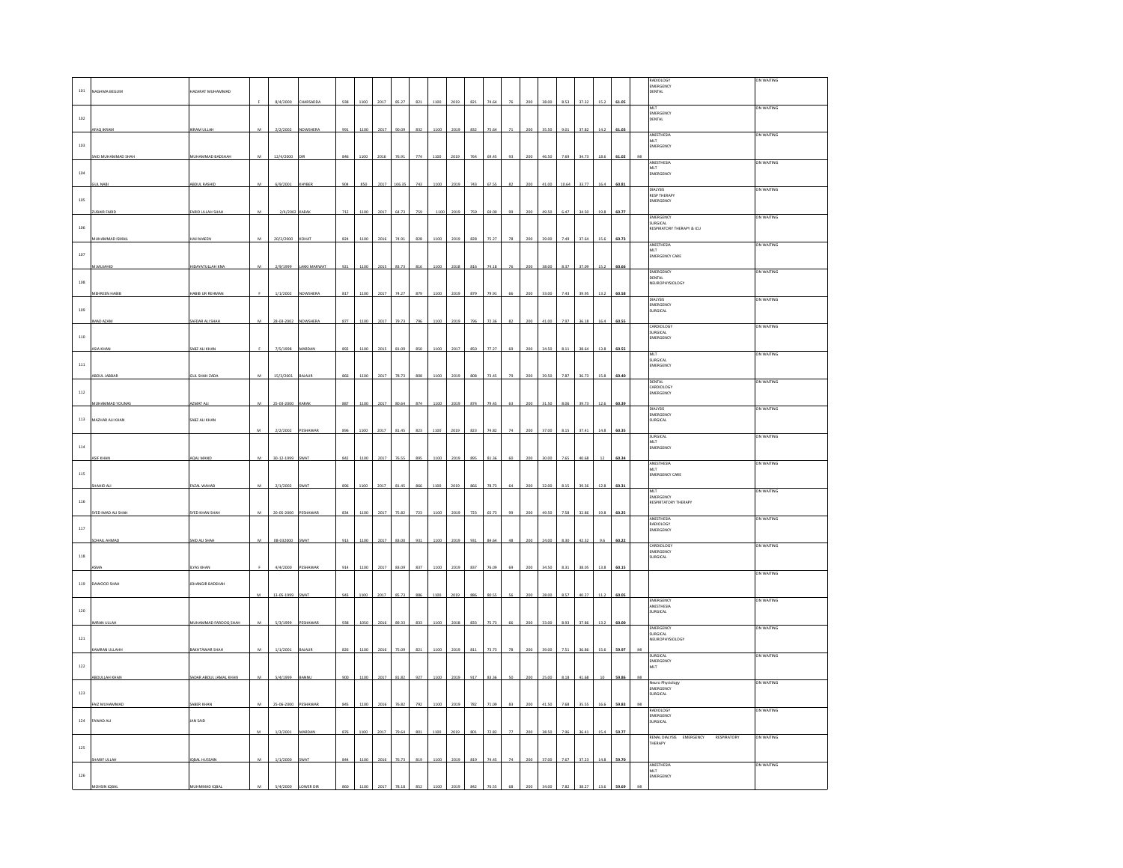| $101\,$      | <b>IAGHMA BEGUM</b>           | AZARAT MUHAMMAD                   |                | 8/4/2000   |               | 938 |      |      |        | 821     |      |      |     |       |      |     |       | 8.53  |       |      |                |   | RADIOLOGY<br><b>EMERGENCY</b><br>EMERGENCY<br>DENTAL | ON WAITING        |
|--------------|-------------------------------|-----------------------------------|----------------|------------|---------------|-----|------|------|--------|---------|------|------|-----|-------|------|-----|-------|-------|-------|------|----------------|---|------------------------------------------------------|-------------------|
| 102          | <b>FAO IKRAM</b>              | KRAM ULLAH                        | M              | 2/2/2002   | NOWSHERA      |     |      | 2017 | 90.09  | 837     | 110  |      | 832 |       | 71   | 20C | 35.56 | 9.01  | 37.82 | 14.7 | 61.05<br>61.03 |   | MLT<br>EMERGENCY<br>DENTAL                           | ON WAITING        |
| 103          |                               |                                   |                |            |               |     |      |      |        |         |      |      |     |       |      |     |       |       |       |      |                |   | ANESTHESIA<br>AINESTRESA<br>MLT<br>EMERGENCY         | ON WAITING        |
| 104          | ND MUHAMMAD S                 | <b>IUHAMMAD BADSHAI</b>           |                | 12/4/2000  |               |     |      |      |        |         |      |      |     |       |      |     |       |       |       |      | 61.02          |   | ANESTHESIA<br>MLT<br>EMERGENCY                       | ON WAITING        |
| 105          |                               | <b>BDUL RASHID</b>                | M              | 6/9/2001   | KHYBER        |     | 850  | 2017 | 106.35 | 743     | 110  |      | 743 | 67.5  | 82   | 200 | 41.00 | 10.64 | 33.77 | 16.4 | 60.81          |   | <b>DIALYSIS</b><br>RESP THERAPY<br>EMERGENCY         | ON WAITING        |
| 106          | UBAIR FARID                   | ARID ULLAH SHA                    | M              | 2/4/2002   | .<br>Arak     | 712 | 1100 | 2017 | 64.73  | 759     | 110  | 2019 | 759 | 69.00 | 99   | 200 | 49.50 | 6.47  | 34.50 | 19.8 | 60.77          |   | EMERGENCY<br>SURGICAL<br>RESPIRATORY THERAPY & ICU   | ON WAITING        |
| $107\,$      | MUHAMMAD ISMAI                | AJI MAEEN                         | M              | 20/2/2000  | KOHAT         | 824 | 1100 | 2016 | 74.91  | 828     | 1100 | 2019 | 828 | 75.27 | 78   | 200 | 39.00 | 7.49  | 37.64 | 15.6 | 60.73          |   | ANESTHESIA<br>MLT<br>MLT<br>EMERGENCY CARE           | ON WAITING        |
| 108          | A MILITAR                     | <b>IDAYATULLAH KN</b>             | $\overline{M}$ | 2/9/1999   | AKKI MARWAT   | 921 | 1100 | 2019 | 83.73  | 81      |      |      |     |       |      |     | 38.00 |       | 37.09 |      | 60.66          |   | EMERGENCY<br>DENTAL<br>NEUROPHYSIOLOGY               | ON WAITING        |
| 109          | MEHREEN HABIE                 | ABIB UR REHMAN                    |                | 1/1/2002   | NOWSHERA      | 817 | 1100 | 2017 | 74.27  | 879     | 1100 | 2019 | 879 | 79.9  |      | 200 | 33.00 | 7.43  | 39.95 | 13.2 | 60.58          |   | <b>DIALYSIS</b><br>EMERGENCY<br>SURGICAL             | ON WAITING        |
| 110          | MAD AZAM                      | AFDAR ALI SHAH                    | M              | 28-03-2002 | VOWSHERA      | 877 | 1100 | 2017 | 79.73  | 796     | 1100 | 2019 | 796 | 72.36 | 82   | 200 | 41.00 | 7.97  | 36.18 | 16.4 | 60.55          |   | <b>LARDIOLOGY</b><br>SURGICAL<br>EMERGENCY           | ON WAITING        |
| $111\,$      | SIA KHAN                      | ABZ ALI KHAN                      |                | 7/5/1998   | MARDAN        | 892 | 1100 | 2015 | 81.09  |         | 1100 |      | 850 |       |      | 200 | 34.50 | 8.11  | 38.64 | 13.8 | 60.55          |   | MLT<br>WILI<br>SURGICAL<br>EMERGENCY                 | ON WAITING        |
| $^{\rm 112}$ | <b>DUL JABBAR</b>             | UL SHAH ZADA                      |                | 15/3/2001  | <b>AJAUF</b>  |     |      |      | 78.7   |         |      |      |     |       |      |     |       |       |       |      | 60.40          |   | DENTAL<br>CARDIOLOGY<br>EMERGENCY                    | on Waiting        |
| $113\,$      | MMAD YOUNA<br>MAZHAR ALI KHAN | ZMAT AL<br>SABZ ALI KHAN          |                | 25-03-2000 | CARAB         | 887 | 110  | 201  | 80.6   | 87      |      |      |     |       |      |     |       |       | 39.7  | 12.6 | 60.39          |   | <b>DIALYSIS</b><br>EMERGENCY<br><b>SURGICAL</b>      | ON WAITING        |
| $114\,$      |                               |                                   | M              | 2/2/2002   | PESHAWAR      | 896 | 1100 | 2017 | 81.45  | 823     | 1100 | 2019 | 823 | 74.83 | 74   | 200 | 37.00 | 8.15  | 37.41 | 14.8 | 60.35          |   | SURGICAL<br>MLT<br>EMERGENCY                         | ON WAITING        |
| $_{\rm 115}$ | SIF KHAN                      | <b>QAL MAND</b>                   | M              | 30-12-1999 | <b>WAT</b>    | 842 | 110  | 2017 |        |         |      |      |     |       |      |     |       |       | 40.68 |      | 60.34          |   | ANESTHESIA<br>MLT<br>MLT<br>EMERGENCY CARE           | ON WAITING        |
| 116          |                               | AZAL WAHA                         | M              | 2/1/2002   | WA.           | 896 | 1100 | 2017 |        | $\circ$ |      |      |     | 78.73 |      |     | 3200  | 9.11  | 39.36 |      | 60.31          |   | MLT<br>EMERGENCY<br><b>RESPIRTATORY THERAPY</b>      | ON WAITING        |
| 117          | <b>THE LIMAD ALL SHALL</b>    | <b>YED KHAN SHAR</b>              | M              | 20-05-2000 | PESHAWA       | 834 | 110  | 201  | 75.8   | 723     |      |      | 72  |       |      |     |       |       | 32.8  |      | 60.25          |   | ANESTHESIA<br>RADIOLOGY<br>EMERGENCY                 | ON WAITING        |
| $^{\rm 118}$ | <b>DHAIL AHMA</b>             | AID ALI SHAH                      | M              | 08-032000  | <b>WAT</b>    | 913 | 110  | 2017 | 83.00  | 931     |      |      | 931 |       |      | 200 | 24.00 |       |       | 96   | 60.22          |   | CARDIOLOGY<br>EMERGENCY<br>SURGICAL                  | ON WAITING        |
| 119          | HAHZ QOOWAC                   | <b>YAS KHAN</b><br>HANGIR BADSHAH |                | 4/4/2000   | <b>ESHAWA</b> |     |      |      | 13.0   |         |      |      |     |       |      |     |       |       |       |      | 60.15          |   |                                                      | ON WAITING        |
| 120          |                               |                                   | M              | 13-05-1999 | <b>WAT</b>    | 943 |      | 201  | 85.7   | 886     |      |      |     |       | S.   |     | 28 O  |       | 40.27 |      | 60.05          |   | <b>EMERGENCY</b><br>ANESTHESIA<br><b>URGICAL</b>     | ON WAITING        |
| $121\,$      |                               | UHAMMAD FA                        |                | 5/3/1999   | <b>ESHAV</b>  |     |      |      |        | 833     |      |      |     |       |      |     |       |       |       |      | 60.00          |   | EMERGENCY<br>SURGICAL<br>EUROPHYSIOLOGY              | ON WAITING        |
| $122\,$      | KAMRAN ULLAHH                 | <b>AKHTAWAR SHAI</b>              | M              | 1/1/2001   | BAJAUR        | 826 | 1100 | 2016 | 75.09  | 821     | 1100 | 2019 | 811 | 73.73 | 78   | 200 | 39.00 | 7.51  | 36.86 | 15.6 | 59.97          |   | SURGICAL<br>EMERGENCY<br>MLT                         | ON WAITING        |
| 123          | BDULLAH KHAN                  | ADAR ABDUL JAMAL KHAN             | M              | 5/4/1999   |               | 900 | 110  | 2017 | 81.82  | 927     |      |      | 917 |       |      |     | 25.00 |       | 41.68 |      | 59.8           |   | Neuro Physiology<br><b>EMERGENCY</b><br>SURGICAL     | ON WAITING        |
| $124\,$      | AIZ MUHAMM<br>FAWAD ALI       | ABER KHAP<br>JAN SAID             | M              | 25-06-2000 | FSHAWA        | 845 |      | 201  | 76.83  | 792     |      |      | 78  |       |      |     |       | 7.61  | 35.55 |      | 59.83          | M | <b>RADIOLOGY</b><br>EMERGENCY<br>SURGICAL            | <b>ON WAITING</b> |
| 125          |                               |                                   | M              | 1/3/2001   | <b>ARDAN</b>  | 876 | 1100 | 2017 | 79.64  | 801     | 1100 | 2019 | 801 | 72.82 | $77$ | 200 | 38.50 | 7.96  | 36.41 | 15.4 | 59.77          |   | RENAL DIALYSIS EMERGENCY<br>RESPIRATORY<br>THERAPY   | ON WAITING        |
|              | HARIF ULLAH                   | <b>QBAL HUSSAIN</b>               | M              | 1/1/2000   | <b>WAT</b>    | 84  |      | 2016 | 76.73  | 819     | 1100 | 2019 | 819 |       |      | 200 | 37.00 | 7.67  | 37.23 | 14.8 | 59.70          |   | ANESTHESIA<br>MLT<br>EMERGENCY                       | ON WAITING        |
| $126\,$      |                               |                                   |                |            |               |     |      |      |        |         |      |      |     |       |      |     |       |       |       |      |                |   |                                                      |                   |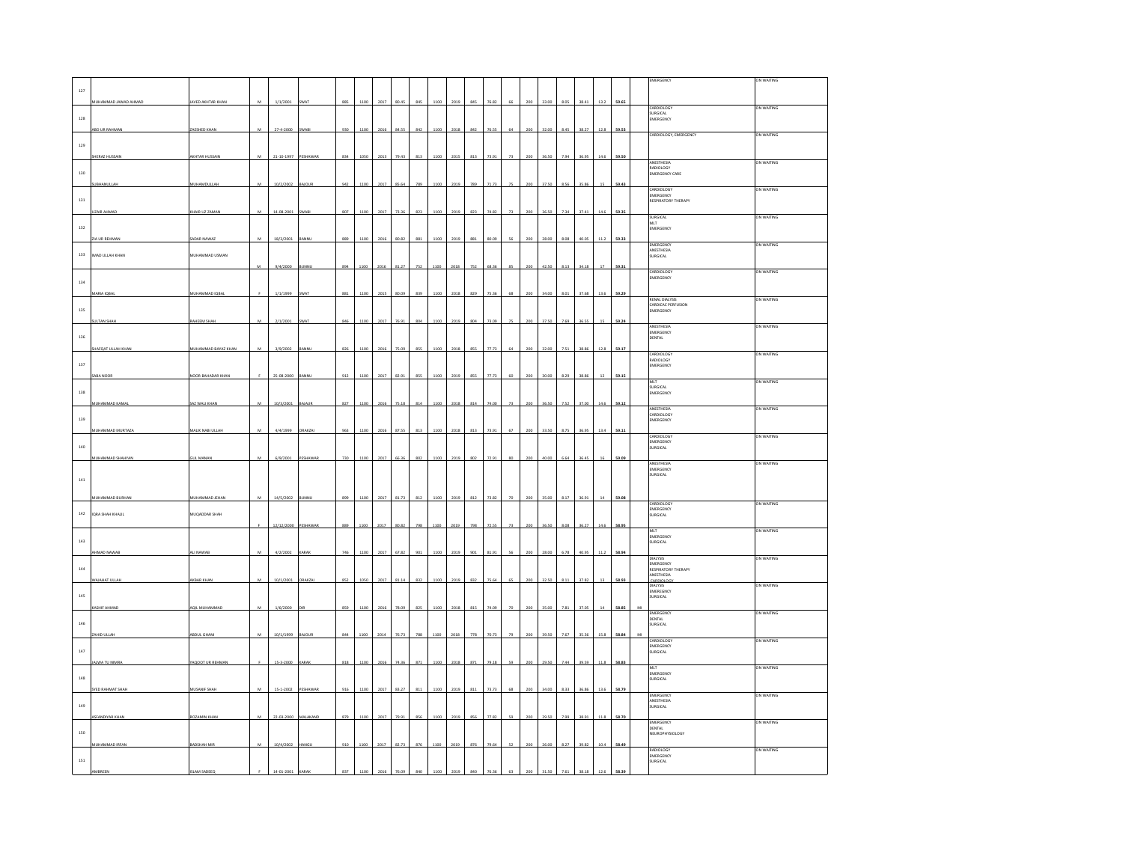|              |                       |                                   |                |                 |                  |     |      |      |       |     |      |      |     |       |    |     |       |      |       |        |       |   | <b>MERGENCY</b>                         | ON WAITING  |
|--------------|-----------------------|-----------------------------------|----------------|-----------------|------------------|-----|------|------|-------|-----|------|------|-----|-------|----|-----|-------|------|-------|--------|-------|---|-----------------------------------------|-------------|
|              |                       |                                   |                |                 |                  |     |      |      |       |     |      |      |     |       |    |     |       |      |       |        |       |   |                                         |             |
| 127          |                       |                                   |                |                 |                  |     |      |      |       |     |      |      |     |       |    |     |       |      |       |        |       |   |                                         |             |
|              | MUHAMMAD JAWAD AHMAD  | JAVED AKHTAR KHAN                 | $\mathbf{M}$   | 1/1/2001        | SWA <sup>-</sup> | 885 | 1100 | 2017 | 80.49 | 845 | 1100 | 2019 | 845 | 76.82 | 66 | 200 | 33.00 | 8.05 | 38.4  | 13.2   | 59.65 |   |                                         |             |
|              |                       |                                   |                |                 |                  |     |      |      |       |     |      |      |     |       |    |     |       |      |       |        |       |   | CARDIOLOGY<br>SURGICAL                  | ON WAITING  |
| $128\,$      |                       |                                   |                |                 |                  |     |      |      |       |     |      |      |     |       |    |     |       |      |       |        |       |   | <b>EMERGENCY</b>                        |             |
|              | ABD UR RAHMA          | <b>AESHED KHAM</b>                |                | $27 - 4 - 2000$ | WA               | 930 | 110  | 201  | 84.5  | 842 |      | 201  | 84  | 76.5  |    |     | 32.0  | 8.45 | 38.2  | 12.8   | 59.53 |   |                                         |             |
|              |                       |                                   |                |                 |                  |     |      |      |       |     |      |      |     |       |    |     |       |      |       |        |       |   | CARDIOLOGY, EMERGENCY                   | ON WAITING  |
| 129          |                       |                                   |                |                 |                  |     |      |      |       |     |      |      |     |       |    |     |       |      |       |        |       |   |                                         |             |
|              |                       |                                   |                |                 |                  |     |      |      |       |     |      |      |     |       |    |     |       |      |       |        |       |   |                                         |             |
|              | HERAZ HUSSAI          | KHTAR HUSSAIN                     | $\overline{M}$ | 21-10-1997      | FSHAWAR          | 834 | 105  | 201  |       | 813 |      |      | 813 | 73.91 |    |     |       | 790  |       |        | 59.50 |   | ANESTHESIA                              | ON WAITING  |
|              |                       |                                   |                |                 |                  |     |      |      |       |     |      |      |     |       |    |     |       |      |       |        |       |   | RADIOLOGY                               |             |
| $130\,$      |                       |                                   |                |                 |                  |     |      |      |       |     |      |      |     |       |    |     |       |      |       |        |       |   | EMERGENCY CARE                          |             |
|              | <b>JBHANULLAH</b>     | <b>MUHAMDULLAH</b>                | $\overline{M}$ | 10/2/2002       | LAIOU            | 942 |      |      |       | 789 |      |      | 789 | 71.73 |    |     | 375   | 8.56 | 35.86 |        | 59.43 |   |                                         |             |
|              |                       |                                   |                |                 |                  |     |      |      |       |     |      |      |     |       |    |     |       |      |       |        |       |   | <b><i>EARDIOLOGY</i></b>                | ) N WAITING |
| $131\,$      |                       |                                   |                |                 |                  |     |      |      |       |     |      |      |     |       |    |     |       |      |       |        |       |   | EMERGENCY<br>RESPIRATORY THERAPY        |             |
|              |                       |                                   |                |                 |                  |     |      |      |       |     |      |      |     |       |    |     |       |      |       |        |       |   |                                         |             |
|              | ZAIR AHMA             | KHAIR UZ ZAMAN                    | M              | 14-08-2001      | WABI             | 807 | 1100 | 2017 | 73.36 | 823 | 1100 | 2019 | 823 | 74.82 | 73 | 200 | 36.50 | 7.34 | 37.41 | 14.6   | 59.35 |   | <b>SURGICAL</b>                         | ON WAITING  |
|              |                       |                                   |                |                 |                  |     |      |      |       |     |      |      |     |       |    |     |       |      |       |        |       |   | MLT                                     |             |
| 132          |                       |                                   |                |                 |                  |     |      |      |       |     |      |      |     |       |    |     |       |      |       |        |       |   | EMERGENCY                               |             |
|              | ZIA UR REHMAN         | SADAR NAWAZ                       |                | 18/3/2001       | <b>ANN</b>       |     |      |      |       | 88  |      |      |     |       |    |     |       |      | 10.0  |        | 59.33 |   |                                         |             |
|              |                       |                                   |                |                 |                  |     |      |      |       |     |      |      |     |       |    |     |       |      |       |        |       |   | EMERGENCY                               | ON WAITING  |
| $133\,$      | IMAD ULLAH KHAN       | <b>INHAMMAD USMAN</b>             |                |                 |                  |     |      |      |       |     |      |      |     |       |    |     |       |      |       |        |       |   | ANESTHESIA<br>SURGICAL                  |             |
|              |                       |                                   |                |                 |                  |     |      |      |       |     |      |      |     |       |    |     |       |      |       |        |       |   |                                         |             |
|              |                       |                                   | <b>MA</b>      | 9/4/2000        | <b>COMM</b>      | 894 | 110  | 201  |       | 752 |      |      | 75  | 68.3  |    |     |       | 9.11 | 34.18 |        | 59.3  |   | CARDIOLOGY                              | ON WAITING  |
|              |                       |                                   |                |                 |                  |     |      |      |       |     |      |      |     |       |    |     |       |      |       |        |       |   | EMERGENCY                               |             |
| 134          |                       |                                   |                |                 |                  |     |      |      |       |     |      |      |     |       |    |     |       |      |       |        |       |   |                                         |             |
|              | MARIA IOBAI           | MUHAMMAD IQBA                     |                | 1/1/1999        | SWAT             | 881 | 110  | 201  | 800   | 839 |      |      | 82! | 75.36 | 68 |     |       | 8.0  | 37.68 | 13.6   | 59.29 |   |                                         |             |
|              |                       |                                   |                |                 |                  |     |      |      |       |     |      |      |     |       |    |     |       |      |       |        |       |   | RENAL DIALVSS                           | ON WAITING  |
| 135          |                       |                                   |                |                 |                  |     |      |      |       |     |      |      |     |       |    |     |       |      |       |        |       |   | CARDICAC PERFUSION<br>EMERGENCY         |             |
|              |                       |                                   |                |                 |                  |     |      |      |       |     |      |      |     |       |    |     |       |      |       |        |       |   |                                         |             |
|              | <b>SULTAN SHAH</b>    | AHEEM SHAH                        | ${\bf M}$      | 2/1/2001        | WAT              | 846 | 1100 | 2017 | 76.91 | 804 | 1100 | 2019 | 804 | 73.09 | 75 | 200 | 37.50 | 7.69 | 36.55 | $15\,$ | 59.24 |   | <b>ANESTHESIA</b>                       | ON WAITING  |
|              |                       |                                   |                |                 |                  |     |      |      |       |     |      |      |     |       |    |     |       |      |       |        |       |   | EMERGENCY                               |             |
| 136          |                       |                                   |                |                 |                  |     |      |      |       |     |      |      |     |       |    |     |       |      |       |        |       |   | DENTAL                                  |             |
|              | AFQAT ULLAH KHAM      | <b><i>NUHAMMAD BAYAZ KHAM</i></b> | M              | 3/9/2002        |                  | 826 | 110  | 201  |       | 855 |      | 2018 | 855 | 77.73 | 64 |     |       | 7.51 | 38.86 | 12.8   | 59.17 |   |                                         |             |
|              |                       |                                   |                |                 |                  |     |      |      |       |     |      |      |     |       |    |     |       |      |       |        |       |   | CARDIOLOGY                              | ON WAITING  |
| $137\,$      |                       |                                   |                |                 |                  |     |      |      |       |     |      |      |     |       |    |     |       |      |       |        |       |   | RADIOLOGY<br>MERGENCY                   |             |
|              |                       |                                   |                |                 |                  |     |      |      |       |     |      |      |     |       |    |     |       |      |       |        |       |   |                                         |             |
|              |                       | <b>JOOR BAHADAR KHAI</b>          |                | 25.08.2000      |                  | 912 |      |      |       |     |      |      |     | 77.73 |    |     |       |      |       |        | 59.15 |   |                                         |             |
|              |                       |                                   |                |                 |                  |     |      |      |       |     |      |      |     |       |    |     |       |      |       |        |       |   | VILT<br>SURGICAL                        | ON WAITING  |
| 138          |                       |                                   |                |                 |                  |     |      |      |       |     |      |      |     |       |    |     |       |      |       |        |       |   | EMERGENCY                               |             |
|              | MUHAMMAD KAMAI        | SAZ WALI KHAN                     | M              | 10/3/2001       | BAJAUR           | 827 | 1100 | 2016 | 75.18 | 814 | 1100 | 2018 | 814 | 74.00 | 73 | 200 | 36.50 | 7.52 | 37.00 | 14.6   | 59.12 |   |                                         |             |
|              |                       |                                   |                |                 |                  |     |      |      |       |     |      |      |     |       |    |     |       |      |       |        |       |   | ANESTHESIA                              | ON WAITING  |
| 139          |                       |                                   |                |                 |                  |     |      |      |       |     |      |      |     |       |    |     |       |      |       |        |       |   | CARDIOLOGY<br><b>EMERGENCY</b>          |             |
|              |                       |                                   |                |                 |                  |     |      |      |       |     |      |      |     |       |    |     |       |      |       |        |       |   |                                         |             |
|              | MUHAMMAD MURTAZA      | MALIK NABI ULLAH                  | $\mathbf{M}$   | 4/4/1999        | ORAKZAI          | 963 | 1100 | 201  | 87.55 | 813 | 1100 | 2018 | 813 | 73.91 |    | 200 | 33.50 | 8.75 | 36.95 | 13.4   | 59.11 |   | CARDIOLOGY                              | ON WAITING  |
|              |                       |                                   |                |                 |                  |     |      |      |       |     |      |      |     |       |    |     |       |      |       |        |       |   | EMERGENCY                               |             |
| $_{\rm 140}$ |                       |                                   |                |                 |                  |     |      |      |       |     |      |      |     |       |    |     |       |      |       |        |       |   | <b>URGICAL</b>                          |             |
|              | MUHAMMAD SHAHYAN      | <b>SUL MANAN</b>                  | $\overline{M}$ | 6/9/2001        | PESHAWAR         | 730 | 1100 | 2017 | 66.3  | 802 | 1100 | 2019 | 802 | 72.91 | 80 | 200 | 40.00 | 6.64 | 36.45 | 16     | 59.09 |   |                                         |             |
|              |                       |                                   |                |                 |                  |     |      |      |       |     |      |      |     |       |    |     |       |      |       |        |       |   | ANESTHESIA                              | ON WAITING  |
|              |                       |                                   |                |                 |                  |     |      |      |       |     |      |      |     |       |    |     |       |      |       |        |       |   | <b>EMERGENCY</b><br>SURGICAL            |             |
| $141\,$      |                       |                                   |                |                 |                  |     |      |      |       |     |      |      |     |       |    |     |       |      |       |        |       |   |                                         |             |
|              |                       |                                   |                |                 |                  |     |      |      |       |     |      |      |     |       |    |     |       |      |       |        |       |   |                                         |             |
|              | MUHAMMAD BURHAN       | AUHAMMAD JEHAM                    | $\mathbf{M}$   | 14/5/2002       | <b>SUNNU</b>     | 899 | 1100 | 2017 | 81.73 | 812 | 1100 | 2019 | 812 | 73.82 | 70 | 200 | 35.00 | 8.17 | 36.91 | $14\,$ | 59.08 |   |                                         |             |
|              |                       |                                   |                |                 |                  |     |      |      |       |     |      |      |     |       |    |     |       |      |       |        |       |   | CARDIOLOGY                              | ON WAITING  |
|              | 142 IQRA SHAH KHALIL  | MUQADDAR SHAH                     |                |                 |                  |     |      |      |       |     |      |      |     |       |    |     |       |      |       |        |       |   | <b>EMERGENCY</b>                        |             |
|              |                       |                                   |                |                 |                  |     |      |      |       |     |      |      |     |       |    |     |       |      |       |        |       |   | <b>SURGICAL</b>                         |             |
|              |                       |                                   | ×              | 12/12/2000      | PESHAWA          | 889 | 1100 | 201  |       |     |      |      |     | 725   |    |     |       | 8.08 | 36.27 | 14.6   | 58.95 |   |                                         |             |
|              |                       |                                   |                |                 |                  |     |      |      |       |     |      |      |     |       |    |     |       |      |       |        |       |   | MLT<br>EMERGENCY                        | ON WAITING  |
| $_{\rm 143}$ |                       |                                   |                |                 |                  |     |      |      |       |     |      |      |     |       |    |     |       |      |       |        |       |   | SURGICAL                                |             |
|              | HMAD NAWA             | ALI NAWAE                         | M              | 4/2/2002        | KARAK            | 746 | 1100 | 201  | 67.82 |     |      |      |     | 81.9  |    |     |       |      |       |        | 58.94 |   |                                         |             |
|              |                       |                                   |                |                 |                  |     |      |      |       |     |      |      |     |       |    |     |       |      |       |        |       |   | DIAI YSS                                | ON WAITING  |
| 144          |                       |                                   |                |                 |                  |     |      |      |       |     |      |      |     |       |    |     |       |      |       |        |       |   | EMERGENCY<br><b>RESPIRATORY THERAPY</b> |             |
|              |                       |                                   |                |                 |                  |     |      |      |       |     |      |      |     |       |    |     |       |      |       |        |       |   | <b>MESTHESIA</b>                        |             |
|              | WAIAHAT ULLAH         | AKBAR KHAN                        | $\mathbf{M}$   | 10/1/2001       | ORAKZAI          | 852 | 1050 | 2017 | 81.14 | 832 | 1100 | 2019 | 832 | 75.64 | 65 | 200 | 32.50 | 8.11 | 37.82 | 13     | 58.93 |   | <b>CARDIOLOGY</b><br>DIALYSIS           | ON WAITING  |
|              |                       |                                   |                |                 |                  |     |      |      |       |     |      |      |     |       |    |     |       |      |       |        |       |   | EMEREGNCY<br>SURGICAL                   |             |
| $145\,$      |                       |                                   |                |                 |                  |     |      |      |       |     |      |      |     |       |    |     |       |      |       |        |       |   |                                         |             |
|              | ASHIF AHMAD           | AQIL MUHAMMAD                     | M              | 1/6/2000        |                  | 859 | 1100 | 201  | 79 O  | 22  |      | 2018 | 811 | 74.09 |    |     | 15.05 | 7.81 | 37.05 |        | 58.8  |   |                                         |             |
|              |                       |                                   |                |                 |                  |     |      |      |       |     |      |      |     |       |    |     |       |      |       |        |       |   | EMERGENCY                               | ON WAITING  |
| 146          |                       |                                   |                |                 |                  |     |      |      |       |     |      |      |     |       |    |     |       |      |       |        |       |   | <b>DENTAL</b><br><b>SURGICAL</b>        |             |
|              |                       |                                   |                |                 |                  |     |      |      |       |     |      |      |     |       |    |     |       |      |       |        |       |   |                                         |             |
|              | AHID ULLAH            | ABDUL GHAN                        | M              | 10/1/1999       | 10145            | 844 | 1100 | 2014 | 76.73 | 788 | 1100 | 2018 | 778 | 70.73 |    |     | 1951  | 7.67 | 35.36 | 15.5   | 58.84 | M | CARDIOLOGY                              | ON WAITING  |
|              |                       |                                   |                |                 |                  |     |      |      |       |     |      |      |     |       |    |     |       |      |       |        |       |   | EMERGENCY                               |             |
| 147          |                       |                                   |                |                 |                  |     |      |      |       |     |      |      |     |       |    |     |       |      |       |        |       |   | <b>URGICAL</b>                          |             |
|              | JALWA TU NIMR         | AQOOT UR REHI                     |                | 15-3-2000       | ARA              | 818 | 110  | 201  |       | 87  | 110  |      | 87  | 79.1  |    |     | 29.5  | 7.44 | 39.59 |        | 58.83 |   |                                         |             |
|              |                       |                                   |                |                 |                  |     |      |      |       |     |      |      |     |       |    |     |       |      |       |        |       |   | MLT                                     | ON WAITING  |
| $_{\rm 148}$ |                       |                                   |                |                 |                  |     |      |      |       |     |      |      |     |       |    |     |       |      |       |        |       |   | EMERGENCY<br><b>URGICAL</b>             |             |
|              |                       |                                   |                |                 |                  |     |      |      |       |     |      |      |     |       |    |     |       |      |       |        |       |   |                                         |             |
|              | YED RAHMAT SHA        | USANIF SHAH                       | $\overline{M}$ | $15 - 1 - 2002$ |                  | 916 |      |      |       |     |      |      |     |       |    |     |       | 8.3  |       |        | 58.79 |   | EMERGENCY                               | ON WAITING  |
|              |                       |                                   |                |                 |                  |     |      |      |       |     |      |      |     |       |    |     |       |      |       |        |       |   |                                         |             |
| 149          |                       |                                   |                |                 |                  |     |      |      |       |     |      |      |     |       |    |     |       |      |       |        |       |   | ANESTHESIA<br>SURGICAL                  |             |
|              | SFANDIYAR KHAN        | OZAMIN KHAM                       | M              | 22-03-2000      | MALAKAND         | 879 | 1100 | 2017 | 79.91 | 856 |      | 2019 | 856 | 77.82 | 59 | 200 | 29.50 | 7.99 | 38.91 | 11.8   | 58.70 |   |                                         |             |
|              |                       |                                   |                |                 |                  |     |      |      |       |     |      |      |     |       |    |     |       |      |       |        |       |   | EMERGENCY<br>DENTAL                     | ON WAITING  |
| 150          |                       |                                   |                |                 |                  |     |      |      |       |     |      |      |     |       |    |     |       |      |       |        |       |   | NEUROPHYSIOLOGY                         |             |
|              |                       |                                   |                |                 |                  |     |      |      |       |     |      |      |     |       |    |     |       |      |       |        |       |   |                                         |             |
|              |                       |                                   |                |                 |                  |     |      | 2017 | 82.73 | 876 | 110  | 2019 | 876 | 79.64 |    | 200 |       |      |       |        |       |   |                                         |             |
|              | <b>MUHAMMAD IRFAN</b> | ADSHAH MIR                        | M              | 10/4/2002       | <b>IANG</b>      | 910 | 1100 |      |       |     |      |      |     |       |    |     |       | 8.27 | 39.82 | 10.4   | 58.49 |   |                                         |             |
|              |                       |                                   |                |                 |                  |     |      |      |       |     |      |      |     |       |    |     |       |      |       |        |       |   | RADIOLOGY<br>EMERGENCY                  | ON WAITING  |
| $_{\rm 151}$ |                       |                                   |                |                 |                  |     |      |      |       |     |      |      |     |       |    |     |       |      |       |        |       |   | SURGICAL                                |             |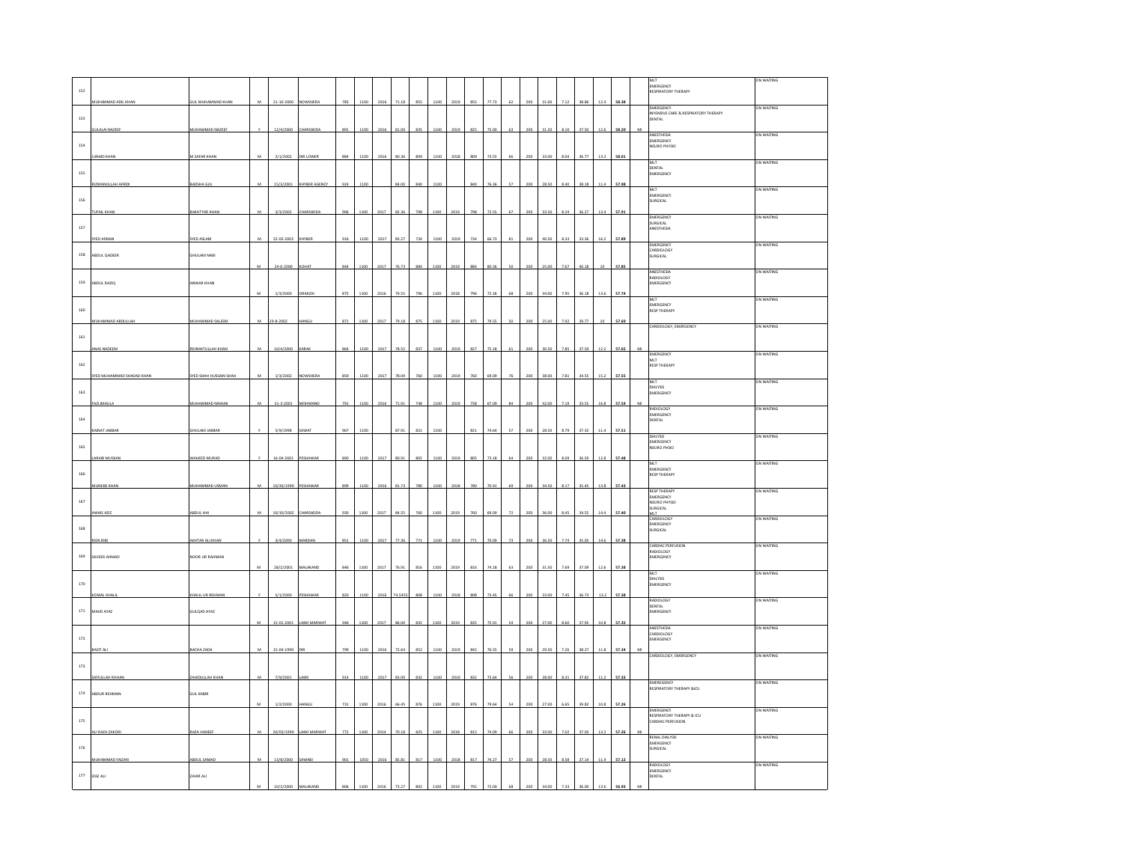|              |                           |                          |                |            |                |               |      |      |       |     |      |      |     |       |    |     |       |      |       |      |       |   |                                                       | ON WAITING        |
|--------------|---------------------------|--------------------------|----------------|------------|----------------|---------------|------|------|-------|-----|------|------|-----|-------|----|-----|-------|------|-------|------|-------|---|-------------------------------------------------------|-------------------|
| 152          |                           |                          |                |            |                |               |      |      |       |     |      |      |     |       |    |     |       |      |       |      |       |   | EMERGENCY<br>RESPIRATORY THERAPY                      |                   |
|              | <b>IUHAMMAD ADIL KHAN</b> | <b>JUL MUHAMMAD KHAN</b> | M              | 21-10-2000 | NOWSHERA       | 783           | 1100 |      | 71.11 | 855 | 1100 | 2019 | 855 | 77.7  |    |     |       |      | 38.8  | 12.4 | 58.38 |   | EMERGENCY                                             | ON WAITING        |
| $153\,$      |                           |                          |                |            |                |               |      |      |       |     |      |      |     |       |    |     |       |      |       |      |       |   | INYENSIVE CARE & RESPIRATORY THERAPY<br><b>DENTAL</b> |                   |
|              | ULALAI NAZEEP             | MUHAMMAD NAZEEF          |                | 12/4/2000  | <b>HARSADD</b> | 891           | 1100 |      |       | 835 |      |      | 825 |       |    |     |       |      | 275   |      |       |   |                                                       | ON WAITING        |
| 154          |                           |                          |                |            |                |               |      |      |       |     |      |      |     |       |    |     |       |      |       |      |       |   | ANESTHESIA<br>EMERGENCY<br>NEURO PHYSIO               |                   |
|              | <b>JNAID KHAN</b>         | A ZAFAR KHA              |                | 2/1/2002   | DIR LOWER      | 884           | 1100 |      |       |     | .10C | 2018 |     | 73.5  |    |     |       |      |       | 13.3 | 58.01 |   |                                                       |                   |
|              |                           |                          |                |            |                |               |      |      |       |     |      |      |     |       |    |     |       |      |       |      |       |   | MLT<br><b>DENTAL</b>                                  | ON WAITING        |
| 155          |                           |                          |                |            |                |               |      |      |       |     |      |      |     |       |    |     |       |      |       |      |       |   | EMERGENCY                                             |                   |
|              | RIZWANULLAH AFRIDI        | BADSHA GUI               | M              | 15/3/2001  | KHYBER AGENCY  | 924           | 1100 |      | 84.00 | 840 | 1100 |      | 84f | 76.3  |    |     |       |      | 38.1  | 11.  | 57.98 |   | MLT<br>EMERGENCY                                      | ON WAITING        |
| 156          |                           |                          |                |            |                |               |      |      |       |     |      |      |     |       |    |     |       |      |       |      |       |   | SURGICAL                                              |                   |
|              |                           | <b>AKHTYAR KH</b>        |                | 3/3/2002   |                |               | 1100 |      |       | 798 |      |      | 79  |       |    |     |       |      | 36.2  | 13.4 | 57.91 |   | EMERGENCY                                             | ON WAITING        |
| 157          |                           |                          |                |            |                |               |      |      |       |     |      |      |     |       |    |     |       |      |       |      |       |   | SURGICAL<br>ANESTHESIA                                |                   |
|              | SYED ADNAN                | YED ASLAM                | M              | 22-02-2002 | KHYBER         | 916           | 1100 | 2017 | 83.27 | 734 | 1100 | 2019 | 734 | 66.73 | 81 | 200 | 40.50 | 8.33 | 33.36 | 16.2 | 57.89 |   |                                                       |                   |
|              |                           |                          |                |            |                |               |      |      |       |     |      |      |     |       |    |     |       |      |       |      |       |   | EMERGENCY<br>CARDIOLOGY                               | ON WAITING        |
| 158          | ABDUL QADEER              | SHULAM NABI              |                |            |                | 844           |      |      | 76.73 |     | 1100 | 2019 |     | 80.3  |    |     |       | 7.67 | 40.18 |      |       |   | SURGICAL                                              |                   |
|              |                           |                          |                | 24-6-2000  |                |               | 1100 | 2017 |       | 884 |      |      | 884 |       |    |     | 25.00 |      |       |      | 57.85 |   | ANESTHESIA<br>RADIOLOGY                               | ON WAITING        |
| 159          | ABDUL RAZIO               | <b>NWAR KHAN</b>         |                |            |                |               |      |      |       |     |      |      |     |       |    |     |       |      |       |      |       |   | EMERGENCY                                             |                   |
|              |                           |                          | M              | 1/3/2000   | ORAKZA         | 875           | 1100 | 2016 | 79.55 | 796 | 1100 | 2018 | 796 | 72.36 | 68 | 200 | 34.00 | 7.95 | 36.18 | 13.6 | 57.74 |   | MIT.                                                  | <b>ON WAITING</b> |
| 160          |                           |                          |                |            |                |               |      |      |       |     |      |      |     |       |    |     |       |      |       |      |       |   | EMERGENCY<br><b>RESP THERAPY</b>                      |                   |
|              | UHAMMAD ABDULLAR          | MUHAMMAD SALEEM          | $\overline{M}$ | 29-8-2002  |                | 871           | 1100 | 2017 | 79.18 | 875 | 1100 | 2019 | 875 | 79.55 | so | 200 | 25.00 | 7.92 | 39.77 | 10   | 57.69 |   |                                                       |                   |
|              |                           |                          |                |            |                |               |      |      |       |     |      |      |     |       |    |     |       |      |       |      |       |   | CARDIOLOGY, EMERGENCY                                 | ON WAITING        |
| 161          | NAS NADEEM                | EHMATULLAH KHAN          | M              | 10/4/2000  | KARAB          | 864           | 1100 | 2017 | 78.55 | 837 | 1100 | 2019 | 827 | 75.18 |    | 200 | 30.50 | 7.85 | 37.59 | 12.2 | 57.65 | M |                                                       |                   |
|              |                           |                          |                |            |                |               |      |      |       |     |      |      |     |       |    |     |       |      |       |      |       |   | EMERGENCY<br>MLT                                      | ON WAITING        |
| 162          |                           |                          |                |            |                |               |      |      |       |     |      |      |     |       |    |     |       |      |       |      |       |   | <b>RESP THERAPY</b>                                   |                   |
|              | YED MUHAMMAD SHADAD KH    | THE SHAH HUSSAIN SHA     |                | 1/3/2002   | VOWSHEI        | 859           | 10   |      |       |     |      |      |     |       |    |     |       |      | 34.55 |      | 57.55 |   | MLT                                                   | ON WAITING        |
| $163\,$      |                           |                          |                |            |                |               |      |      |       |     |      |      |     |       |    |     |       |      |       |      |       |   | <b>DIALYSIS</b><br>EMERGENCY                          |                   |
|              | AZLIMAULA                 | MUHAMMAD NAWAB           | M              | 31-3-2001  | MOHMAND        | 791           | 1100 | 2016 | 71.91 | 748 | 1100 | 2019 | 738 | 67.09 | 84 | 200 | 42.0  | 7.19 | 33.55 | 16.8 | 57.54 | M | <b>RADIOLOGY</b>                                      |                   |
| 164          |                           |                          |                |            |                |               |      |      |       |     |      |      |     |       |    |     |       |      |       |      |       |   | EMERGENCY<br>DENTAL                                   | ON WAITING        |
|              | MNAT JABBAR               | <b>HULAM JABBAR</b>      |                | 5/9/1998   | AWAT           | 967           | 1100 |      | 87.91 | 821 | 1100 |      | 821 | 74.64 | 57 | 200 | 28.50 | 8.79 | 37.32 | 11.4 | 57.51 |   |                                                       |                   |
|              |                           |                          |                |            |                |               |      |      |       |     |      |      |     |       |    |     |       |      |       |      |       |   | <b>DIALYSIS</b><br>EMERGENCY                          | ON WAITING        |
| 165          |                           |                          |                |            |                |               |      |      |       |     |      |      |     |       |    |     |       |      |       |      |       |   | NEURO PHSIO                                           |                   |
|              | LARAIB MUSKAN             | MAHEED MURAD             |                | 16-04-2001 | PESHAWA        | 890           | 1100 | 2017 | 80.91 | 805 | 1100 | 2019 | 805 | 73.18 |    |     | 32.00 |      | 36.59 | 12.8 | 57.48 |   | MLT                                                   | ON WAITING        |
| $166\,$      |                           |                          |                |            |                |               |      |      |       |     |      |      |     |       |    |     |       |      |       |      |       |   | EMERGENCY<br><b>RESP THERAPY</b>                      |                   |
|              | INEEB KHAN                | <b>IUHAMMAD USMAN</b>    |                | 10/20/1999 |                |               |      |      |       |     |      |      |     |       |    |     |       |      |       |      |       |   | <b>RESP THERAP</b>                                    | ON WAITING        |
| 167          |                           |                          |                |            |                |               |      |      |       |     |      |      |     |       |    |     |       |      |       |      |       |   | <b>EMERGENCY</b><br>NEURO PHYSIO                      |                   |
|              | WAIS AZI                  | ABDUL HA                 | M              | 10/10/2002 |                | 930           | 1100 | 2017 | 84.5  | 760 | 1100 |      | 760 | 69.0  |    |     |       |      | 34.5  |      | 57.4  |   | SURGICAL<br>MLT.                                      |                   |
|              |                           |                          |                |            |                |               |      |      |       |     |      |      |     |       |    |     |       |      |       |      |       |   | CARDIOLOGY<br>EMERGENCY                               | ON WAITING        |
| $168\,$      |                           |                          |                | 3/4/2000   |                | 851           | 1100 |      | 77.3  |     |      | 2015 | 771 | zn ns |    |     |       |      | as n  | 146  | 57.38 |   | SURGICAL                                              |                   |
|              |                           | KHTAR ALI KHAN           |                |            |                |               |      | 2017 |       | 771 | 1100 |      |     |       |    |     |       |      |       |      |       |   | CARDIAC PERF<br>RADIOLOGY                             | ON WAITING        |
| 169          | SAVEER AHMAD              | NOOR UR RAHMAN           |                |            |                |               |      |      |       |     |      |      |     |       |    |     |       |      |       |      |       |   | EMERGENCY                                             |                   |
|              |                           |                          |                | 28/2/2001  | MALAKAN        | 846           | 1100 | 2017 | 76.9  | 816 | 1100 |      | 816 | 74.18 |    |     |       |      | 37.09 | 12.6 | 57.38 |   | MLT                                                   | ON WAITING        |
| 170          |                           |                          |                |            |                |               |      |      |       |     |      |      |     |       |    |     |       |      |       |      |       |   | DIALYSIS<br>EMERGENCY                                 |                   |
|              | OMAL KHAI                 | KHALIL UR REHM           |                | 5/1/2000   | PESHAWA        | 820           | 1100 |      | 74.54 | 808 | 100  | 201  |     | 73.4  |    |     |       |      | 36.7  |      | 57.38 |   | <b>RADIOIOG</b>                                       | ON WAITING        |
| $171\,$      | MAJID AYAZ                | GULQAD AYAZ              |                |            |                |               |      |      |       |     |      |      |     |       |    |     |       |      |       |      |       |   | DENTAL<br>EMERGENCY                                   |                   |
|              |                           |                          |                | 15-01-2001 | AKKI MARWA     |               | 1100 | 2011 |       | 835 |      |      |     | 5.9   |    |     |       |      | 37.9  | 10.8 | 57.35 |   |                                                       |                   |
|              |                           |                          |                |            |                |               |      |      |       |     |      |      |     |       |    |     |       |      |       |      |       |   | ANESTHESIA<br>CARDIOLOGY                              | ON WAITING        |
| $172\,$      |                           |                          |                |            |                |               |      |      |       |     |      |      |     |       |    |     |       |      |       |      |       |   | MERGENCY                                              |                   |
|              | BASIT ALI                 | ACHA ZADA                | $\overline{M}$ | 15-04-1999 |                | 799           | 1100 | 2016 | 72.64 | 852 | 1100 | 2019 | 842 | 76.55 |    |     |       |      |       | 115  | 57.34 | M | CARDIOLOGY, EMERGENCY                                 | ON WAITING        |
| $_{\rm 173}$ |                           |                          |                |            |                |               |      |      |       |     |      |      |     |       |    |     |       |      |       |      |       |   |                                                       |                   |
|              | SAFIULLAH KHI             | AHIDULLAH KHA            |                | 7/9/2001   |                | 914           | 1100 | 2017 | 83.09 | 832 | 1100 | 2019 | 832 | 75.64 |    |     |       |      | 37.82 | 11.2 | 57.33 |   | <b>EMEREGENCY</b>                                     | ON WAITING        |
| 174          | ABDUR REHMAN              | <b>GUL KABIR</b>         |                |            |                |               |      |      |       |     |      |      |     |       |    |     |       |      |       |      |       |   | RESPIRATORY THERAPY &ICU                              |                   |
|              |                           |                          | $\overline{M}$ | 1/2/2000   |                | 731           | 1100 | 2016 | 66.45 | 876 | 1100 | 2019 | 876 | 79.64 |    |     |       | 6.65 | 39.82 | 10.8 | 57.26 |   | <b>EMERGENCY</b>                                      | ON WAITING        |
| $175\,$      |                           |                          |                |            |                |               |      |      |       |     |      |      |     |       |    |     |       |      |       |      |       |   | RESPIRATORY THERAPY & ICU<br>CARDIAC PERFUSION        |                   |
|              | ALI RAZA ZAKORI           | AZA HANEEF               | $\mathbf{M}$   | 20/03/1999 | AKKI MARWAT    | $\frac{1}{2}$ | 1100 | 2014 | 70.18 | 825 | 1100 | 2018 | 815 | 74.09 | 66 | 200 | 33.00 | 7.02 | 37.05 | 13.2 | 57.26 | M |                                                       |                   |
| 176          |                           |                          |                |            |                |               |      |      |       |     |      |      |     |       |    |     |       |      |       |      |       |   | <b>RENAL DIALYSIS</b><br>EMERGENCY                    | ON WAITING        |
|              | MUHAMMAD FAIZAN           | <b>BDUL SAMAD</b>        |                | 13/8/2000  |                |               | 1050 |      | 85.81 | 817 | 1100 | 2018 | 817 | 74.27 |    | 200 | 28.50 | 8.58 | 37.14 | 11.4 | 57.12 |   | <b>SURGICAL</b>                                       |                   |
|              |                           |                          |                |            |                |               |      |      |       |     |      |      |     |       |    |     |       |      |       |      |       |   | RADIOLOGY<br>EMERGENCY                                | ON WAITING        |
| $177\,$      | IZAZ ALI                  | AHIR ALI                 |                |            |                |               |      |      |       |     |      |      |     |       |    |     |       |      |       |      |       |   | <b>DENTAL</b>                                         |                   |
|              |                           |                          |                |            |                |               |      |      |       |     |      |      |     |       |    |     |       |      |       |      |       |   |                                                       |                   |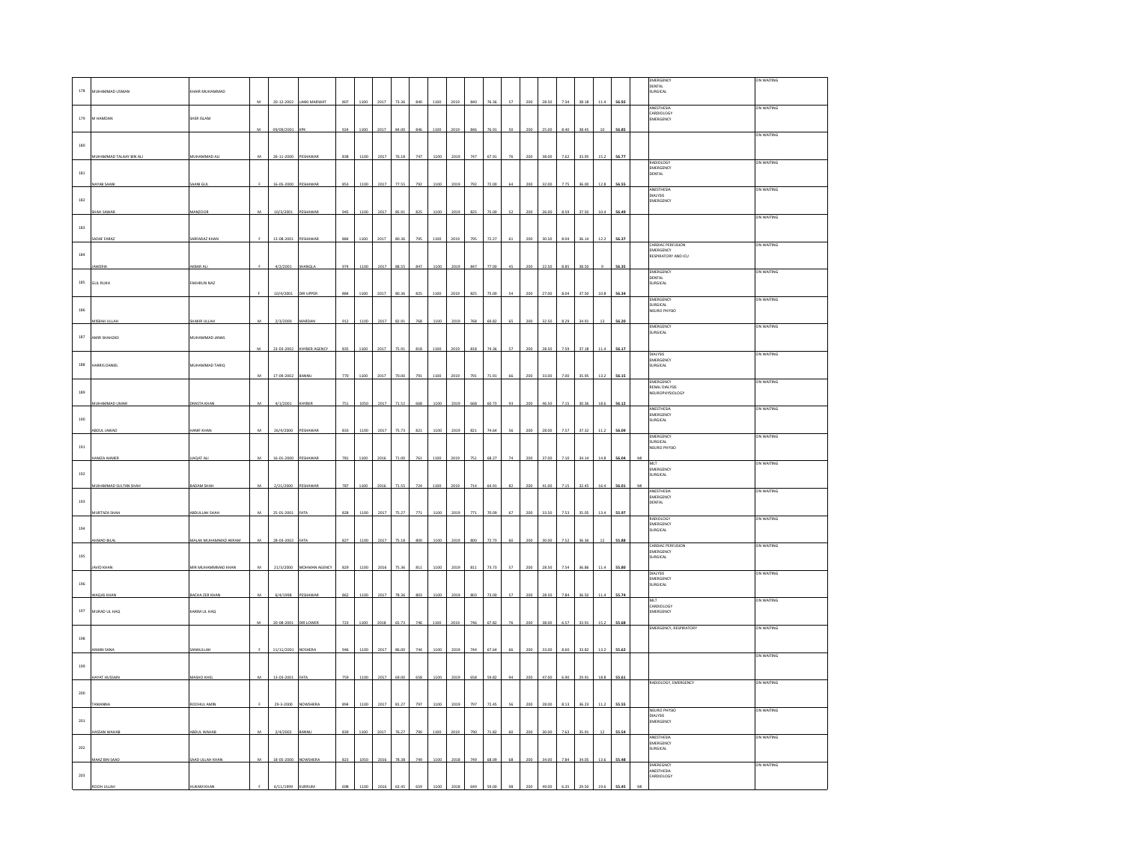|              |                              |                      |                 |                     |                          |     |      |      |              |     |      |      |     |       |    |     |       |      |       |        |       | EMERGENCY                                | ON WAITING |
|--------------|------------------------------|----------------------|-----------------|---------------------|--------------------------|-----|------|------|--------------|-----|------|------|-----|-------|----|-----|-------|------|-------|--------|-------|------------------------------------------|------------|
| $178\,$      | MUHAMMAD USMAN               | KHAIR MUHAMMAD       |                 |                     |                          |     |      |      |              |     |      |      |     |       |    |     |       |      |       |        |       | <b>DENTAL</b><br>SURGICAL                |            |
|              |                              |                      |                 |                     |                          |     |      |      |              |     |      |      |     |       |    |     |       |      |       |        |       |                                          |            |
|              |                              |                      |                 | 20-12-2002          | AKKI MARWA'              |     | 1100 | 2017 |              | 840 |      | 2019 | 840 |       |    | 200 | 28.50 |      | 38.18 |        | 56.92 | ANESTHESIA                               | ON WAITING |
|              |                              |                      |                 |                     |                          |     |      |      |              |     |      |      |     |       |    |     |       |      |       |        |       | CARDIOLOGY                               |            |
| 179          | M HAMDAN                     | SHER ISLAM           |                 |                     |                          |     |      |      |              |     |      |      |     |       |    |     |       |      |       |        |       | EMERGENCY                                |            |
|              |                              |                      |                 | 09/09/2001          |                          | 924 | 1100 | 2017 | <b>84 00</b> | 846 |      | 2019 | 846 | 76.91 |    | 200 | 25.00 |      | 38.45 | 10     | 56.85 |                                          |            |
|              |                              |                      |                 |                     |                          |     |      |      |              |     |      |      |     |       |    |     |       |      |       |        |       |                                          | ON WAITING |
| $180\,$      |                              |                      |                 |                     |                          |     |      |      |              |     |      |      |     |       |    |     |       |      |       |        |       |                                          |            |
|              | <b>NUHAMMAD TALAAY BIN A</b> | MUHAMMAD AL          |                 | 26-11-2000          |                          | 838 |      |      |              |     |      |      |     |       |    |     |       |      |       |        | 56.77 |                                          |            |
|              |                              |                      |                 |                     |                          |     |      |      |              |     |      |      |     |       |    |     |       |      |       |        |       | RADIOLOGY<br>EMERGENCY                   | ON WAITING |
| 181          |                              |                      |                 |                     |                          |     |      |      |              |     |      |      |     |       |    |     |       |      |       |        |       | DENTAL                                   |            |
|              |                              |                      |                 |                     |                          |     |      |      |              |     |      |      |     |       |    |     |       |      |       |        |       |                                          |            |
|              | <b>JAYAB SAAN</b>            | SAANI GUL            |                 | 16-05-2000          | PESHAWA                  | 853 | 1100 | 2017 | 77.55        | 792 | 1100 | 2019 | 792 |       |    | 200 | 32.00 | 7.75 | 36.00 | 12.8   | 56.55 | ANESTHESIA                               | ON WAITING |
|              |                              |                      |                 |                     |                          |     |      |      |              |     |      |      |     |       |    |     |       |      |       |        |       | DIALYSIS<br>EMERGENCY                    |            |
| $182\,$      |                              |                      |                 |                     |                          |     |      |      |              |     |      |      |     |       |    |     |       |      |       |        |       |                                          |            |
|              | HAH SAWAR                    | MANZOOR              | M               | 10/3/2001           | PESHAWAR                 | 945 | 1100 | 2017 | 85.91        | 825 | 1100 | 2019 | 825 | 75.00 | 52 | 200 | 26.00 | 8.59 | 37.50 | 10.4   | 56.49 |                                          |            |
|              |                              |                      |                 |                     |                          |     |      |      |              |     |      |      |     |       |    |     |       |      |       |        |       |                                          | ON WAITING |
| 183          |                              |                      |                 |                     |                          |     |      |      |              |     |      |      |     |       |    |     |       |      |       |        |       |                                          |            |
|              | ADAF FARAZ                   | SARFARAZ KHAN        |                 | 13-08-2001          | PESHAWA                  | 884 | 1100 | 2017 | 80.36        | 795 | 1100 | 2019 | 795 | 72.27 |    | 200 | 30.50 | 8.04 | 36.14 | 12.2   | 56.37 |                                          |            |
|              |                              |                      |                 |                     |                          |     |      |      |              |     |      |      |     |       |    |     |       |      |       |        |       | CARDIAC PERFUSION                        | ON WAITING |
| $184\,$      |                              |                      |                 |                     |                          |     |      |      |              |     |      |      |     |       |    |     |       |      |       |        |       | EMERGENCY<br>RESPIRATORY AND ICU         |            |
|              |                              |                      |                 |                     |                          |     |      |      |              |     |      |      |     |       |    |     |       |      |       |        |       |                                          |            |
|              |                              | <b>KBAR AL</b>       |                 | 4/2/2001            |                          | 974 | 1100 | 2017 | 88.5         | 847 |      | 2015 |     |       |    |     |       |      | 38.5  |        | 56.35 |                                          |            |
|              |                              |                      |                 |                     |                          |     |      |      |              |     |      |      |     |       |    |     |       |      |       |        |       | EMERGENCY<br><b>DENTAL</b>               | ON WAITING |
| 185          | <b>GUL RUKH</b>              | AKHRUN NAZ           |                 |                     |                          |     |      |      |              |     |      |      |     |       |    |     |       |      |       |        |       | SURGICAL                                 |            |
|              |                              |                      |                 | 10/4/2001           | <b>DIR UPPER</b>         | 884 | 1100 | 2017 | 80.36        | 825 | 1100 | 2019 | 825 | 75.00 | 54 | 200 | 27.00 | 8.04 | 37.50 | 10.8   | 56.34 |                                          |            |
|              |                              |                      |                 |                     |                          |     |      |      |              |     |      |      |     |       |    |     |       |      |       |        |       | <b>EMERGENCY</b>                         | ON WAITING |
| 186          |                              |                      |                 |                     |                          |     |      |      |              |     |      |      |     |       |    |     |       |      |       |        |       | SURGICAL<br>NEURO PHYSIO                 |            |
|              |                              |                      |                 |                     |                          |     |      |      |              |     |      |      |     |       |    |     |       |      |       |        |       |                                          |            |
|              | MISBAH ULLAH                 | SHAKIR ULLAH         | $\mathbf{M}$    | 2/3/2000            | MARDAN                   | 912 | 1100 | 2017 | 82.91        | 768 | 1100 | 2019 | 768 | 69.82 | 65 | 200 | 32.50 | 8.29 | 34.91 | 13     | 56.20 | EMERGENCY                                | ON WAITING |
|              |                              |                      |                 |                     |                          |     |      |      |              |     |      |      |     |       |    |     |       |      |       |        |       | SURGICAL                                 |            |
| 187          | AMIR SHAHZAD                 | MUHAMMAD JANAS       |                 |                     |                          |     |      |      |              |     |      |      |     |       |    |     |       |      |       |        |       |                                          |            |
|              |                              |                      | M               |                     | 23-03-2002 KHYBER AGENCY | 835 | 1100 | 2017 | 75.9         | 818 |      | 2019 | 818 | 74.36 |    | 200 | 28.50 |      | 37.18 |        | 56.17 |                                          |            |
|              |                              |                      |                 |                     |                          |     |      |      |              |     |      |      |     |       |    |     |       |      |       |        |       | DIALYSIS<br>EMERGENCY                    | ON WAITING |
| $188\,$      | ARRIS DANIEL                 | MUHAMMAD TARIQ       |                 |                     |                          |     |      |      |              |     |      |      |     |       |    |     |       |      |       |        |       | SURGICAL                                 |            |
|              |                              |                      |                 |                     |                          |     |      |      |              |     |      |      |     |       |    |     |       |      |       |        |       |                                          |            |
|              |                              |                      |                 | 17-09-2002          | BANNL                    | 770 | 1100 | 2017 | 70.0         | 791 |      | 2019 | 791 | 71.9  |    | 200 | 3.00  |      | 35.95 | 13.2   | 56.15 | EMERGENCY                                | ON WAITING |
| 189          |                              |                      |                 |                     |                          |     |      |      |              |     |      |      |     |       |    |     |       |      |       |        |       | RENAL DIALYSIS<br><b>NEUROPHYSIOLOGY</b> |            |
|              |                              |                      |                 |                     |                          |     |      |      |              |     |      |      |     |       |    |     |       |      |       |        |       |                                          |            |
|              | MUHAMMAD UMA                 | <b>DRASTA KHAN</b>   | M               | 4/1/2001            | <b>HYBER</b>             | 751 | 105  | 201  | 71.5         | 668 | 110  |      | 66  |       |    |     |       |      | 30.3  |        | 56.12 |                                          |            |
|              |                              |                      |                 |                     |                          |     |      |      |              |     |      |      |     |       |    |     |       |      |       |        |       | ANESTHESIA<br>EMERGENCY                  | ON WAITING |
| $190\,$      |                              |                      |                 |                     |                          |     |      |      |              |     |      |      |     |       |    |     |       |      |       |        |       | SURGICAL                                 |            |
|              |                              | <b>ANIF KHAI</b>     |                 | 26/4/20             |                          |     | 1100 |      |              |     |      |      |     |       |    |     |       |      |       |        | ss os |                                          |            |
|              |                              |                      |                 |                     |                          |     |      |      |              |     |      |      |     |       |    |     |       |      |       |        |       | MERGENCY                                 | on waiting |
| 191          |                              |                      |                 |                     |                          |     |      |      |              |     |      |      |     |       |    |     |       |      |       |        |       | SURGICAL<br>NEURO PHYSIO                 |            |
|              |                              |                      |                 |                     |                          |     |      |      |              |     |      |      |     |       |    |     |       |      |       |        |       |                                          |            |
|              | <b>HAMZA AHMER</b>           | <b>LIAQAT ALI</b>    | M               | 16-01-2000 PESHAWAR |                          | 781 | 1100 | 2016 | 71.00        | 761 | 1100 | 2019 | 751 | 68.27 | 74 | 200 | 37.00 | 7.10 | 34.14 | 14.8   | 56.04 | MLT                                      | ON WAITING |
|              |                              |                      |                 |                     |                          |     |      |      |              |     |      |      |     |       |    |     |       |      |       |        |       | EMERGENCY                                |            |
| $_{\rm 192}$ |                              |                      |                 |                     |                          |     |      |      |              |     |      |      |     |       |    |     |       |      |       |        |       | SURGICAL                                 |            |
|              | MUHAMMAD SULTAN SHAH         | BADAM SHAF           | $\overline{14}$ | 2/21/2000           |                          | 787 | 1100 | 2016 | 71.51        | 724 |      | 2019 | 714 | 64.91 |    |     | in or |      | 324   |        | 56.01 |                                          |            |
|              |                              |                      |                 |                     |                          |     |      |      |              |     |      |      |     |       |    |     |       |      |       |        |       | <b>ANFSTHESIA</b><br>EMERGENCY           | ON WAITING |
| 193          |                              |                      |                 |                     |                          |     |      |      |              |     |      |      |     |       |    |     |       |      |       |        |       | DENTAL                                   |            |
|              | <b>IURTAZA SI</b>            | BOULLAH SHAI         |                 | $25 - 01 - 2001$    |                          | 828 |      |      |              |     |      |      |     |       |    |     |       |      | 35.C  |        | 55.97 |                                          |            |
|              |                              |                      |                 |                     |                          |     |      |      |              |     |      |      |     |       |    |     |       |      |       |        |       | RADIOLOGY                                | ON WAITING |
| 194          |                              |                      |                 |                     |                          |     |      |      |              |     |      |      |     |       |    |     |       |      |       |        |       | EMERGENCY<br>SURGICAL                    |            |
|              |                              |                      |                 |                     |                          |     |      |      |              |     |      |      |     |       |    |     |       |      |       |        |       |                                          |            |
|              | HMAD BILA                    | MALAK MUHAMMAD AKRAM | M               | 28-03-2002          |                          | 827 | 1100 | 2017 | 75.1         | 800 | 1100 | 2019 | 800 | 72.7  |    | 200 | 30 OF |      | 36.36 |        | 55.88 |                                          | ON WAITING |
|              |                              |                      |                 |                     |                          |     |      |      |              |     |      |      |     |       |    |     |       |      |       |        |       | CARDIAC PERFUSION<br>EMERGENCY           |            |
| 195          |                              |                      |                 |                     |                          |     |      |      |              |     |      |      |     |       |    |     |       |      |       |        |       | SURGICAL                                 |            |
|              | MID KHA                      | MIR MUHAMMMAD KHAN   |                 | 21/3/2000           | MOHMAN AGENCY            | 829 | 110  |      |              | 81  |      |      |     |       |    |     |       |      | 36.8  |        | 55.80 |                                          |            |
|              |                              |                      |                 |                     |                          |     |      |      |              |     |      |      |     |       |    |     |       |      |       |        |       | <b>DIALYSIS</b>                          | ON WAITING |
| 196          |                              |                      |                 |                     |                          |     |      |      |              |     |      |      |     |       |    |     |       |      |       |        |       | EMERGENCY<br>SURGICAL                    |            |
|              |                              |                      |                 |                     |                          |     |      |      |              |     |      |      |     |       |    |     |       |      |       |        |       |                                          |            |
|              | <b>VAQAS KHAI</b>            | BACHA ZER KHAP       | $\overline{M}$  | 6/4/1998            | PESHAWA                  | 867 | 1100 |      | 78.3         | 803 | 110  | 2015 | 803 |       |    |     | 28.50 |      | 36.50 | 114    | 55.74 | <b>MLT</b>                               | ON WAITING |
|              |                              |                      |                 |                     |                          |     |      |      |              |     |      |      |     |       |    |     |       |      |       |        |       | CARDIOLOGY                               |            |
| 197          | MURAD UL HAO                 | KARIM UL HAO         |                 |                     |                          |     |      |      |              |     |      |      |     |       |    |     |       |      |       |        |       | EMERGENCY                                |            |
|              |                              |                      |                 | 20-08-200           |                          | 723 | 110  |      |              |     |      |      | 746 |       |    |     |       |      | 33.91 |        | 55.68 |                                          |            |
|              |                              |                      |                 |                     |                          |     |      |      |              |     |      |      |     |       |    |     |       |      |       |        |       | <b>EMERGENCY, RESPIRATORY</b>            | ON WAITING |
| 198          |                              |                      |                 |                     |                          |     |      |      |              |     |      |      |     |       |    |     |       |      |       |        |       |                                          |            |
|              | AIMAN SANA                   | ANAULLAH             |                 | 11/11/2001          | NOSHERA                  | 946 | 1100 | 2017 | 86.00        | 744 | 1100 | 2019 | 744 | 67.64 | 66 | 200 | 33.00 | 8.60 | 33.82 | 13.2   | 55.62 |                                          |            |
|              |                              |                      |                 |                     |                          |     |      |      |              |     |      |      |     |       |    |     |       |      |       |        |       |                                          | ON WAITING |
| 199          |                              |                      |                 |                     |                          |     |      |      |              |     |      |      |     |       |    |     |       |      |       |        |       |                                          |            |
|              |                              |                      |                 |                     |                          |     |      |      |              |     |      |      |     |       |    |     |       |      |       |        |       |                                          |            |
|              | <b>AYAT HUSSAIN</b>          | MASHO KHEL           | м               | 13-03-2001          |                          | 759 | 1100 | 2017 | 69.00        | 658 | 1100 | 2019 | 658 | 59.82 |    |     | 47.00 | 5.90 | 29.91 | 18.8   | 55.61 | RADIOLOGY, EMERGENCY                     | ON WAITING |
|              |                              |                      |                 |                     |                          |     |      |      |              |     |      |      |     |       |    |     |       |      |       |        |       |                                          |            |
| 200          |                              |                      |                 |                     |                          |     |      |      |              |     |      |      |     |       |    |     |       |      |       |        |       |                                          |            |
|              |                              | ROOHUL AMIN          |                 | 29-3-2000           | NOWSHERA                 | 894 | 1100 | 2011 | 81.2         | 797 | 1100 | 2019 | 797 | 724   |    | 200 | 28.00 | 8.13 | 36.23 |        | 55.55 |                                          |            |
|              |                              |                      |                 |                     |                          |     |      |      |              |     |      |      |     |       |    |     |       |      |       |        |       | <b>NEURO PHYSIO</b>                      | ON WAITING |
| $_{\rm 201}$ |                              |                      |                 |                     |                          |     |      |      |              |     |      |      |     |       |    |     |       |      |       |        |       | DIALYSIS<br>EMERGENCY                    |            |
|              |                              |                      |                 |                     |                          |     |      |      |              |     |      |      |     |       |    |     |       |      |       |        |       |                                          |            |
|              | ASSAN WAHA                   | <b>BDUL WAHAB</b>    | $\mathbf{M}$    | 2/4/2002            |                          | 839 | 1100 | 2017 | 76.27        | 790 | 1100 | 2019 | 790 | 71.82 | 60 | 200 | 30.00 | 7.63 | 35.91 | $12\,$ | 55.54 | ANESTHESIA                               | ON WAITING |
|              |                              |                      |                 |                     |                          |     |      |      |              |     |      |      |     |       |    |     |       |      |       |        |       | EMERGENCY<br>SURGICAL                    |            |
| 202          |                              |                      |                 |                     |                          |     |      |      |              |     |      |      |     |       |    |     |       |      |       |        |       |                                          |            |
|              | MAAZ BIN SAAD                | SAAD ULLAH KHAN      | M               | 18-05-2000          | <b>NOWSHERA</b>          | 823 | 1050 | 201  | 78.3         | 749 | 1100 | 2018 | 749 | 68.0  |    | 200 | 34.00 | 7.84 | 34.05 | 13.6   | 55.48 |                                          |            |
|              |                              |                      |                 |                     |                          |     |      |      |              |     |      |      |     |       |    |     |       |      |       |        |       | EMEREGNCY<br>ANESTHESIA                  | ON WAITING |
| 203          |                              |                      |                 |                     |                          |     |      |      |              |     |      |      |     |       |    |     |       |      |       |        |       | CARDIOLOGY                               |            |
|              |                              |                      |                 |                     |                          |     |      |      |              |     |      |      |     |       |    |     |       |      |       |        |       |                                          |            |
|              |                              |                      |                 |                     |                          |     |      |      |              |     |      |      |     |       |    |     |       |      |       |        |       |                                          |            |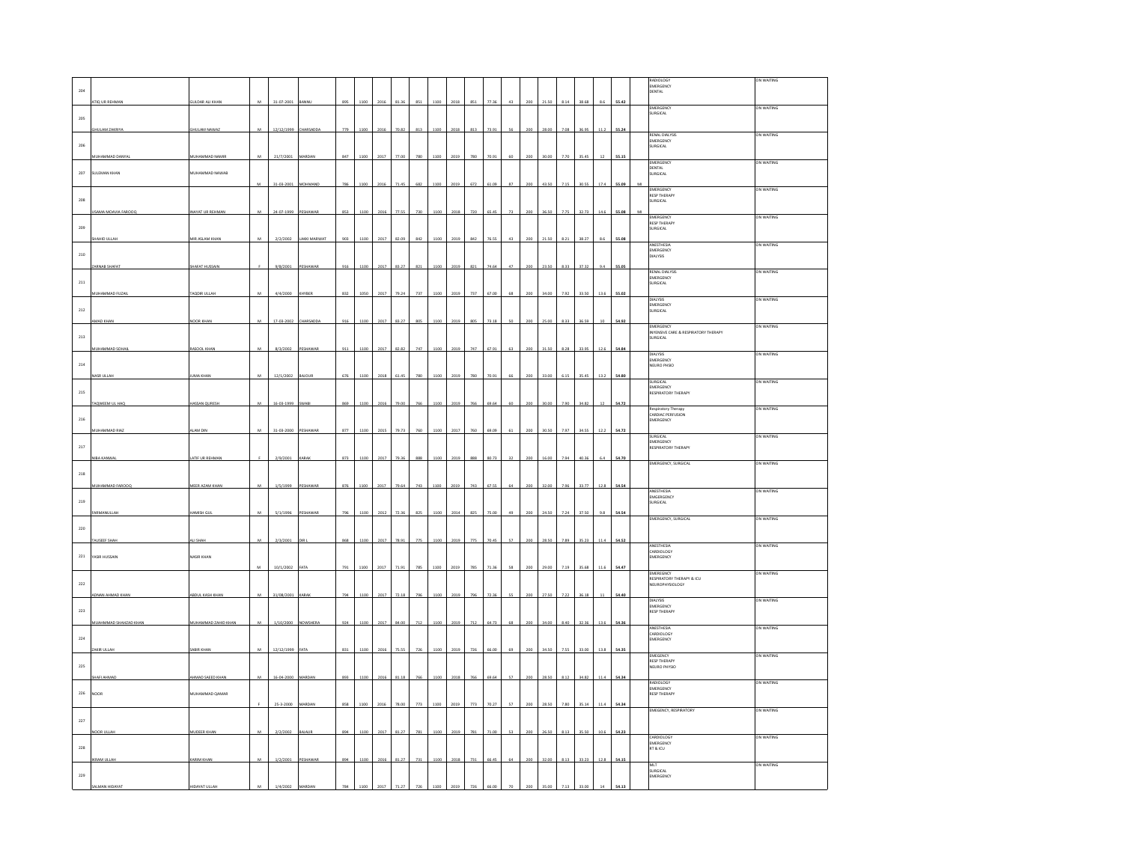|              |                         |                        |                |            |                 |     |      |      |       |     |                  |      |     |       |    |     |       |      |       |      |       |                                                          | N WAITING  |
|--------------|-------------------------|------------------------|----------------|------------|-----------------|-----|------|------|-------|-----|------------------|------|-----|-------|----|-----|-------|------|-------|------|-------|----------------------------------------------------------|------------|
|              |                         |                        |                |            |                 |     |      |      |       |     |                  |      |     |       |    |     |       |      |       |      |       | ADIOLOG'<br>EMERGENCY                                    |            |
| 204          |                         |                        |                |            |                 |     |      |      |       |     |                  |      |     |       |    |     |       |      |       |      |       | ENTAL                                                    |            |
|              | ATIQ UR REHMAN          | <b>GULDAR ALI KHAI</b> |                | 31-07-2001 |                 | 895 | 1100 | 2016 | 81.3  | 851 | 1100             | 201  |     | 77.3  |    |     |       | 8.1  |       |      | 55.4  | EMERGENCY                                                | ON WAITING |
|              |                         |                        |                |            |                 |     |      |      |       |     |                  |      |     |       |    |     |       |      |       |      |       | URGICAL                                                  |            |
| 205          |                         |                        |                |            |                 |     |      |      |       |     |                  |      |     |       |    |     |       |      |       |      |       |                                                          |            |
|              | HI II AM ZAKRIYA        | <b>SHULAM NAWAZ</b>    |                | 12/12/1999 | <b>HARSANNA</b> | 779 |      |      | an er | 012 |                  |      |     | 720   |    |     |       |      |       |      |       | RENAL DIALYSIS                                           | ON WAITING |
|              |                         |                        |                |            |                 |     |      |      |       |     |                  |      |     |       |    |     |       |      |       |      |       | EMERGENCY                                                |            |
| 206          |                         |                        |                |            |                 |     |      |      |       |     |                  |      |     |       |    |     |       |      |       |      |       | SURGICAL                                                 |            |
|              | <b>IUHAMMAD DANYA</b>   | IUHAMMAD NAMI          |                | 21/7/2001  |                 | 847 |      |      |       |     |                  |      |     |       |    |     |       |      |       |      |       | <b>EMERGENCY</b>                                         | ON WAITING |
|              |                         |                        |                |            |                 |     |      |      |       |     |                  |      |     |       |    |     |       |      |       |      |       | ENTAL                                                    |            |
| $207\,$      | SULEMAN KHAN            | MUHAMMAD NAWAB         |                |            |                 |     |      |      |       |     |                  |      |     |       |    |     |       |      |       |      |       |                                                          |            |
|              |                         |                        | M              | 31-03-2001 | MOHMAND         | 786 | 1100 | 201  |       | 682 | 1 <sub>0</sub> c |      | 67  |       |    |     |       |      |       |      |       | EMERGENCY                                                | ON WAITING |
|              |                         |                        |                |            |                 |     |      |      |       |     |                  |      |     |       |    |     |       |      |       |      |       | <b>RESP THERAPY</b>                                      |            |
| 208          |                         |                        |                |            |                 |     |      |      |       |     |                  |      |     |       |    |     |       |      |       |      |       | URGICAL                                                  |            |
|              | SAMA MOAVIA FAROOC      | NAYAT UR REHMA         |                | 24-07-1999 | SHAWA           | 853 | 110  | 201  | 77.55 | 730 |                  |      |     |       |    |     |       |      |       |      |       |                                                          |            |
|              |                         |                        |                |            |                 |     |      |      |       |     |                  |      |     |       |    |     |       |      |       |      |       | EMERGENCY<br><b>RESP THERAPY</b>                         | ON WAITING |
| 209          |                         |                        |                |            |                 |     |      |      |       |     |                  |      |     |       |    |     |       |      |       |      |       | URGICAL                                                  |            |
|              | AHID ULLA               | MIR ASLAM KHAM         | M              | 2/2/2002   | LAKKI MARWA     | 903 | 1100 | 2017 | 82.05 | 842 |                  | 2019 | 847 | 76.5  | 43 |     |       |      |       |      | 55.08 |                                                          |            |
|              |                         |                        |                |            |                 |     |      |      |       |     |                  |      |     |       |    |     |       |      |       |      |       | ANESTHESIA<br>EMERGENCY                                  | ON WAITING |
| 210          |                         |                        |                |            |                 |     |      |      |       |     |                  |      |     |       |    |     |       |      |       |      |       | DIALYSIS                                                 |            |
|              | ARNAB SHAFAT            | <b>HAFAT HUSSAI</b>    |                | 9/8/2001   | ESHAWA          | 916 | 1100 | 2017 | 83.27 | 821 | 1100             | 2019 |     | 74.6  |    |     |       | 8.33 |       |      | 55.0  |                                                          |            |
|              |                         |                        |                |            |                 |     |      |      |       |     |                  |      |     |       |    |     |       |      |       |      |       | <b>RENAL DIALYSIS</b><br>EMERGENCY                       | ON WAITING |
| 211          |                         |                        |                |            |                 |     |      |      |       |     |                  |      |     |       |    |     |       |      |       |      |       | URGICAL                                                  |            |
|              | MUHAMMAD FUZAI          | TAQDIR ULLAH           | M              | 4/4/2000   | HYBER           | 832 | 1050 | 2017 | 79.24 | 737 | 1100             | 2019 | 737 | 67.0  | 68 | 200 | 34.0  | 7.92 | 33.50 | 13.6 | 55.0  |                                                          |            |
|              |                         |                        |                |            |                 |     |      |      |       |     |                  |      |     |       |    |     |       |      |       |      |       | <b>PIALWIG</b><br>MERGENCY                               | ON WAITING |
| $_{\rm 212}$ |                         |                        |                |            |                 |     |      |      |       |     |                  |      |     |       |    |     |       |      |       |      |       | SURGICAL                                                 |            |
|              | MAD KHAN                | JOOR KHAN              | $\overline{M}$ | 17-03-2002 | HARSADDA        | 916 | 1100 | 2017 | 83.27 | 805 | 1100             | 2019 | 805 | 73.18 | so | 200 | 25.00 | 8.33 | 36.50 | 10   | 54.92 |                                                          |            |
|              |                         |                        |                |            |                 |     |      |      |       |     |                  |      |     |       |    |     |       |      |       |      |       | EMERGENCY<br>INYENSIVE CARE & RESPIRATORY THERAPY        | IN WAITING |
| $_{\rm 213}$ |                         |                        |                |            |                 |     |      |      |       |     |                  |      |     |       |    |     |       |      |       |      |       | <b>SURGICAL</b>                                          |            |
|              | <b>IUHAMMAD SOHA</b>    | ASOOL KHAN             | M              | 8/3/2002   | ESHAWAR         | 911 | 1100 | 2017 | 82.82 | 747 | 1100             | 2019 |     | 67.9  | 63 | 200 | 31.50 | 8.28 | 33.9  | 12.1 | 54.84 |                                                          |            |
|              |                         |                        |                |            |                 |     |      |      |       |     |                  |      |     |       |    |     |       |      |       |      |       | DIALYSIS<br>EMERGENCY                                    | ON WAITING |
| $_{\rm 214}$ |                         |                        |                |            |                 |     |      |      |       |     |                  |      |     |       |    |     |       |      |       |      |       | NEURO PHSIO                                              |            |
|              | SR ULLA                 | UMA KHAN               |                | 12/1/2002  | <b>AJOUR</b>    |     | 110  |      |       |     |                  |      |     |       |    |     |       |      |       |      |       |                                                          |            |
|              |                         |                        |                |            |                 |     |      |      |       |     |                  |      |     |       |    |     |       |      |       |      |       | SURGICAL                                                 | IN WAITING |
| $_{\rm 215}$ |                         |                        |                |            |                 |     |      |      |       |     |                  |      |     |       |    |     |       |      |       |      |       | EMERGENCY<br>RESPIRATORY THERAPY                         |            |
|              | TAQWEEM UL HAQ          | HASSAN QURES           |                | 16-03-1999 | WAB             | 865 | 110  | 201  |       |     |                  |      |     |       |    |     |       |      |       |      |       |                                                          |            |
|              |                         |                        |                |            |                 |     |      |      |       |     |                  |      |     |       |    |     |       |      |       |      |       | Respiratory Therapy<br>CARDIAC PERFUSION                 | ON WAITING |
| 216          |                         |                        |                |            |                 |     |      |      |       |     |                  |      |     |       |    |     |       |      |       |      |       | MERGENCY                                                 |            |
|              | UHAMMAD RIA             | <b>LAM DIN</b>         | M              | 31-03-2000 | <b>ESHAWA</b>   | 877 | 1100 | 201  | 79.73 | 760 |                  | 201  |     |       |    |     |       | 7.97 |       | 12.3 | 54.7  |                                                          |            |
|              |                         |                        |                |            |                 |     |      |      |       |     |                  |      |     |       |    |     |       |      |       |      |       | <b>SURGICAL</b>                                          | IN WAITING |
| 217          |                         |                        |                |            |                 |     |      |      |       |     |                  |      |     |       |    |     |       |      |       |      |       | EMERGENCY<br><b>ESPIRATORY THERAPY</b>                   |            |
|              | NIBA KANWA              | LATIF UR REHMAN        |                | 2/9/2001   | ARAB            | 873 | 1100 | 2017 | 79.36 | 888 | 1100             | 2019 |     | 80.7  |    |     |       |      |       |      |       |                                                          |            |
|              |                         |                        |                |            |                 |     |      |      |       |     |                  |      |     |       |    |     |       |      |       |      |       | <b>EMERGENCY, SURGICAL</b>                               | ON WAITING |
| $_{\rm 218}$ |                         |                        |                |            |                 |     |      |      |       |     |                  |      |     |       |    |     |       |      |       |      |       |                                                          |            |
|              | <b>NUHAMMAD FAROOC</b>  |                        | M              | 1/5/1999   | ESHAWAR         | 876 | 1100 | 2017 | 79.6  |     |                  | 2019 |     | 67.5  |    |     |       |      |       |      |       |                                                          |            |
|              |                         | MEER AZAM KHAN         |                |            |                 |     |      |      |       |     |                  |      |     |       |    |     |       |      |       |      |       | ANESTHESIA                                               | ON WAITING |
| 219          |                         |                        |                |            |                 |     |      |      |       |     |                  |      |     |       |    |     |       |      |       |      |       | EMGERGENCY<br><b>URGICAL</b>                             |            |
|              |                         | <b>JAMISH GUI</b>      |                | 5/1/1996   |                 |     |      |      |       |     |                  |      |     |       |    |     |       |      |       |      |       |                                                          |            |
|              |                         |                        |                |            |                 | 796 | 1100 | 2012 | 72.3  | 82  |                  | 201  |     |       |    |     |       |      |       |      |       | EMERGENCY, SURGICAL                                      | ON WAITING |
| 220          |                         |                        |                |            |                 |     |      |      |       |     |                  |      |     |       |    |     |       |      |       |      |       |                                                          |            |
|              | <b>NUSEEF SHAI</b>      | <b>ISHAH</b>           |                | 2/3/200    |                 | 868 | 1100 |      | 78 Q  | 775 |                  |      |     |       |    |     |       |      |       |      |       |                                                          |            |
|              |                         |                        |                |            |                 |     |      |      |       |     |                  |      |     |       |    |     |       |      |       |      |       | ANESTHESIA<br>CARDIOLOGY                                 | IN WAITIN  |
| $\bf 221$    | YASIR HUSSAIN           | NASIR KHAN             |                |            |                 |     |      |      |       |     |                  |      |     |       |    |     |       |      |       |      |       | MERGENCY                                                 |            |
|              |                         |                        |                | 10/1/2002  |                 |     | 110  | 201  |       |     |                  |      |     |       |    |     |       |      |       |      | 4.4   |                                                          |            |
|              |                         |                        |                |            |                 |     |      |      |       |     |                  |      |     |       |    |     |       |      |       |      |       | <b>EMEREGNCY</b>                                         | ON WAITING |
| 222          |                         |                        |                |            |                 |     |      |      |       |     |                  |      |     |       |    |     |       |      |       |      |       | MENEGHET<br>RESPIRATORY THERAPY & ICU<br>NEUROPHYSIOLOGY |            |
|              |                         |                        | M              | 31/08/2001 | CARAN           | 794 | 1100 | 201  |       |     |                  |      |     |       |    |     |       |      |       |      |       |                                                          |            |
|              | <b>IDNAN AHMAD KHAN</b> | ABDUL KASH KHAM        |                |            |                 |     |      |      |       |     |                  |      |     |       |    |     |       |      |       |      |       | DIALYSIS<br>EMERGENCY                                    | ON WAITING |
| 223          |                         |                        |                |            |                 |     |      |      |       |     |                  |      |     |       |    |     |       |      |       |      |       | <b>RESP THERAPY</b>                                      |            |
|              |                         | UHAMMAD ZA             |                | 1/10/2     |                 | 924 |      |      |       |     |                  |      |     |       |    |     |       |      |       |      |       |                                                          |            |
|              |                         |                        |                |            |                 |     |      |      |       |     |                  |      |     |       |    |     |       |      |       |      |       | ANESTHESIA                                               | ON WAITING |
| 224          |                         |                        |                |            |                 |     |      |      |       |     |                  |      |     |       |    |     |       |      |       |      |       | CARDIOLOGY<br>MERGENCY                                   |            |
|              |                         |                        |                |            |                 |     |      |      |       |     |                  |      |     |       |    |     |       |      |       |      |       |                                                          |            |
|              | AKIR ULLAH              | SABIR KHAN             | M              | 12/12/1999 | FATA            | 831 | 1100 | 2016 | 75.55 | 726 | 1100             | 2019 | 726 | 66.00 | 69 | 200 | 34.50 | 7.55 | 33.00 | 13.8 | 54.35 | EMEGENCY                                                 | ON WAITING |
| 225          |                         |                        |                |            |                 |     |      |      |       |     |                  |      |     |       |    |     |       |      |       |      |       | <b>RESP THERAPY</b><br>NEURO PHYSIO                      |            |
|              |                         |                        |                |            |                 |     |      |      |       |     |                  |      |     |       |    |     |       |      |       |      |       |                                                          |            |
|              |                         | HMAD SAEED KHAM        |                | 16-04-2000 |                 | 893 | 1100 |      | 81.11 |     |                  | 2018 |     |       |    |     |       |      |       |      |       | RADIOLOGY                                                | ON WAITING |
| $_{\rm 226}$ | NOOR                    | MUHAMMAD QAMAR         |                |            |                 |     |      |      |       |     |                  |      |     |       |    |     |       |      |       |      |       | -----------<br>EMERGENCY<br>RESP THERAPY                 |            |
|              |                         |                        |                |            |                 |     |      |      |       |     |                  |      |     |       |    |     |       |      |       |      |       |                                                          |            |
|              |                         |                        |                | 25-3-2000  |                 | 858 | 110  | 201  | 78 C  | 773 |                  |      | 77  |       | 57 |     |       | 78   | 35.1  |      | 54.34 | <b>EMEGENCY, RESPIRATORY</b>                             | ON WAITING |
| 227          |                         |                        |                |            |                 |     |      |      |       |     |                  |      |     |       |    |     |       |      |       |      |       |                                                          |            |
|              |                         |                        |                |            |                 |     |      |      |       |     |                  |      |     |       |    |     |       |      |       |      |       |                                                          |            |
|              | OR ULLAH                | <b>INDEER KHAN</b>     | $\overline{M}$ | 2/2/2002   | <b>A1411R</b>   | 894 | 1100 | 2017 | 81.27 | 781 | 1100             | 2019 | 781 | 71.00 | 53 | 200 | 26.50 | 8.13 | 35.50 | 10.6 | 54.23 | CARDIOLOGY                                               | ON WAITING |
| 228          |                         |                        |                |            |                 |     |      |      |       |     |                  |      |     |       |    |     |       |      |       |      |       | EMERGENCY<br>RT & ICU                                    |            |
|              |                         |                        |                |            |                 |     |      |      |       |     |                  |      |     |       |    |     |       |      |       |      |       |                                                          |            |
|              | KRAM ULLAH              | <b>ARIM KHAN</b>       |                | 1/2/2001   | PESHAWAR        | 894 | 1100 | 2016 | 81.27 | 731 | 110              | 2018 |     | 66.4  |    |     |       | 8.13 | 33.2  |      | 54.1  |                                                          | ON WAITING |
| 229          |                         |                        |                |            |                 |     |      |      |       |     |                  |      |     |       |    |     |       |      |       |      |       | MLT<br>SURGICAL<br>EMERGENCY                             |            |
|              |                         |                        |                |            |                 |     |      |      |       |     |                  |      |     |       |    |     |       |      |       |      |       |                                                          |            |
|              |                         |                        |                |            |                 |     |      |      |       |     |                  |      |     |       |    |     |       |      |       |      |       |                                                          |            |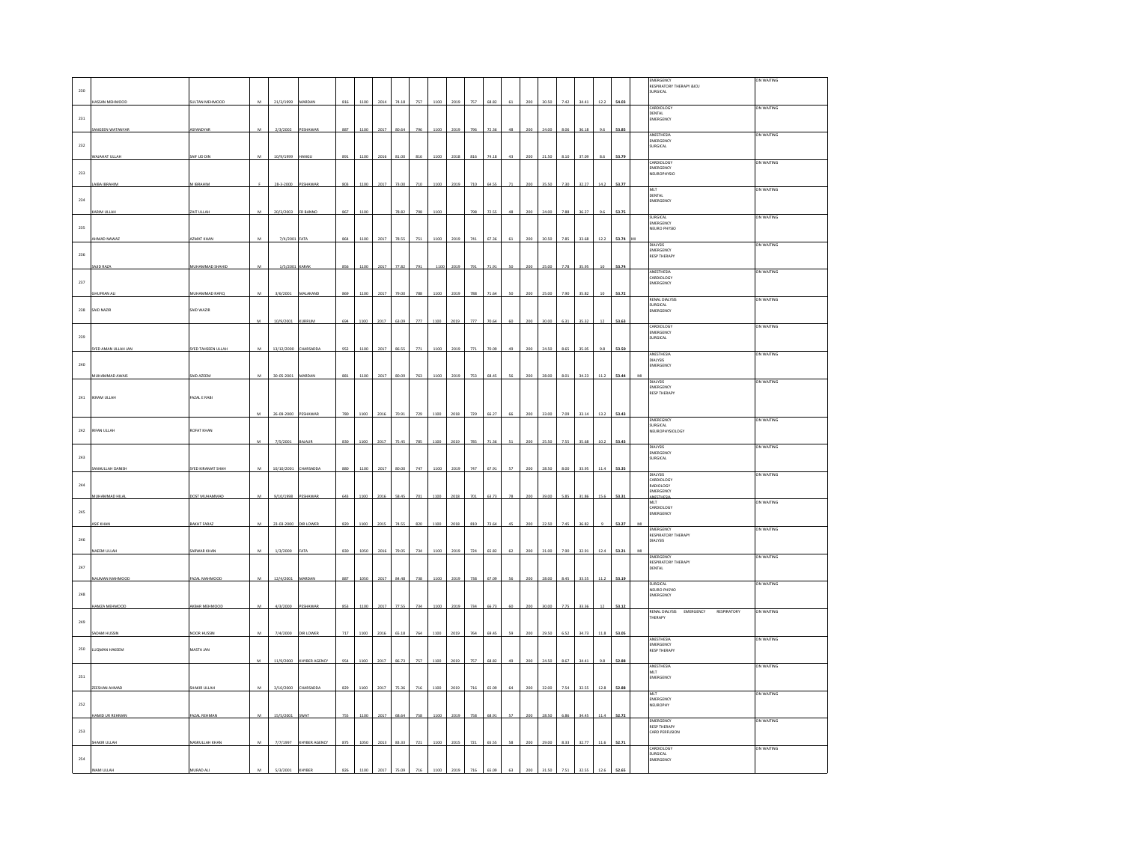|                       |                      |                              |                |                     |                  |      |      |      |       |     |      |      |     |       |    |     |           |      |       |      |       |   | EMERGENCY                                          | ON WAITING        |
|-----------------------|----------------------|------------------------------|----------------|---------------------|------------------|------|------|------|-------|-----|------|------|-----|-------|----|-----|-----------|------|-------|------|-------|---|----------------------------------------------------|-------------------|
|                       |                      |                              |                |                     |                  |      |      |      |       |     |      |      |     |       |    |     |           |      |       |      |       |   | RESPIRATORY THERAPY &ICU                           |                   |
| 230                   |                      |                              |                |                     |                  |      |      |      |       |     |      |      |     |       |    |     |           |      |       |      |       |   | URGICAL                                            |                   |
|                       | ASSAN MEHMOOD        | ULTAN MEHMODI                | $\overline{M}$ | 21/3/1999           | MARDAN           | 816  | 1100 | 201  | 74 15 | 757 |      |      | 757 | 68.87 |    |     | 30.50     |      | 34.4  |      | 54.03 |   | CARDIOLOGY                                         | ON WAITING        |
| 231                   |                      |                              |                |                     |                  |      |      |      |       |     |      |      |     |       |    |     |           |      |       |      |       |   | DENTAL<br>EMERGENCY                                |                   |
|                       | SANGEEN WATANYAR     |                              | M              | 2/3/2002            |                  |      |      |      |       |     |      |      |     |       |    | 200 |           |      |       |      |       |   |                                                    |                   |
|                       |                      | ASFANDYAP                    |                |                     | PESHAWAP         | 887  | 1100 | 2017 | 80.64 | 7%  |      |      |     |       |    |     | 24.00     |      | 36.18 | 91   | 53.85 |   | <b>ANESTHESIA</b>                                  | ON WAITING        |
| 232                   |                      |                              |                |                     |                  |      |      |      |       |     |      |      |     |       |    |     |           |      |       |      |       |   | EMERGENCY<br>SURGICAL                              |                   |
|                       | VAJAHA'              | AIF UD DIN                   |                | 10/9/1999           |                  | 891  | 110  |      |       | 81  |      |      | 811 |       |    | 20  |           |      | 37.0  |      | 53.79 |   |                                                    |                   |
|                       |                      |                              |                |                     |                  |      |      |      |       |     |      |      |     |       |    |     |           |      |       |      |       |   | CARDIOLOGY<br>EMERGENCY                            | ON WAITING        |
| 233                   |                      |                              |                |                     |                  |      |      |      |       |     |      |      |     |       |    |     |           |      |       |      |       |   | NEUROPHYSIO                                        |                   |
|                       | <b>IBA IBRAHI</b>    | <b>IBRAHIM</b>               |                | 28-3-2000           |                  |      |      |      | 73.0  | 710 |      |      | 710 |       |    |     |           |      |       |      | 53.77 |   |                                                    |                   |
|                       |                      |                              |                |                     |                  |      |      |      |       |     |      |      |     |       |    |     |           |      |       |      |       |   | MLT                                                | ON WAITING        |
| 234                   |                      |                              |                |                     |                  |      |      |      |       |     |      |      |     |       |    |     |           |      |       |      |       |   | DENTAL<br>EMERGENCY                                |                   |
|                       | ARIM ULLAH           | ZAIT ULLAH                   | M              | 20/3/2003           | FR BANNO         | 867  | 1100 |      | 78.82 | 798 | 1100 |      | 798 |       | 48 | 200 | 24.00     | 7.88 | 36.27 | 9.6  | 53.75 |   |                                                    |                   |
|                       |                      |                              |                |                     |                  |      |      |      |       |     |      |      |     |       |    |     |           |      |       |      |       |   | SURGICAL<br>EMERGENCY                              | ON WAITING        |
| 235                   |                      |                              |                |                     |                  |      |      |      |       |     |      |      |     |       |    |     |           |      |       |      |       |   | NEURO PHYSIO                                       |                   |
|                       | HMAD NAWAZ           | <b>AZMAT KHAN</b>            |                | 7/4/2001            | ATA              |      | 1100 | 2017 | 78.55 | 751 | 1100 |      | 741 |       |    | 200 | 30.50     | 7.85 | 33.68 | 12.2 | 53.74 |   | <b>PIAL VOID</b>                                   | <b>ON WAITING</b> |
| 236                   |                      |                              |                |                     |                  |      |      |      |       |     |      |      |     |       |    |     |           |      |       |      |       |   | EMERGENCY                                          |                   |
|                       |                      |                              |                |                     |                  |      |      |      |       |     |      |      |     |       |    |     |           |      |       |      |       |   | <b>RESP THERAPY</b>                                |                   |
|                       | AJID RAZA            | UHAMMAD SHA                  |                | 1/5/200             | .<br>ARA         |      | 1100 |      | 77.8  |     |      |      |     |       |    | 200 | 5.0       |      | 35.9  |      | 53.74 |   | ANESTHESIA                                         | ON WAITING        |
| 237                   |                      |                              |                |                     |                  |      |      |      |       |     |      |      |     |       |    |     |           |      |       |      |       |   | CARDIOLOGY<br>EMERGENCY                            |                   |
|                       |                      |                              |                |                     |                  |      |      |      |       |     |      |      |     |       |    |     |           |      |       |      |       |   |                                                    |                   |
|                       | <b>HUFRAN AL</b>     | <b><i>IUHAMMAD RAFIC</i></b> |                | 3/6/2001            | MALAKAND         |      | 110  | 2017 | 79.00 | 788 |      |      | 788 |       |    |     |           |      | 35.82 |      | 53.72 |   | RENAL DIALYSIS                                     | ON WAITING        |
| 238                   | SAID NAZIR           | AID WAZIR                    |                |                     |                  |      |      |      |       |     |      |      |     |       |    |     |           |      |       |      |       |   | SURGICAL<br>MERGENCY                               |                   |
|                       |                      |                              | M              | 10/9/2001           | <b>KURRUM</b>    | 694  | 1100 |      | 63.09 | 777 | 1100 | 2019 | 777 | 70.64 | 60 | 200 | 30.00     | 6.31 | 35.32 | 12   | 53.63 |   |                                                    |                   |
|                       |                      |                              |                |                     |                  |      |      | 2017 |       |     |      |      |     |       |    |     |           |      |       |      |       |   | <b>CARDIOLOGY</b>                                  | on waiting        |
| 239                   |                      |                              |                |                     |                  |      |      |      |       |     |      |      |     |       |    |     |           |      |       |      |       |   | EMERGENCY<br><b>URGICAL</b>                        |                   |
|                       | SYED AMAN ULLAH JAN  | SYED TAHSEEN ULLAH           | $\mathbf{M}$   | 13/12/2000          | <b>CHARSADDA</b> | 952  | 1100 | 2017 | 86.55 | 771 | 1100 | 2019 | 771 | 70.0  | 49 | 200 | 24.50     | 8.65 | 35.05 | 9.8  | 53.50 |   |                                                    |                   |
|                       |                      |                              |                |                     |                  |      |      |      |       |     |      |      |     |       |    |     |           |      |       |      |       |   | ANESTHESIA                                         | ON WAITING        |
| 240                   |                      |                              |                |                     |                  |      |      |      |       |     |      |      |     |       |    |     |           |      |       |      |       |   | DIALYSIS<br>EMERGENCY                              |                   |
|                       | MUHAMMAD AWA         | SAID AZEEM                   |                | $30 - 05 - 21$      | AARD.            | 881  | 110  | 201  |       |     |      |      |     |       |    |     |           |      | 34.2  |      | 53.44 |   |                                                    |                   |
|                       |                      |                              |                |                     |                  |      |      |      |       |     |      |      |     |       |    |     |           |      |       |      |       |   | <b>DIALYSIS</b>                                    | ON WAITING        |
|                       |                      |                              |                |                     |                  |      |      |      |       |     |      |      |     |       |    |     |           |      |       |      |       |   | EMERGENCY<br>EMERGENCY<br>RESP THERAPY             |                   |
| 241                   | <b>IKRAM ULLAH</b>   | FAZAL E RABI                 |                |                     |                  |      |      |      |       |     |      |      |     |       |    |     |           |      |       |      |       |   |                                                    |                   |
|                       |                      |                              | $\overline{M}$ | 26-09-2000 PESHAWAR |                  | 780  | 1100 | 2016 | 70.91 | 729 |      |      | 729 | 66.27 | 66 | 200 | 33.00     |      | 33.14 | 13.2 | 53.43 |   |                                                    |                   |
|                       |                      |                              |                |                     |                  |      |      |      |       |     |      |      |     |       |    |     |           |      |       |      |       |   | EMEREGNCY                                          | ON WAITING        |
| 242                   | <b>IRFAN ULLAH</b>   | ROFAT KHAN                   |                |                     |                  |      |      |      |       |     |      |      |     |       |    |     |           |      |       |      |       |   | SURGICAL<br>NEUROPHYSIOLOGY                        |                   |
|                       |                      |                              |                |                     |                  |      |      |      |       |     |      |      |     |       |    |     | 25.5      |      | 35.6  | 10.2 | 53.43 |   |                                                    |                   |
|                       |                      |                              |                |                     |                  |      |      |      |       |     |      |      |     |       |    |     |           |      |       |      |       |   |                                                    |                   |
|                       |                      |                              |                | 7/5/2001            | BAJAUR           | 830  | 110  | 201  | 75.4  | 78  |      |      |     |       |    |     |           |      |       |      |       |   | <b>DIALVSS</b>                                     | ON WAITING        |
| 243                   |                      |                              |                |                     |                  |      |      |      |       |     |      |      |     |       |    |     |           |      |       |      |       |   | EMERGENCY<br>SURGICAL                              |                   |
|                       |                      |                              |                |                     |                  |      |      | 201  | 80.0  | 747 | 110  |      | 747 |       | k7 | 200 | .<br>28.5 |      | 33.9  |      |       |   |                                                    |                   |
|                       | SANAULLAH DANISI     | YED KIRAMAT SH               |                | 10/10/2001          | HARSADD.         |      | 1100 |      |       |     |      |      |     |       |    |     |           |      |       |      | 53.35 |   | DIALYSIS                                           | ON WAITING        |
| 244                   |                      |                              |                |                     |                  |      |      |      |       |     |      |      |     |       |    |     |           |      |       |      |       |   | CARDIOLOGY<br>RADIOLOGY                            |                   |
|                       | MUHAMMAD HILA        | DOST MUHAMMA                 | M              | 9/10/1998           | PESHAWAP         | c.es | 1100 |      |       |     |      |      |     |       |    |     | 290       |      |       |      | 53.31 |   | EMERGENCY                                          |                   |
|                       |                      |                              |                |                     |                  |      |      |      |       |     |      |      |     |       |    |     |           |      |       |      |       |   | NESTHESIA                                          | ON WAITING        |
| $\boldsymbol{^{245}}$ |                      |                              |                |                     |                  |      |      |      |       |     |      |      |     |       |    |     |           |      |       |      |       |   | MLT<br>CARDIOLOGY<br>EMERGENCY                     |                   |
|                       | SIF KHAI             | <b>AKHT FARAZ</b>            | M              | 23-03-2000          | <b>DIR LOWER</b> | 820  | 1100 | 2015 | 74.55 | 820 | 1100 | 2018 | 810 | 73.64 | 4Ś | 200 | 22.50     | 745  | 36.82 |      | 53.27 | M |                                                    |                   |
|                       |                      |                              |                |                     |                  |      |      |      |       |     |      |      |     |       |    |     |           |      |       |      |       |   | EMERGENCY<br>RESPIRATORY THERAPY                   | ON WAITING        |
| 246                   |                      |                              |                |                     |                  |      |      |      |       |     |      |      |     |       |    |     |           |      |       |      |       |   | <b>DIALYSIS</b>                                    |                   |
|                       | NAEEM ULLAH          | ARWAR KHAN                   | $\mathbf{M}$   | 1/3/2000            | FATA             | 830  | 1050 | 2016 | 79.05 | 734 | 1100 | 2019 | 724 | 65.82 |    | 200 | 31.00     | 7.90 | 32.91 | 12.4 | 53.21 |   |                                                    |                   |
|                       |                      |                              |                |                     |                  |      |      |      |       |     |      |      |     |       |    |     |           |      |       |      |       |   | <b>EMERGENCY</b><br>RESPIRATORY THERAPY            | ON WAITING        |
| $\bf 247$             |                      |                              |                |                     |                  |      |      |      |       |     |      |      |     |       |    |     |           |      |       |      |       |   | DENTAL                                             |                   |
|                       | AUMAN MAHMOOD        | AZAL MAHMOOD                 |                | 12/4/2001           | MARDA            | 887  | 1050 | 2017 |       | 738 | 110  |      |     |       |    |     | 28.00     |      | 33.5  |      | 53.19 |   | SURGICAL                                           | ON WAITING        |
|                       |                      |                              |                |                     |                  |      |      |      |       |     |      |      |     |       |    |     |           |      |       |      |       |   | NEURO PHSYIO                                       |                   |
| $\boldsymbol{^{248}}$ |                      |                              |                |                     |                  |      |      |      |       |     |      |      |     |       |    |     |           |      |       |      |       |   | EMERGENCY                                          |                   |
|                       | <b>HAMZA MEHMOOD</b> | AKBAR MEHMOOI                | M              | 4/3/2000            | PESHAWAP         | 853  | 1100 | 2017 | 77.55 | 734 | 110  | 2015 | 734 | 66.73 | 6£ | 200 | 30.00     |      | 33.3  |      | 53.12 |   | RENAL DIALYSIS EMERGENCY<br>RESPIRATORY            | ON WAITING        |
| 249                   |                      |                              |                |                     |                  |      |      |      |       |     |      |      |     |       |    |     |           |      |       |      |       |   | THERAPY                                            |                   |
|                       |                      |                              |                |                     |                  |      |      |      |       |     |      |      |     |       |    |     |           |      |       |      |       |   |                                                    |                   |
|                       | SADAM HUSSIN         | OOR HUSSI                    | M              | 7/4/2000            | DIR LOWER        | 717  | 1100 | 2016 | 65.18 | 764 | 1100 | 2019 | 764 | 69.4  | 59 | 200 | 29.50     | 6.52 | 34.73 | 11.8 | 53.05 |   | <b>ANFSTHESIA</b>                                  | ON WAITING        |
| 250                   | LUOMAN HAKEEM        | MASTA JAN                    |                |                     |                  |      |      |      |       |     |      |      |     |       |    |     |           |      |       |      |       |   | EMERGENCY<br><b>RESP THERAPY</b>                   |                   |
|                       |                      |                              |                |                     |                  |      | 110  |      | 86.73 | 757 | 110  |      | 75  |       |    |     | 24.S      |      |       |      | 52.88 |   |                                                    |                   |
|                       |                      |                              |                | 11/9/2000           | KHYBER AGENCY    |      |      | 2017 |       |     |      |      |     |       |    |     |           |      | 34.4  |      |       |   | ANESTHESIA                                         | ON WAITING        |
| $\bf 251$             |                      |                              |                |                     |                  |      |      |      |       |     |      |      |     |       |    |     |           |      |       |      |       |   | <b>MLT</b><br>EMERGENCY                            |                   |
|                       |                      |                              |                |                     | <b>HARSADD</b>   | 829  |      |      |       |     |      |      |     |       |    |     |           |      |       |      |       |   |                                                    |                   |
|                       | EESHAN AHMA          | <b>HAKIR ULLAH</b>           |                | 3/10/2000           |                  |      | 110  | 2017 | 75.3  | 716 |      |      | 716 |       |    | 200 | 32.0      |      | 32.5  |      | 52.88 |   |                                                    | N WAITING         |
| 252                   |                      |                              |                |                     |                  |      |      |      |       |     |      |      |     |       |    |     |           |      |       |      |       |   | EMERGENCY<br>VEUROPHY                              |                   |
|                       | AMID UR REHMAN       | FAZAL REHMAN                 | M              | 15/5/2001           | SWAT             | 755  | 1100 | 2017 | 68.64 | 758 | 1100 | 2019 | 758 | 68.91 | 57 | 200 | 28.50     | 6.86 | 34.45 | 114  | 52.72 |   |                                                    |                   |
|                       |                      |                              |                |                     |                  |      |      |      |       |     |      |      |     |       |    |     |           |      |       |      |       |   |                                                    | ON WAITING        |
| 253                   |                      |                              |                |                     |                  |      |      |      |       |     |      |      |     |       |    |     |           |      |       |      |       |   | <b>EMERGENCY</b><br>RESP THERAPY<br>CARD PERFUSION |                   |
|                       | HAKIR ULLAH          | <b>JASRULLAH KHAN</b>        | M              | 7/7/1997            | KHYBER AGENCY    | 875  | 1050 | 2013 | 83.33 | 721 | 1100 | 201  | 721 | 65.5  | 58 | 200 | 29.00     | 8.33 | 32.77 | 11.6 | 52.71 |   |                                                    |                   |
|                       |                      |                              |                |                     |                  |      |      |      |       |     |      |      |     |       |    |     |           |      |       |      |       |   | CARDIOLOGY                                         | ON WAITING        |
| 254                   |                      |                              |                |                     |                  |      |      |      |       |     |      |      |     |       |    |     |           |      |       |      |       |   | SURGICAL<br>EMERGENCY                              |                   |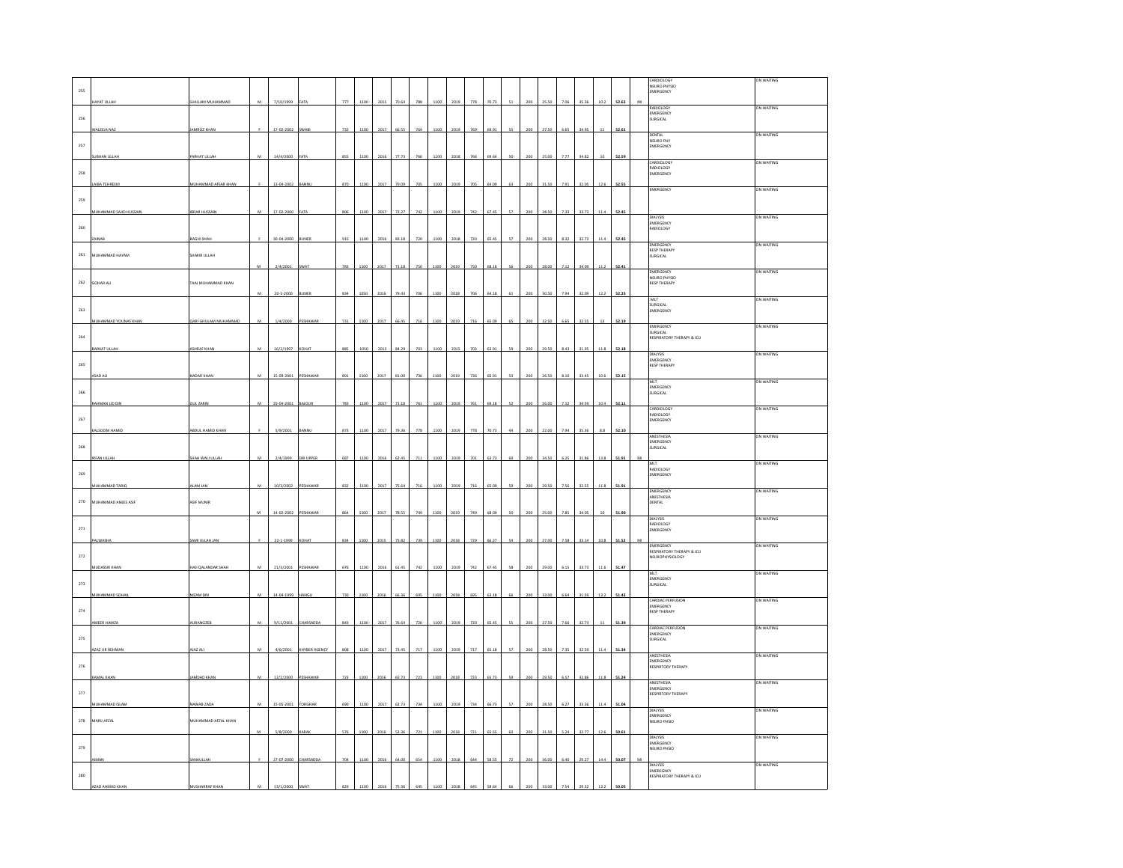|              |                               |                         |                |            |               |     |      |      |       |     |      |      |     |       |     |     |       |      |       |      |       | CARDIOLOGY                                    | ON WAITING        |
|--------------|-------------------------------|-------------------------|----------------|------------|---------------|-----|------|------|-------|-----|------|------|-----|-------|-----|-----|-------|------|-------|------|-------|-----------------------------------------------|-------------------|
| 255          |                               |                         |                |            |               |     |      |      |       |     |      |      |     |       |     |     |       |      |       |      |       | NEURO PHYSIO<br>EMERGENCY                     |                   |
|              | <b>HAYAT ULLAH</b>            | SHULAM MUHAMMAD         | M              | 7/10/1999  | ATA           | 777 | 1100 | 2015 | 70.64 | 788 | 1100 | 2019 | 778 | 70.73 | 51  | 200 | 25.50 | 7.06 | 35.36 | 10.2 | 52.63 |                                               |                   |
|              |                               |                         |                |            |               |     |      |      |       |     |      |      |     |       |     |     |       |      |       |      |       | RADIOLOGY<br>EMERGENCY                        | ON WAITING        |
| 256          |                               |                         |                |            |               |     |      |      |       |     |      |      |     |       |     |     |       |      |       |      |       | SURGICAL                                      |                   |
|              | ALEEJA NAZ                    | MROZ KHA                |                | 17-02-2002 |               | 732 |      | 2017 | 66.5  | 765 |      |      | 769 |       |     |     |       |      |       |      | 52.61 | DENTAL                                        | ON WAITING        |
| 257          |                               |                         |                |            |               |     |      |      |       |     |      |      |     |       |     |     |       |      |       |      |       | NEURO PHY<br>EMERGENCY                        |                   |
|              | UBHAN ULLAH                   | ARHAT ULLAH             | M              | 14/4/2000  | AT/           | 855 | 1100 | 2016 | 77.7  |     |      |      | 766 |       |     | 200 |       |      | 34.82 |      | 52.59 |                                               |                   |
|              |                               |                         |                |            |               |     |      |      |       |     |      |      |     |       |     |     |       |      |       |      |       | CARDIOLOGY<br>EMERGENCY<br>EMERGENCY          | ON WAITING        |
| 258          |                               |                         |                |            |               |     |      |      |       |     |      |      |     |       |     |     |       |      |       |      |       |                                               |                   |
|              | AIBA TEHREEM                  | MUHAMMAD AFSAR KHAN     |                | 13-04-2002 | ANNU          | 870 | 110  | 2017 | 79.09 | 705 | 110  |      |     |       | ĥЗ. | 200 | 31.50 | 7.91 | 32.05 | 12.6 | 52.55 | <b>MERGENCY</b>                               | ON WAITING        |
| 259          |                               |                         |                |            |               |     |      |      |       |     |      |      |     |       |     |     |       |      |       |      |       |                                               |                   |
|              | <b>IUHAMMAD SAJID HUSSAIN</b> | BRAR HUSSAIN            | M              | 17-02-200  | <b>ATA</b>    | 806 | 110  | 201  | 73.2  | 742 |      |      |     |       |     |     |       |      | 33.7  |      | 52.45 |                                               |                   |
|              |                               |                         |                |            |               |     |      |      |       |     |      |      |     |       |     |     |       |      |       |      |       | <b>DIALYSIS</b>                               | ON WAITING        |
| 260          |                               |                         |                |            |               |     |      |      |       |     |      |      |     |       |     |     |       |      |       |      |       | EMERGENCY<br>RADIOLOGY                        |                   |
|              |                               | AGHI SHAH               |                | 30-04-2000 | <b>LINES</b>  | 915 | 1106 | 201  | 83.11 | 720 |      |      |     |       |     |     | 29.56 | 0.27 | 32.73 |      | 52.45 | MERGENCY                                      | ON WAITING        |
| 261          | MUHAMMAD HAYAM                | SHAKIR ULLAH            |                |            |               |     |      |      |       |     |      |      |     |       |     |     |       |      |       |      |       | <b>RESP THERAPY</b><br>SURGICAL               |                   |
|              |                               |                         |                | 2/4/2001   | WA1           | 783 | 100  | 2017 |       |     |      |      |     |       |     |     |       |      |       |      | 2.4   |                                               |                   |
|              |                               |                         |                |            |               |     |      |      |       |     |      |      |     |       |     |     |       |      |       |      |       | <b>EMERGENCY</b>                              | ON WAITING        |
| $262\,$      | <b>SOHAR ALI</b>              | .<br>Taaj muhammad khan |                |            |               |     |      |      |       |     |      |      |     |       |     |     |       |      |       |      |       | NEURO PHYSIO<br>RESP THERAPY                  |                   |
|              |                               |                         | M              | 20-3-2000  | <b>SUNER</b>  | 834 | 1050 | 2016 | 79.43 | 706 |      |      | 70  | 641   |     | 200 | 30.50 | 7.94 | 32.09 |      | 52.23 |                                               | ON WAITING        |
| 263          |                               |                         |                |            |               |     |      |      |       |     |      |      |     |       |     |     |       |      |       |      |       | MLT<br>SURGICAL                               |                   |
|              |                               |                         |                |            |               |     |      |      |       |     |      |      |     |       |     |     |       |      |       |      |       | EMERGENCY                                     |                   |
|              | MMAD YOUNAS                   | JARI GHULAM MUHAMMAD    | M              | 1/4/2000   | ESHAWA        | 731 | 1100 | 2017 | 66.45 | 716 | 1100 |      | 716 |       | 65  |     |       | 6.65 | 32.55 |      | 52.19 | EMERGENCY                                     | ON WAITING        |
| 264          |                               |                         |                |            |               |     |      |      |       |     |      |      |     |       |     |     |       |      |       |      |       | SURGICAL<br>RESPIRATORY THERAPY & ICU         |                   |
|              | ARKAT ULLA                    | <b>HRAF KHAN</b>        | M              | 16/2/1997  | TAHO:         | 88' |      |      | 84.2  | 703 |      |      | 703 |       | s   | 20C |       | 8.43 | 31.95 | 11.8 | 52.18 |                                               |                   |
|              |                               |                         |                |            |               |     |      |      |       |     |      |      |     |       |     |     |       |      |       |      |       | DIALYSIS<br>EMERGENCY                         | ON WAITING        |
| 265          |                               |                         |                |            |               |     |      |      |       |     |      |      |     |       |     |     |       |      |       |      |       | <b>RESP THERAPY</b>                           |                   |
|              | <b>ISAD ALI</b>               | <b>VADAR KHAN</b>       |                | 15-09-2001 | PESHAWAR      |     | 110  | 2017 | 31.0  |     | 1100 |      |     |       |     |     |       |      | 33.45 | 10.6 | 52.15 | MLT                                           | ON WAITING        |
| 266          |                               |                         |                |            |               |     |      |      |       |     |      |      |     |       |     |     |       |      |       |      |       | EMERGENCY<br>SURGICAL                         |                   |
|              | AHMAN UD DI                   | UL ZARIN                | M              | 25-04-2001 | <b>AJOUR</b>  | 783 | 110  | 2017 | 71.18 | 761 | 110  |      | 761 | 69.1  | 52  | 200 | 26.00 | 7.1  | 34.55 | 10.4 | 52.1  |                                               |                   |
|              |                               |                         |                |            |               |     |      |      |       |     |      |      |     |       |     |     |       |      |       |      |       | CARDIOLOGY<br>RADIOLOGY                       | ON WAITING        |
| 267          |                               |                         |                |            |               |     |      |      |       |     |      |      |     |       |     |     |       |      |       |      |       | EMERGENCY                                     |                   |
|              | SOOM HAM                      | <b>BDUL HAMID KHA</b>   |                | 5/9/2001   | <b>JANN</b>   | 873 | 110  | 201  | 79.3  | 778 |      |      | 778 |       |     |     |       |      |       | 8.8  | 52.1  | ANESTHESIA                                    | ON WAITING        |
| 268          |                               |                         |                |            |               |     |      |      |       |     |      |      |     |       |     |     |       |      |       |      |       | EMERGENCY<br><b>SURGICAL</b>                  |                   |
|              | <b>IRFAN ULLAH</b>            | HAH WALI ULLAR          | M              | 2/4/1999   | DIR UPPER     | 687 |      |      |       |     |      |      |     |       |     |     |       |      |       |      | 51.91 |                                               |                   |
|              |                               |                         |                |            |               |     |      |      |       |     |      |      |     |       |     |     |       |      |       |      |       | MIT<br>RADIOLOGY                              | <b>ON WAITING</b> |
| 269          |                               |                         |                |            |               |     |      |      |       |     |      |      |     |       |     |     |       |      |       |      |       | EMERGENCY                                     |                   |
|              | <b>NUHAMMAD TARI</b>          | LAM JAN                 | м              | 10/3/2002  | ESHAWA        | 832 | 110  | 2017 | 75.64 | 716 | 110  | 2019 | 716 |       |     |     |       |      | 32.55 |      | 51.91 | EMERGENCY                                     | ON WAITING        |
| 270          | <b>IUHAMMAD ANEES ASIF</b>    | ASIF MUNIR              |                |            |               |     |      |      |       |     |      |      |     |       |     |     |       |      |       |      |       | ANESTHESIA<br>DENTAL                          |                   |
|              |                               |                         |                | 14-02-2002 |               | 86  | 110  |      | 78.5  | 749 |      |      |     |       |     |     |       |      | 34.0  |      |       |                                               |                   |
|              |                               |                         |                |            | <b>ESHAWA</b> |     |      | 2017 |       |     |      |      |     |       |     |     |       |      |       |      | 51.90 | <b>DIALYSIS</b>                               | ON WAITING        |
| $_{\rm 271}$ |                               |                         |                |            |               |     |      |      |       |     |      |      |     |       |     |     |       |      |       |      |       | RADIOLOGY<br>EMERGENCY                        |                   |
|              |                               | AMI ULLAH JAN           |                | 22-1-1999  | TAHO:         | 834 | 1100 | 2015 | 75.82 | 739 |      |      | 729 |       |     | 200 | 27.00 | 758  | 33.14 | 10.8 | 51.52 |                                               |                   |
| 272          |                               |                         |                |            |               |     |      |      |       |     |      |      |     |       |     |     |       |      |       |      |       | <b>EMERGENCY</b><br>RESPIRATORY THERAPY & ICU | ON WAITING        |
|              |                               |                         |                |            |               |     |      |      |       |     |      |      |     |       |     |     |       |      |       |      |       | <b>NEUROPHYSIOLOGY</b>                        |                   |
|              | <b>NUDASSIR KHAM</b>          | AJI QALANDAR SHAH       |                | 21/3/2001  | PESHAWA       |     |      |      |       |     |      |      |     |       |     |     |       |      | 33.73 |      | 51.47 | MLT                                           | ON WAITING        |
| 273          |                               |                         |                |            |               |     |      |      |       |     |      |      |     |       |     |     |       |      |       |      |       | mer<br>EMERGENCY<br>SURGICAL                  |                   |
|              |                               | <b>ZAM DI</b>           |                | 14-04-1999 |               | 730 |      |      |       |     |      |      |     |       |     |     |       |      | 31.55 |      | 51.43 |                                               |                   |
|              |                               |                         |                |            |               |     |      |      |       |     |      |      |     |       |     |     |       |      |       |      |       | CARDIAC PERFUSIC<br>EMERGENCY                 | ON WAITING        |
| 274          |                               |                         |                |            |               |     |      |      |       |     |      |      |     |       |     |     |       |      |       |      |       | <b>RESP THERAPY</b>                           |                   |
|              | MEER                          | <b>NURANGZEB</b>        |                | 9/11/2001  | CHARSADI      | 843 | 110  | 201  | 76.6  | 720 |      |      |     |       |     |     |       |      | 32.7  |      | 51.39 | CARDIAC PERFUSION                             | ON WAITING        |
| 275          |                               |                         |                |            |               |     |      |      |       |     |      |      |     |       |     |     |       |      |       |      |       | EMERGENCY<br>SURGICAL                         |                   |
|              | <b>AZAZ UR REHMAN</b>         | JAZ ALI                 | M              | 4/6/2001   | KHYBER AGENCY | 808 | 1100 | 2017 | 73.45 | 717 | 110  |      | 717 |       | 57  | 200 | 28.50 | 735  | 32.55 | 114  | 51.34 |                                               |                   |
|              |                               |                         |                |            |               |     |      |      |       |     |      |      |     |       |     |     |       |      |       |      |       | ANESTHESIA<br>EMERGENCY                       | ON WAITING        |
| 276          |                               |                         |                |            |               |     |      |      |       |     |      |      |     |       |     |     |       |      |       |      |       | <b>RESPIRTORY THERAPY</b>                     |                   |
|              | AMAL KHAI                     | MDAD KHA                | $\overline{M}$ | 12/2/2000  | <b>ESHAW</b>  | 723 | 1100 | 2016 | 65.7  | 723 |      |      | 723 |       |     |     |       |      | 32.SI |      | 51.24 | ANESTHESIA                                    | ON WAITING        |
| 277          |                               |                         |                |            |               |     |      |      |       |     |      |      |     |       |     |     |       |      |       |      |       | EMERGENCY<br>RESPIRTORY THERAPY               |                   |
|              | MUHAMMAD ISLAN                | AWAB ZADA               | M              | 15-05-2001 | ORGHA         | 69  |      | 20   | 62.7  | 734 |      |      | 734 | 66.7  | s:  |     |       |      | 33.31 |      | 51.04 |                                               |                   |
|              |                               |                         |                |            |               |     |      |      |       |     |      |      |     |       |     |     |       |      |       |      |       | <b>DIALYSIS</b><br>EMERGENCY                  | ON WAITING        |
| $_{\rm 278}$ | MARU AFZAL                    | MUHAMMAD AFZAL KHAN     |                |            |               |     |      |      |       |     |      |      |     |       |     |     |       |      |       |      |       | NEURO PHSIO                                   |                   |
|              |                               |                         | м              | 5/8/2000   | :<br>ARA      | 576 | 1100 | 2016 | 52.36 | 721 | 1100 | 2018 | 721 | 65.55 | 63  | 200 | 31.50 | 5.24 | 32.77 | 12.6 | 50.61 | <b>DIALYSIS</b>                               | ON WAITING        |
| 279          |                               |                         |                |            |               |     |      |      |       |     |      |      |     |       |     |     |       |      |       |      |       | EMERGENCY<br>NEURO PHSIO                      |                   |
|              |                               | MAULLAH                 |                | 27-07-2000 | HARSADD       | 70  |      | 2016 | 64.0  |     | 110  | 201  | 644 | 58.5  | 72  |     |       |      | 29.27 |      | 50.07 |                                               |                   |
|              |                               |                         |                |            |               |     |      |      |       |     |      |      |     |       |     |     |       |      |       |      |       | DIALYSIS<br>EMEREGNCY                         | ON WAITING        |
| 280          |                               |                         |                |            |               |     |      |      |       |     |      |      |     |       |     |     |       |      |       |      |       | RESPIRATORY THERAPY & ICU                     |                   |
|              |                               |                         |                |            |               |     |      |      |       |     |      |      |     |       |     |     |       |      |       |      |       |                                               |                   |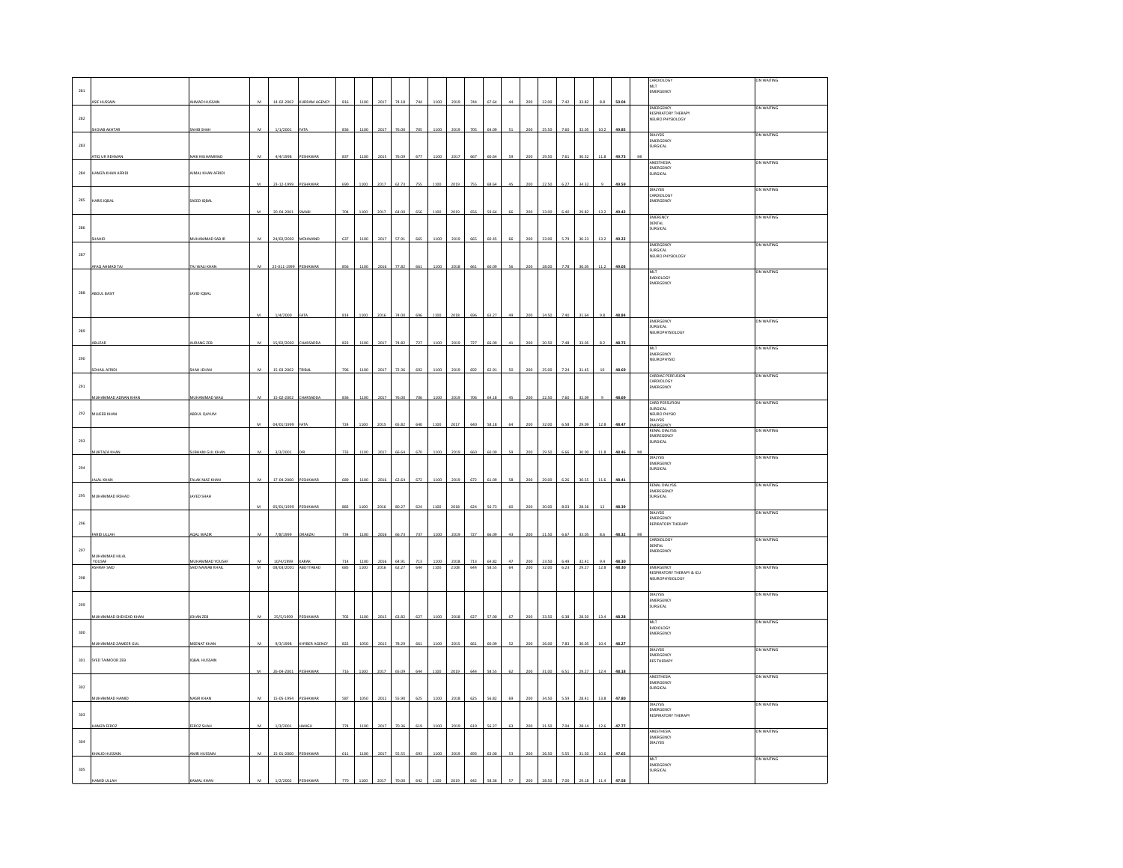| 281   |                       |                                           |                |                               |                      |            |              |              |                |            |              |              |            |                |          |            |                |              |                |                 |                |   | CARDIOLOGY<br>MLT<br>EMERGENCY                    | ON WAITING |
|-------|-----------------------|-------------------------------------------|----------------|-------------------------------|----------------------|------------|--------------|--------------|----------------|------------|--------------|--------------|------------|----------------|----------|------------|----------------|--------------|----------------|-----------------|----------------|---|---------------------------------------------------|------------|
|       | ASIF HUSSAIN          | HMAD HUSSAIN                              | M              | 14-02-2002                    | <b>KURRAM AGENCY</b> | 816        | 1100         | 2017         | 74.18          | 744        | 1100         | 2019         | 744        | 67.64          | 44       | 200        | 22.00          | 7.42         | 33.82          | 8.8             | 50.04          |   | <b>EMERGENCY</b>                                  | ON WAITING |
| 282   |                       |                                           |                |                               |                      |            |              |              |                |            |              |              |            |                |          |            |                |              |                |                 |                |   | RESPIRATORY THERAPY<br>NEURO PHYSIOLOGY           |            |
|       | HOIAB AKHTAR          | AHIB SHAH                                 |                | 1/1/2001                      | AT/                  | 836        | 1100         | 201          |                |            |              | 201          |            |                |          |            |                |              |                |                 | 49.89          |   | <b>DIALYSIS</b>                                   | ON WAITING |
| 283   |                       |                                           |                |                               |                      |            |              |              |                |            |              |              |            |                |          |            |                |              |                |                 |                |   | EMERGENCY<br>SURGICAL                             |            |
|       | TIO UR REHMAN         | <b>JAIK MUHAMMAD</b>                      | $\overline{M}$ | 4/4/1998                      | PESHAWAR             | 837        | 1100         |              |                | 677        | 1100         | 2017         | 667        | 60.64          |          | 20         |                | 7.61         |                | 115             | 49.73          |   | ANESTHESIA                                        | ON WAITING |
| 284   | HAMZA KHAN AFRIDI     | AIMAL KHAN AFRIDI                         |                |                               |                      |            |              |              |                |            |              |              |            |                |          |            |                |              |                |                 |                |   | EMERGENCY<br>SURGICAL                             |            |
|       |                       |                                           |                | 23-12-1999 PESHAWA            |                      | 690        | 1100         | 2017         | 62.73          | 755        |              | 2019         | 755        | 68.64          |          |            |                |              | 34.32          |                 | 49.59          |   | <b>DIALYSIS</b>                                   | ON WAITING |
| 285   | ARIS IQBAL            | SAEED IQBAL                               |                |                               |                      |            |              |              |                |            |              |              |            |                |          |            |                |              |                |                 |                |   | CARDIOLOGY<br>EMERGENCY                           |            |
|       |                       |                                           |                | 20-04-2001                    | SWAB                 | 704        | 1100         | 2017         | 64.00          | 656        | 1100         | 2019         | 656        | 59.64          |          |            |                |              | 29.8           |                 |                |   | EMERENCY                                          | ON WAITING |
| 286   |                       |                                           |                |                               |                      |            |              |              |                |            |              |              |            |                |          |            |                |              |                |                 |                |   | DENTAL<br>SURGICAL                                |            |
|       |                       | MUHAMMAD SAB IR                           | M              | 24/02/2002 MOHMAND            |                      | 637        | 1100         | 2017         | 57.91          | 665        | 1100         | 2019         | 665        | 60.4           |          | 200        | 33.00          | 5.79         | 30.23          | 13.2            | 49.22          |   | <b>EMERGENCY</b>                                  | ON WAITING |
| 287   |                       |                                           |                |                               |                      |            |              |              |                |            |              |              |            |                |          |            |                |              |                |                 |                |   | URGICAL<br>NEURO PHYSIOLOGY                       |            |
|       | FAQ AHMAD TA          | .<br>Maji wali khai                       | $\overline{M}$ | 25-011-1999                   |                      |            | 1100         |              | 77.82          | 661        | 1100         | 201          |            |                |          |            |                |              |                |                 | 49.03          |   |                                                   | ON WAITING |
|       |                       |                                           |                |                               |                      |            |              |              |                |            |              |              |            |                |          |            |                |              |                |                 |                |   | MLT<br>RADIOLOGY<br>EMERGENCY                     |            |
| 288   | ABDUL BASIT           | <b>JAVID IQBAL</b>                        |                |                               |                      |            |              |              |                |            |              |              |            |                |          |            |                |              |                |                 |                |   |                                                   |            |
|       |                       |                                           |                |                               |                      |            |              |              |                |            |              |              |            |                |          |            |                |              |                |                 |                |   |                                                   |            |
|       |                       |                                           |                | 1/4/2000                      | FATA                 | 814        | 1100         | 201          | 74.00          | 696        |              |              | 696        | 63.2           |          |            |                | 7.40         | 31.64          | 9.8             | 48.84          |   | EMERGENCY                                         | ON WAITING |
| 289   |                       |                                           |                |                               |                      |            |              |              |                |            |              |              |            |                |          |            |                |              |                |                 |                |   | SURGICAL<br>NEUROPHYSIOLOGY                       |            |
|       |                       | AURANG ZEB                                |                | 15/02/2002                    | HARSAD               | 823        | 1100         | 201          | 74.82          | 727        | 1100         | 2019         | 727        | 66.0           |          |            |                |              |                |                 | 48.73          |   | MLT                                               | ON WAITING |
| 290   |                       |                                           |                |                               |                      |            |              |              |                |            |              |              |            |                |          |            |                |              |                |                 |                |   | EMERGENCY<br>EUROPHYSIO                           |            |
|       | SOHAIL AFRIDE         | <b>HAH JEHAN</b>                          | M              | 15-03-2002                    | TRIBAL               | 796        | 1100         | 2017         | 72.36          | 692        | 1100         | 2019         | 692        | 62.91          | so       | 20C        |                | 7.24         | 31.45          | 10              | 48.69          |   | CARDIAC PERFUSION                                 | ON WAITING |
| 291   |                       |                                           |                |                               |                      |            |              |              |                |            |              |              |            |                |          |            |                |              |                |                 |                |   | CARDIOLOGY<br>EMERGENCY                           |            |
|       | MUHAMMAD ADNAN KHAN   | MUHAMMAD WA                               | M              | 15-02-2002                    | CHARSADD.            | 836        | 1100         | 2017         | 76.00          | 706        | 1100         | 2019         | 706        | 64.18          | 45       | 200        | 22.50          | 7.60         | 32.09          |                 | 48.69          |   |                                                   |            |
| 292   | MUJEEB KHAN           | ABDUL QAYUM                               |                |                               |                      |            |              |              |                |            |              |              |            |                |          |            |                |              |                |                 |                |   | <b>CARD PERSUFION</b><br>SURGICAL<br>NEURO PHYSIO | ON WAITING |
|       |                       |                                           | M              | 04/01/1999                    | <b>FATA</b>          | 724        | 1100         | 2015         | 65.82          | 640        | 1100         | 2017         | 640        | 58.18          | 64       | 200        | 32.00          | 6.58         | 29.09          | 12.8            | 48.47          |   | <b>DIALYSIS</b>                                   |            |
| 293   |                       |                                           |                |                               |                      |            |              |              |                |            |              |              |            |                |          |            |                |              |                |                 |                |   | RENAL DIALYSIS<br>EMEREGENCY<br>SURGICAL          | ON WAITING |
|       | MURTAZA KHAN          | SUBHANI GUL KHAN                          | M              | 3/3/2001                      |                      | 733        | 1100         | 2017         | 66.64          | 670        | 1100         | 2019         | 660        | 60.00          | 59       | 200        | 29.50          | 6.66         | 30.00          | 11.8            | 48.46          | M |                                                   |            |
| 294   |                       |                                           |                |                               |                      |            |              |              |                |            |              |              |            |                |          |            |                |              |                |                 |                |   | <b>PIALWAY</b><br>EMERGENCY                       | ON WAITING |
|       | <b>LAL KHAN</b>       | ALAK NIAZ KHAN                            | $\overline{M}$ | 17-04-2000                    | PESHAWAR             | 689        | 1100         | 2016         | 62.64          | 672        | 1100         | 2019         | 672        | 61.09          | 58       | 200        | 29.00          | 6.26         | 30.55          | 11.6            | 48.41          |   | SURGICAL                                          |            |
|       |                       |                                           |                |                               |                      |            |              |              |                |            |              |              |            |                |          |            |                |              |                |                 |                |   | <b>RENAL DIALYSIS</b><br>EMEREGENCY               | ON WAITING |
| 295   | MUHAMMAD IRSHAD       | JAVED SHAH                                |                | 05/01/1999 PESHAWAR           |                      | 883        | 1100         | 2016         | 80.27          | 624        | 1100         | 2018         | 624        | 56.73          |          | 200        |                | 8.03         | 28.36          | 12              | 48.39          |   | SURGICAL                                          |            |
|       |                       |                                           |                |                               |                      |            |              |              |                |            |              |              |            |                |          |            |                |              |                |                 |                |   | DIALYSIS<br>EMERGENCY                             | ON WAITING |
| 296   |                       |                                           |                |                               |                      |            |              |              |                |            |              |              |            |                |          |            |                |              |                |                 |                |   | REPIRATORY THERAPY                                |            |
|       | FARID ULLAH           | AQAL WAZIR                                | M              | 7/8/1999                      | ORAKZAI              | 734        | 1100         | 2016         | 66.73          | 737        | 1100         | 2019         | 727        | 66.09          |          | 200        | 21.50          | 6.67         | 33.05          |                 | 48.32          |   | CARDIOLOGY<br><b>DENTAL</b>                       | ON WAITING |
| 297   | MUHAMMAD HILAL        |                                           |                |                               |                      |            |              |              |                |            |              |              |            |                |          |            |                |              |                |                 |                |   | MERGENCY                                          |            |
|       | YOUSAF<br>ASHRAF SAID | MUHAMMAD YOUSAF<br><b>AID NAWAB KHAIL</b> | M<br>${\tt M}$ | 10/4/1999 KARAK<br>08/03/2001 | ABOTTABAD            | 714<br>685 | 1100<br>1100 | 2016<br>2016 | 64.91<br>62.27 | 713<br>644 | 1100<br>1100 | 2018<br>2108 | 713<br>644 | 64.82<br>58.55 | 47<br>64 | 200<br>200 | 23.50<br>32.00 | 6.49<br>6.23 | 32.41<br>29.27 | 9.4<br>$12.8\,$ | 48.30<br>48.30 |   | <b>EMERGENCY</b><br>RESPIRATORY THERAPY & ICU     | ON WAITING |
| 298   |                       |                                           |                |                               |                      |            |              |              |                |            |              |              |            |                |          |            |                |              |                |                 |                |   | NEUROPHYSIOLOGY                                   |            |
|       |                       |                                           |                |                               |                      |            |              |              |                |            |              |              |            |                |          |            |                |              |                |                 |                |   | <b>DIALYSIS</b>                                   | ON WAITING |
| 299   |                       |                                           |                |                               |                      |            |              |              |                |            |              |              |            |                |          |            |                |              |                |                 |                |   | EMERGENCY<br>SURGICAL                             |            |
|       | MUHAMMAD SHEHZAD KHAN | EHAN ZEB                                  | $\overline{M}$ | 25/5/1999                     | PESHAWA              | 702        | 1100         | 201          | 63.82          | 627        | 1100         | 2018         | 627        |                |          |            |                |              |                | 134             | 48.28          |   | MLT<br>RADIOLOGY                                  | ON WAITING |
| 300   |                       |                                           |                |                               |                      |            |              |              |                |            |              |              |            |                |          |            |                |              |                |                 |                |   | EMERGENCY                                         |            |
|       | MUHAMMAD ZAMEER GUL   | MEENAT KHAN                               | M              | 9/3/1998                      | KHYBER AGENCY        | 822        | 1050         | 2013         | 78.29          | 661        | 1100         | 2015         | 661        | 60.0           |          |            |                |              | 30.03          | 10.4            | 48.27          |   | <b>DIALYSIS</b>                                   | ON WAITING |
| $301$ | SYED TAIMOOR ZEB      | <b>IQBAL HUSSAIN</b>                      |                |                               |                      |            |              |              |                |            |              |              |            |                |          |            |                |              |                |                 |                |   | EMERGENCY<br><b>RES THERAPY</b>                   |            |
|       |                       |                                           |                | 26-04-2001                    |                      |            |              | 2017         |                |            |              |              |            |                |          |            |                |              |                |                 |                |   | ANESTHESIA                                        | ON WAITING |
| 302   |                       |                                           |                |                               |                      |            |              |              |                |            |              |              |            |                |          |            |                |              |                |                 |                |   | <b>EMERGENCY</b><br>SURGICAL                      |            |
|       | MUHAMMAD HAMID        | NASIR KHAN                                | M              | 15-05-1994                    | PESHAWA              | 587        | 1050         | 2012         | 55.90          | 625        | 1100         | 2018         | 625        | 56.82          | 69       | 200        | 34.50          | 5.59         | 28.41          | 13.8            | 47.80          |   | <b>DIALYSIS</b>                                   | ON WAITING |
| 303   |                       |                                           |                |                               |                      |            |              |              |                |            |              |              |            |                |          |            |                |              |                |                 |                |   | EMERGENCY<br>RESPIRATORY THERAPY                  |            |
|       | AMZA FEROZ            | EROZ SHAH                                 | M              | 1/3/2001                      |                      | 774        | 1100         | 2017         | 70.36          | 619        | 1100         | 2019         | 619        | 56.27          | 63       | 200        | 31.50          | 7.04         | 28.14          | 12.6            | 47.77          |   |                                                   |            |
| 304   |                       |                                           |                |                               |                      |            |              |              |                |            |              |              |            |                |          |            |                |              |                |                 |                |   | ANESTHESIA<br><b>EMERGENCY</b><br>DIALYSIS        | ON WAITING |
|       | KHALID HUSSAIN        | MIR HUSSAIN                               | M              | 15-01-2000                    | PESHAWA              | 611        | 1100         | 2017         | 55.55          | 693        | 1100         | 2019         | 693        | 63.00          |          |            |                | 55           | 31.50          | 10.6            | 47.65          |   |                                                   |            |
| 305   |                       |                                           |                |                               |                      |            |              |              |                |            |              |              |            |                |          |            |                |              |                |                 |                |   | MIT<br>EMERGENCY<br>SURGICAL                      | ON WAITING |
|       |                       |                                           |                |                               |                      |            |              |              |                |            |              |              |            |                |          |            |                |              |                |                 |                |   |                                                   |            |